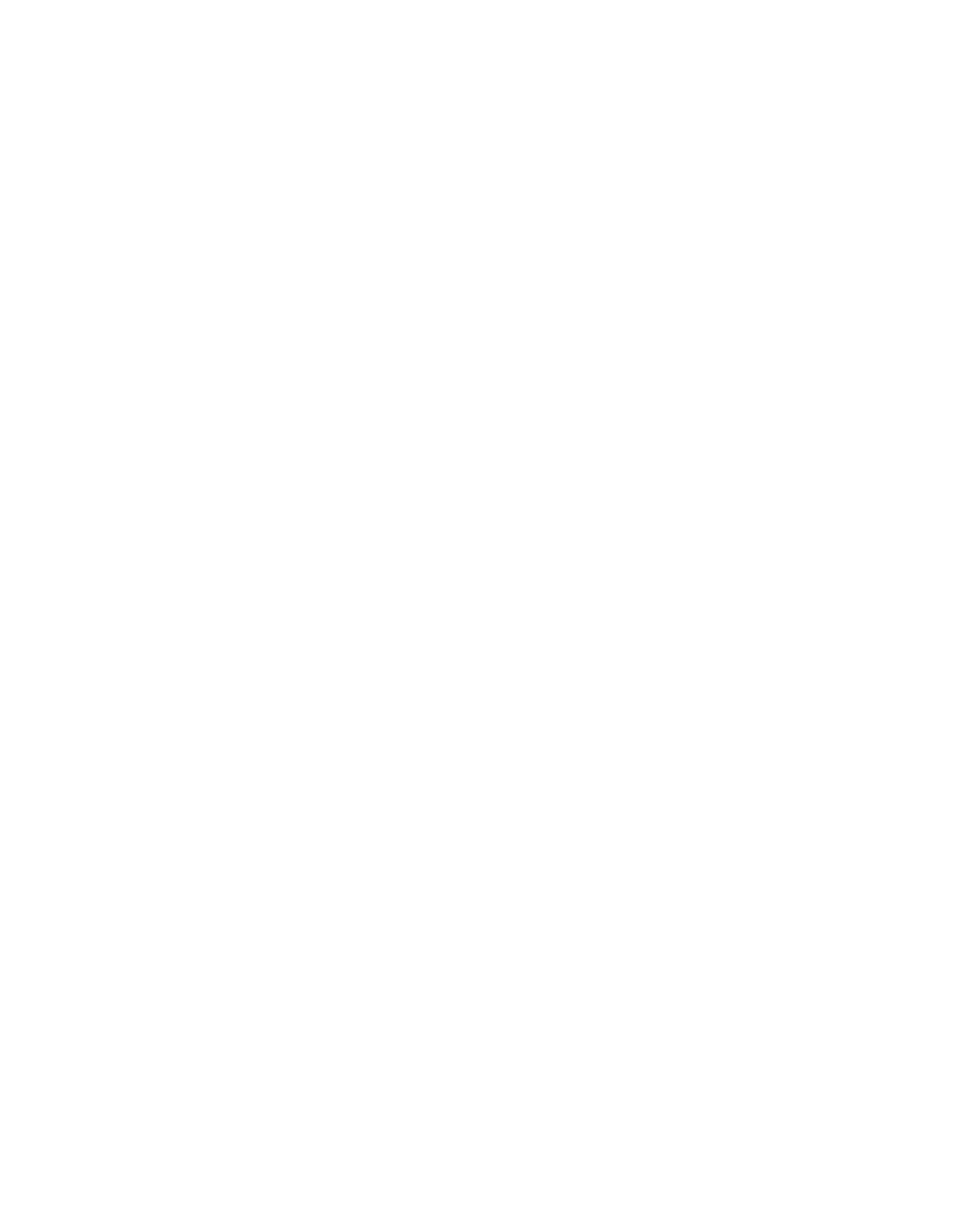| ACCOUNTING - RENTAL PAYMENTS/MISCELLANEOUS AND PARKING BILLINGS6 |  |
|------------------------------------------------------------------|--|
|                                                                  |  |
|                                                                  |  |
|                                                                  |  |
|                                                                  |  |
|                                                                  |  |
|                                                                  |  |
|                                                                  |  |
|                                                                  |  |
|                                                                  |  |
|                                                                  |  |
|                                                                  |  |
|                                                                  |  |
|                                                                  |  |
|                                                                  |  |
|                                                                  |  |
|                                                                  |  |
|                                                                  |  |
|                                                                  |  |
|                                                                  |  |
|                                                                  |  |
|                                                                  |  |
|                                                                  |  |
| <b>FIRE PREVENTION TIPS</b>                                      |  |
|                                                                  |  |
|                                                                  |  |
|                                                                  |  |
|                                                                  |  |
|                                                                  |  |
|                                                                  |  |
|                                                                  |  |
|                                                                  |  |
|                                                                  |  |
|                                                                  |  |
|                                                                  |  |
|                                                                  |  |
|                                                                  |  |
|                                                                  |  |
|                                                                  |  |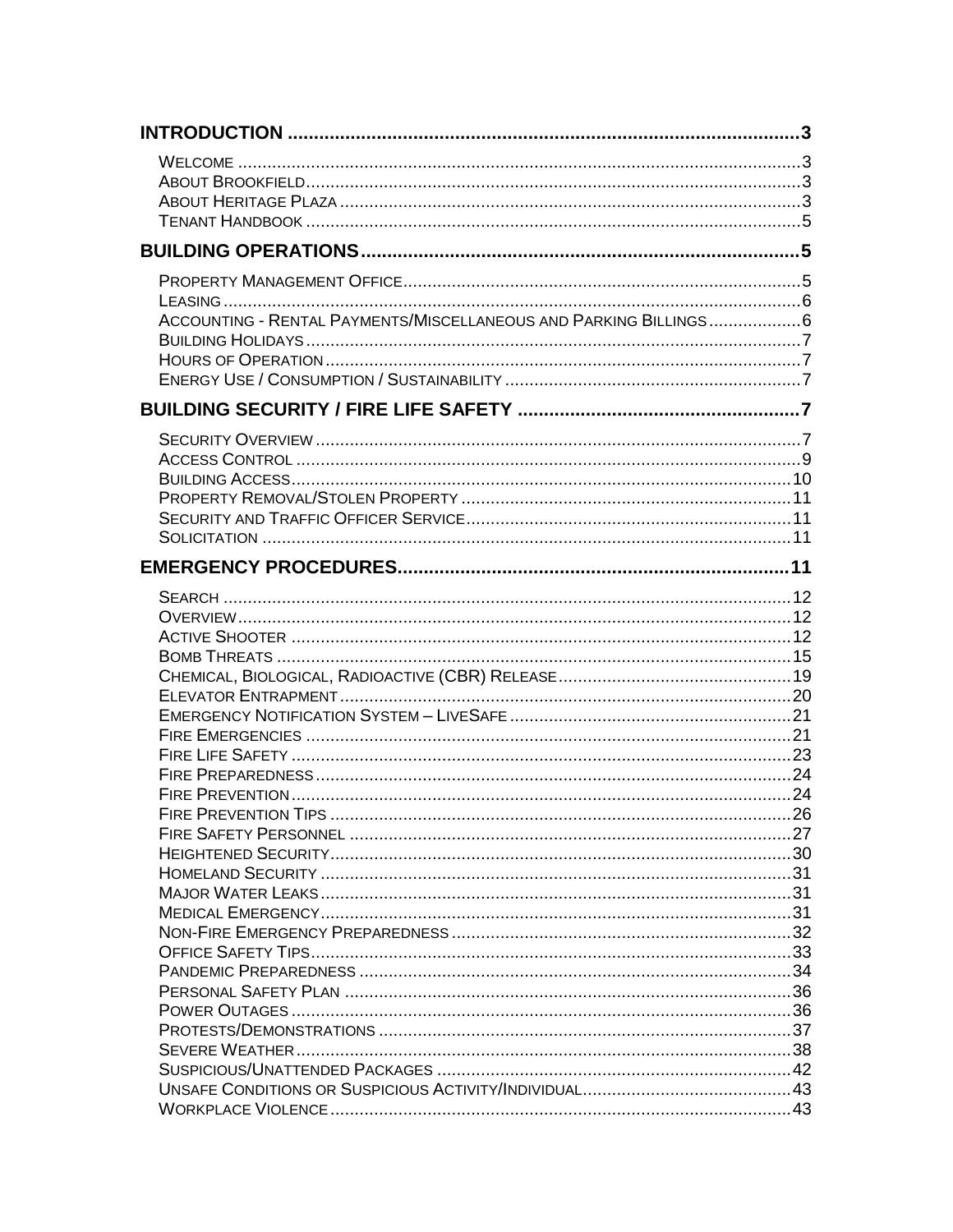| PROCEDURE FOR AFTER-HOURS MOVES, LARGE DELIVERIES AND CONSTRUCTION:  48 |  |
|-------------------------------------------------------------------------|--|
| PROCEDURE FOR RESERVING THE LOADING DOCK/FREIGHT ELEVATOR: 48           |  |
|                                                                         |  |
|                                                                         |  |
|                                                                         |  |
|                                                                         |  |
|                                                                         |  |
|                                                                         |  |
|                                                                         |  |
|                                                                         |  |
|                                                                         |  |
|                                                                         |  |
|                                                                         |  |
|                                                                         |  |
|                                                                         |  |
|                                                                         |  |
|                                                                         |  |
|                                                                         |  |
|                                                                         |  |
|                                                                         |  |
|                                                                         |  |
|                                                                         |  |
|                                                                         |  |
|                                                                         |  |
|                                                                         |  |
|                                                                         |  |
|                                                                         |  |
|                                                                         |  |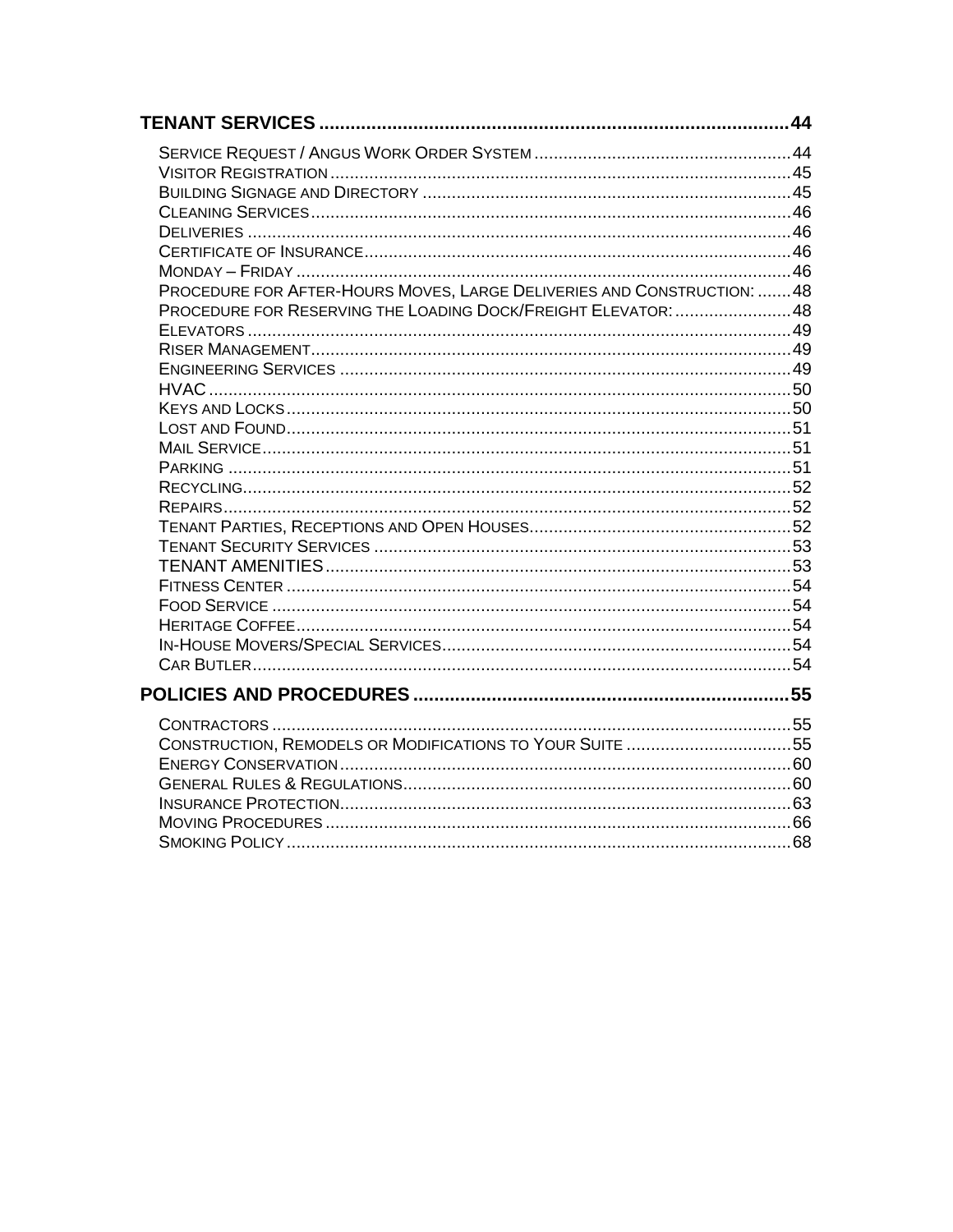# **Introduction**

# Welcome

Brookfield Properties is committed to providing you the highest level of Tenant Services and Support. Please let us know how we can assist you, as we would be happy to provide any information or coordinate any services that you may require.

This Tenant Handbook should answer many of the immediate questions you may have about property regulations, policies, and operating procedures. We have provided important Building personnel names and phone numbers, as well as emergency contact phone numbers.

The information contained within this Handbook is general in nature and may differ from your lease. In all cases, the lease takes precedence over the Tenant Handbook.

Brookfield Properties prides itself on quality service and responsive attention to the needs of our tenants. We encourage you to work with us in upholding our service goals and provide feedback to improve our premises and your surrounding business environment.

We hope you find this Tenant Handbook to be a useful guide.

# About Brookfield

Brookfield Properties is a premier real estate operating company, providing integrated services across all property investment strategies of Brookfield Asset Management ("Brookfield") – a global alternative asset manager with over \$265 billion in AUM. The combination of Brookfield's highly regarded network of investment professionals around the globe and vast access to capital, along with Brookfield Properties' well-established position as the commercial property landlord of choice in many of the world's most dynamic markets, provides a competitive advantage in the marketplace. More importantly, it assures premier quality and optimal outcomes for our tenants, business partners and the communities in which we do business.

# About Heritage Plaza

Heritage Plaza was launched October 22, 1984. The \$250 million dollar building was developed by Wortham, Van Lew & Horn which incorporated the existing Federal Land Bank Building, providing 1.2 million square feet of office space.

A plow drawn mule broke ground for the 53 story Heritage Plaza. The mule was used as a nostalgic gesture since the project would preserve the existing building formerly occupied by the Federal Land Bank; historically called the Farm Credit Banks Building. Built in 1929, the bank provided long term, low interest loans to area farmers and ranchers. The decision to preserve the former FLBB was made since the building was renovated in 1978 and was in excellent condition.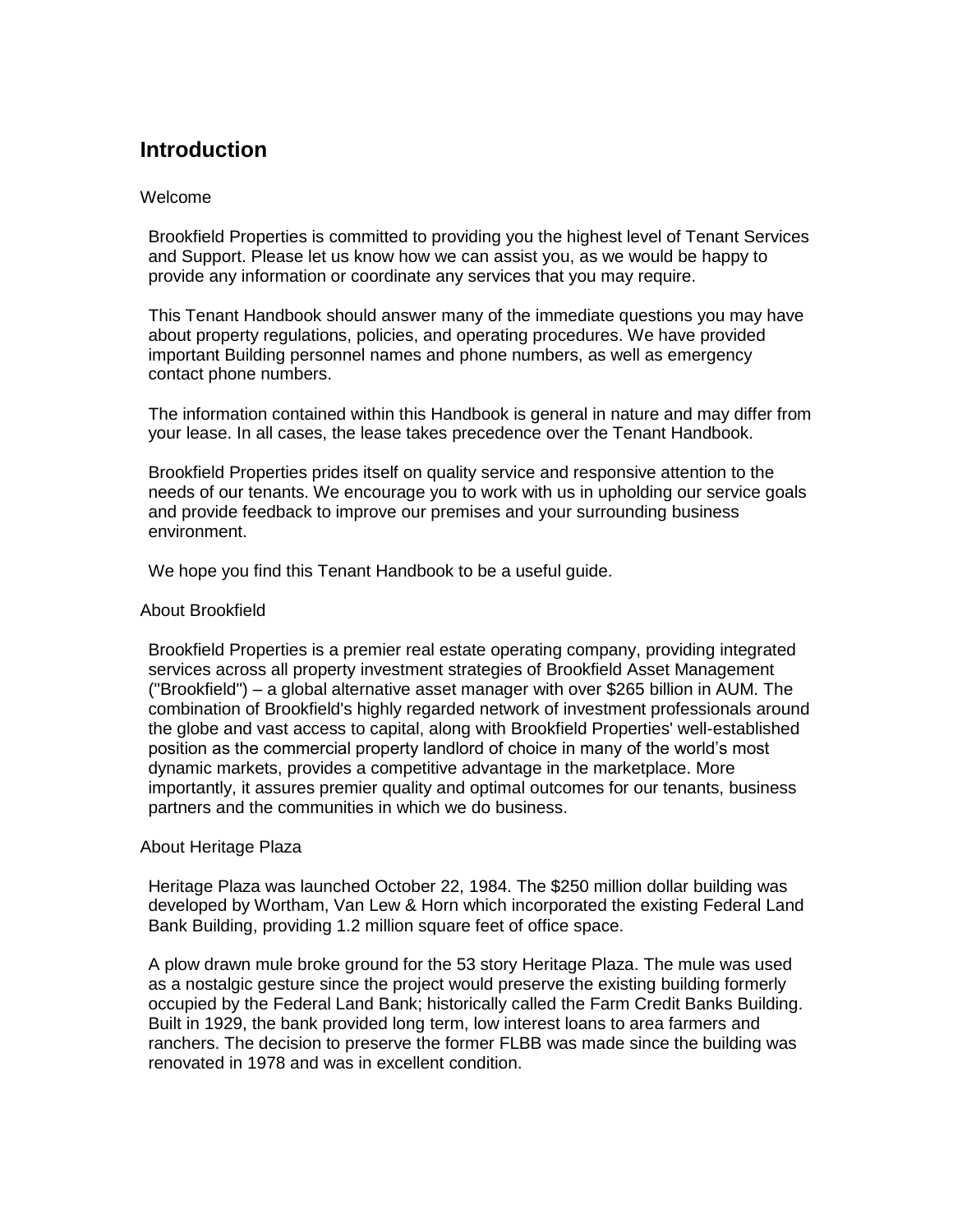Architects for the project were M. Nasr and Partners. Their design for the building included certain baroque elements that mirrored those elements of the old Federal Land Bank. It was this unusual merging of styles from different historical perspectives that gave the new development the title of Heritage Plaza.

Heritage Plaza is the gateway to Houston's revitalized Central Business District. The Tower, with its unique Mayan design, is the most visually unique and photographed building in a city famous for world-class architecture. From its Mayan rooftop to the neighboring Heritage Park and Julia Ideson Library Building, the Tower stands as a symbol of Houston's resilience and frontier style personality.

Custom designed Fujitec elevators with leather and polished stainless steel finishes transport tenants and visitors from the Plaza or the Mall Levels to the Sky Lobby. The east side of the Sky Lobby overlooks downtown while the west side of the Sky Lobby provides a panoramic view of Sam Houston Park, as well as the Galleria. A digital directory kiosk assists the guests in locating their destination. The Sky Lobby accommodates the visitor center for EOG Resources and Heritage Plaza Management Office.

The first twelve stories of the building house a parking garage for the convenience of our tenants. The second garage, located at 1200 Bagby, is connected through a climate controlled tunnel.

**Features** 

- Efficient floor plans
- Parking for 2,000 cars in two garages connected to the building
- Sprinklered office space controlled by remote fire command station providing firefighters control of various fire, security and HVAC points
- 24-7 manned security detail with perimeter and internal surveillance by remote control camera and intercom
- Spectacular views of downtown from all floors with an unobstructed view of the city from the west, north, and south
- Convenient access to all major thoroughfares including I-45, I-10, State Hwy 59, Allen Parkway and Memorial Drive
- Ideally centered on the prominent western edge of downtown Houston, served equally by Houston Intercontinental Airport and Hobby Airport
- Immediately adjacent to several hotels

# **Amenities**

- Food Service Citrus Kitchen
- Access to tunnel system via sky bridge
- Direct access to The C. Baldwin, Curio Collection by Hilton (formerly known as the Doubletree Hotel)
- On-site property management
- Adjacent to Sam Houston Park and miles of jogging trails
- Fitness facility with state-of-the-art equipment & full-time staff
- 24-hour security, escort-to-car service in Clay, Tower and VIP Garage
- Package Courier Service throughout the building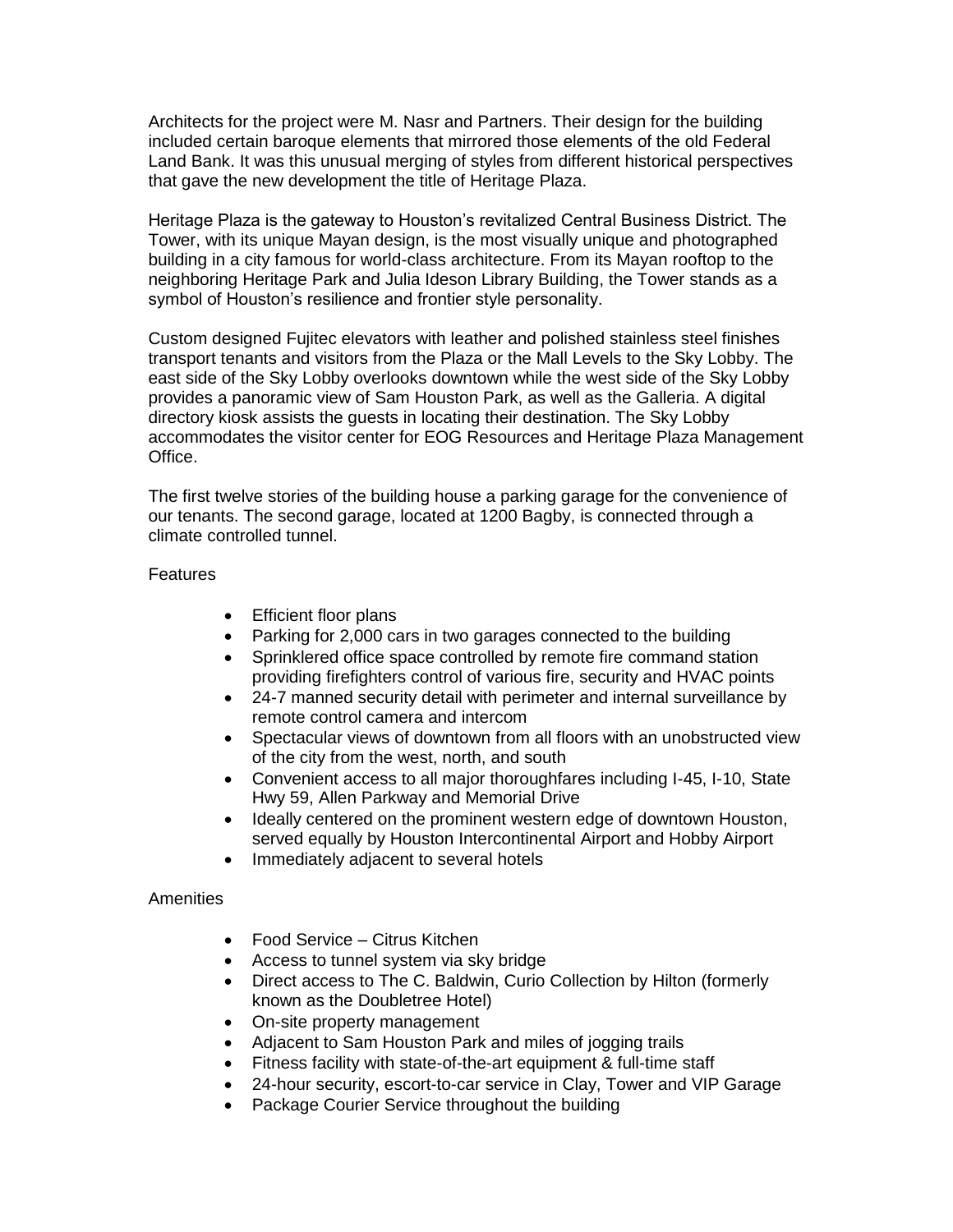- Telecommunications Riser Management service
- Free Wi-Fi and Cell Boosters

Starbucks on the Plaza Level

• Visit our "Fireside" lounge with TV wall display and soft seating located outside the Federal Land Bank Building

Tenant Handbook

At Brookfield we are dedicated to bringing you the highest level of customer service and support. This online tenant handbook is a resource for information you need for your building-operations, services, policies and procedures.

We look forward to a long and productive relationship with you. Please let us know how we can help as you settle into your new office space. We would be happy to provide any information or services you might require to move easily into your office.

# **Building Operations**

Property Management Office

As the Property Management of Heritage Plaza, we want you to know that every member of our staff is here to assist you. The Management Office is located in Heritage Plaza, Sky Lobby and business hours are 8:00 AM to 5:00 PM, Monday through Friday, excluding major holidays. Please feel free to call the Management Office at (713) 651- 7808 with any questions or concerns 24 hours a day.

Address: BOP Heritage, LLC 1111 Bagby Street, Sky Lobby 3 Houston,Texas 77002

Security personnel answer our telephone lines after business hours. They are in contact with our management, engineering and janitorial.

| <b>Property Manager</b>   | Laura Krupowicz      | $(713) 651 -$<br>7808 | laura.krupowicz@brookfieldproperties.com   |
|---------------------------|----------------------|-----------------------|--------------------------------------------|
| Asst. Property            | Gemma                | $(713) 651 -$         | gemma.arizmendi@brookfieldproperties.com   |
| Manager                   | Arizmendi            | 3422                  |                                            |
| Property<br>Administrator | Myrna Espitia        | $(713) 651 -$<br>3418 | myrna.espitia@brookfieldproperties.com     |
| <b>Property Assistant</b> | Tracenia<br>Gardner  | $(713) 651 -$<br>7808 | traceniac.gardner@brookfieldproperties.com |
| <b>Property Assistant</b> | Desiree Garcia       | $(713) 651 -$<br>3418 | desiree.garcia@brookfieldproperties.com    |
| <b>Chief Engineer</b>     | Michael<br>Rodriguez | $(713) 651 -$<br>7808 | michael.rodriguez@brookfieldproperties.com |
| Asst. Chief<br>Engineer   | Roger Cornelius      | $(713) 651 -$<br>7808 | roger.cornelius@brookfieldproperties.com   |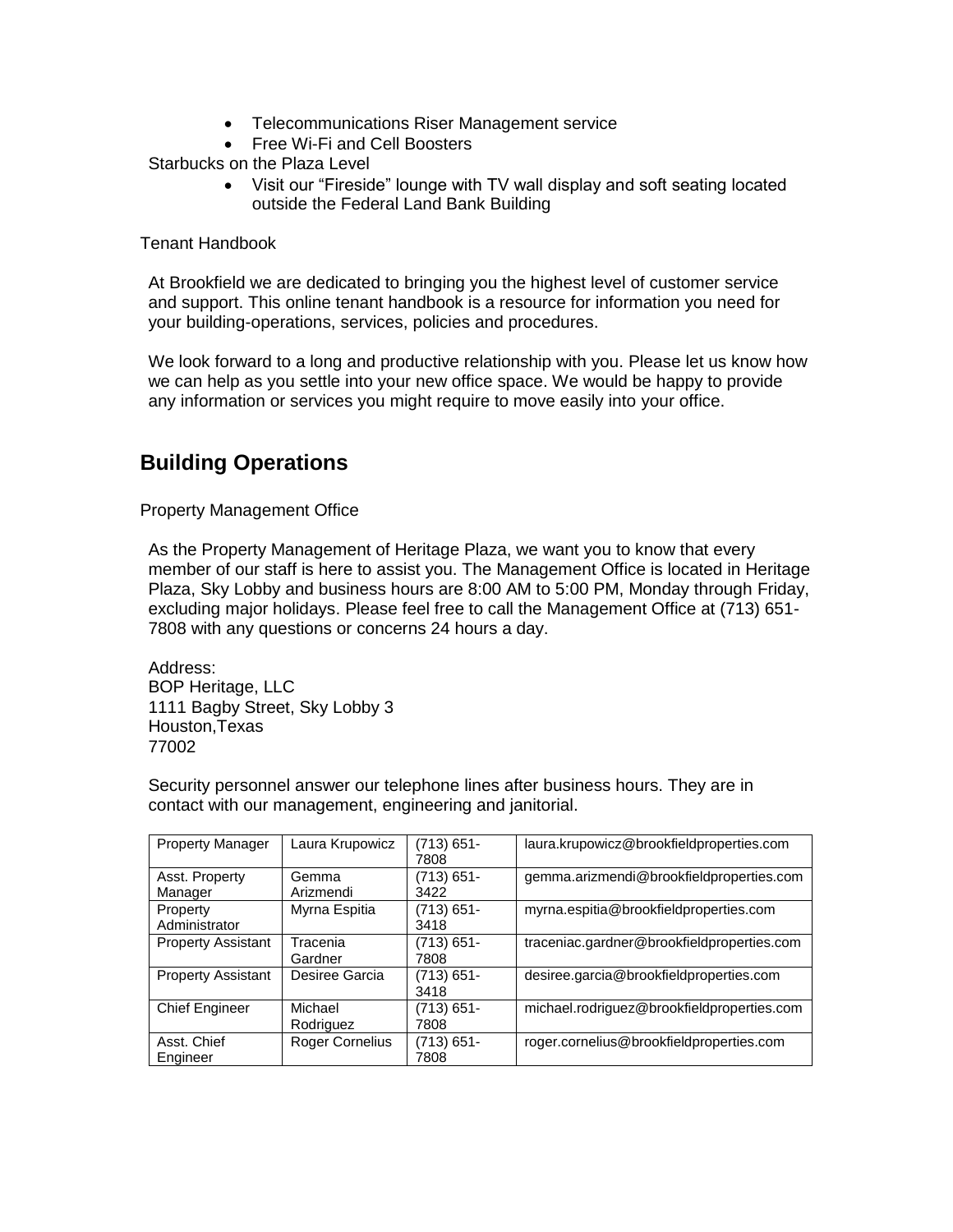#### Leasing

Please contact a member of the leasing staff listed below with any questions regarding leased or available space at Heritage Plaza.

Clint Bawcom Vice President, Leasing Brookfield Property Partners 1200 Smith St., Suite 1200 Houston, TX 77002 Phone: (713) 336-2228 Fax: (713) 951-0209 clint.bawcom@brookfieldproperties.com

Accounting - Rental Payments/Miscellaneous and Parking Billings

In accordance with the lease, charges for rent are due and payable on the first day of the month without notice. You will receive separate invoices for miscellaneous charges such as repair service, overtime air conditioning, etc. Tenants will not receive monthly rent statements. You must note your suite number on your check. The Management Office cannot accept rental payments and should be remitted to:

Wire/ACH: JP Morgan Chase Bank, N.A. New York, NY ABA 021000021 Account Name: BOP Heritage, LLC Account Number: 561156196 Email: US.AR@Brookfield.com

For Regular Mail: BOP Heritage, LLC P.O. Box 301081 Dallas, Texas 75303-1081

For Overnight Mail/Courier: JP Morgan Chase (TX1-0029) Lockbox Department, Chase Center, Concourse Level-Courier BOP Heritage, LLC P.O. Box 301081 14800 Frye Road Fort Worth, Texas 76155

For Parking: BOP Heritage, LLC SP+ P. O. Box 790402 St. Louis, MO 63179-0402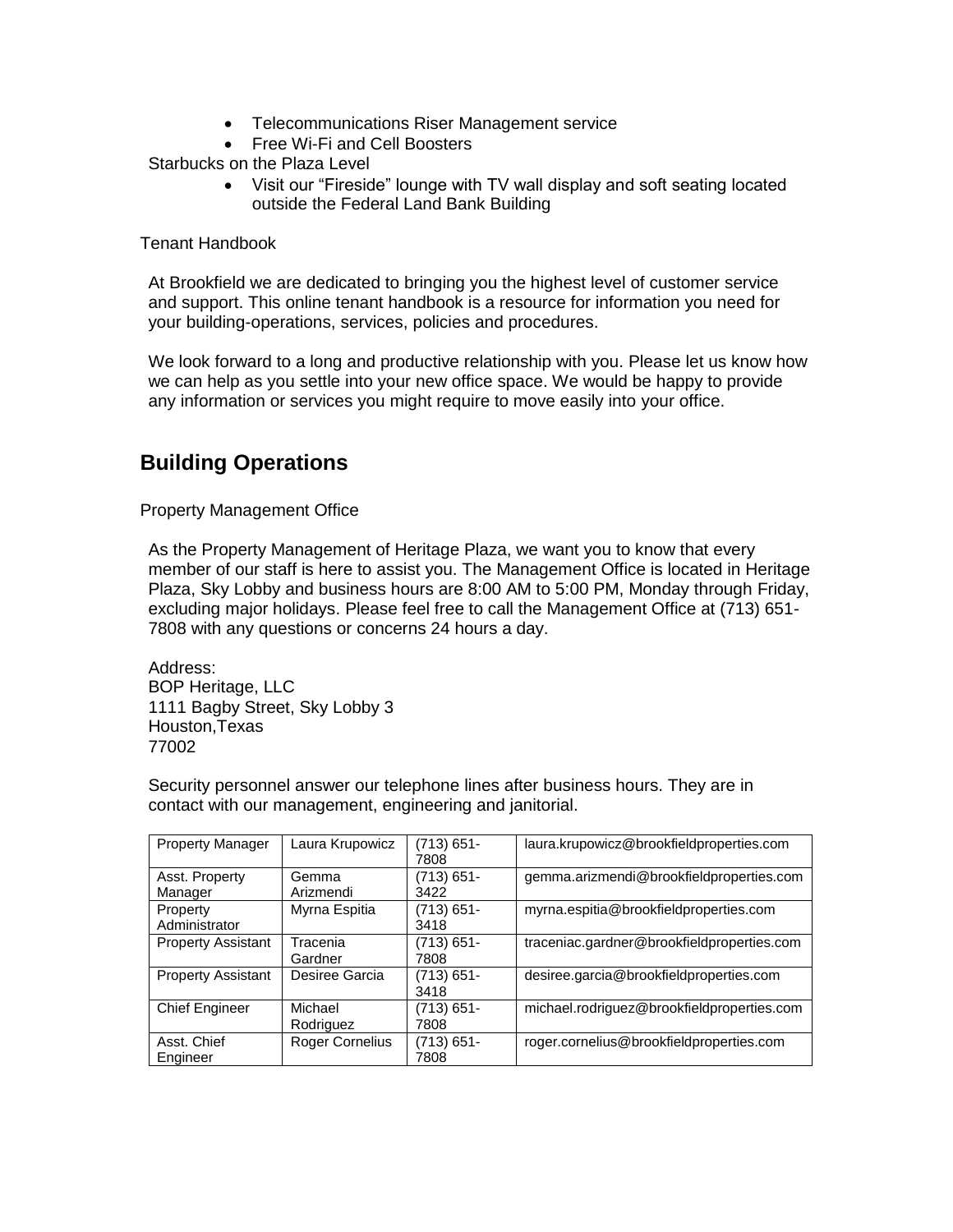To ensure proper handling, please include remittance copies of the invoices you are paying. If you have any questions regarding rent statements/payments, please call the Management Office.

Building Holidays

Heritage Plaza will be closed on the following major holidays:

- New Year's Day
- Memorial Day
- Independence Day
- Labor Day
- Thanksgiving Day
- Day after Thanksgiving
- Christmas Day

However, each Tenant Liaison should consult their specific lease clause. If any conflict arises as to the above Holiday schedule and your lease, your lease terms prevail. Please call the Management Office to make sure the appropriate building services are provided.

Hours of Operation

Building services including HVAC, security and building staff are provided during the following normal business hours:

Monday - Friday 7:00 a.m. - 6:00 p.m. Saturday 8:00 a.m. - 1:00 p.m. (excluding holidays)

Services outside of these hours can be requested by submitting a request through the Angus work order system. OT HVAC may be arranged by using the dial in code assigned to your tenant contact.

Energy Use / Consumption / Sustainability

Link to: https://www.brookfieldproperties.com/sustainability/

# **Building Security / Fire Life Safety**

# Security Overview

Security officers are on duty at the building console and tour throughout the property and garage twenty-four hours a day, seven days a week. The building also employs electronic surveillance devices throughout certain common areas. Two-way radio communication between the Management Office, Security console and property staff provide quick response to any issue.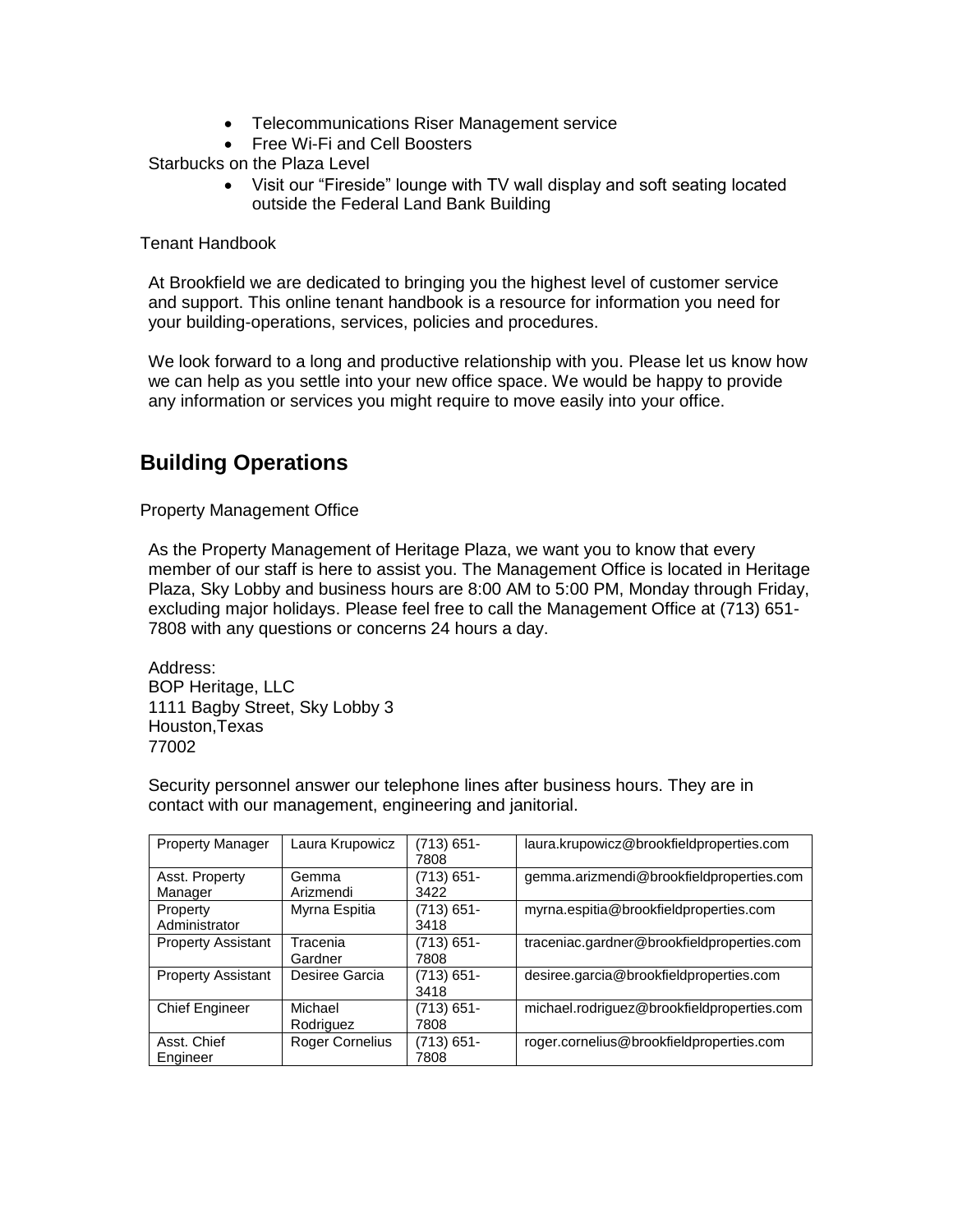The building is equipped with a security system, which is monitored 24-7 and has the following features:

- Card access control for the main east plaza entrance, the VIP parking garage, main parking garage and elevators for after hours use
- There are 186 cameras located on the property monitoring the common areas, building entrances and parking garage
- 11 real time video recorders
- 48 Blue Light Emergency monitored phones in parking garages
- 20 Star Call phones in stairwells
- 29 hands-free elevator phones linked to Security Console

While security officers, closed circuit cameras and the maintenance staff can provide basic protection for the building, security is everyone's responsibility and your cooperation and vigilance is essential.

Each tenant can be effective in preventing the loss of valuable personal and company property by careful observance of these common-sense procedures:

Be particularly observant of strangers in your area and if their identity cannot be readily established, advise the Management Office immediately. Our ability to take positive action may be wholly dependent on speedy notification.

Establish and use, within the occupied premises, a secured area for packages, purses, salable and transportable property, etc., and particularly any form of a negotiable instrument or petty cash. We recommend a GSA approved fire safe.

At the end of each working day, store small personal and company items of value, such as hand-sized dictating machines, calculators, etc., in a locked desk, credenza, file cabinet or other secured location.

Personal computers and large electronics devices should be bolted to the desk. Particular care should be taken for the security of laptop computers; they are easily transported and readily marketable.

File cabinet drawers should be closed at the end of the working day and all file cabinets that are provided with locks should be secured nightly.

Be certain that all public corridor egress doors are locked at the conclusion of standard business hours on each business day and when your receptionist leaves the premises.

Enforce strict control of keys and access cards. Please notify the Management Office when any employees are terminated.

Promptly report the loss of property or any suspicious event to Security. Serial numbers of all valuable items should be recorded and retained in a file to aid police in recovering property in the event of a loss or theft.

Articles of value (handbags and coats) should not be left in open, unattended reception areas or on desks in offices at any time.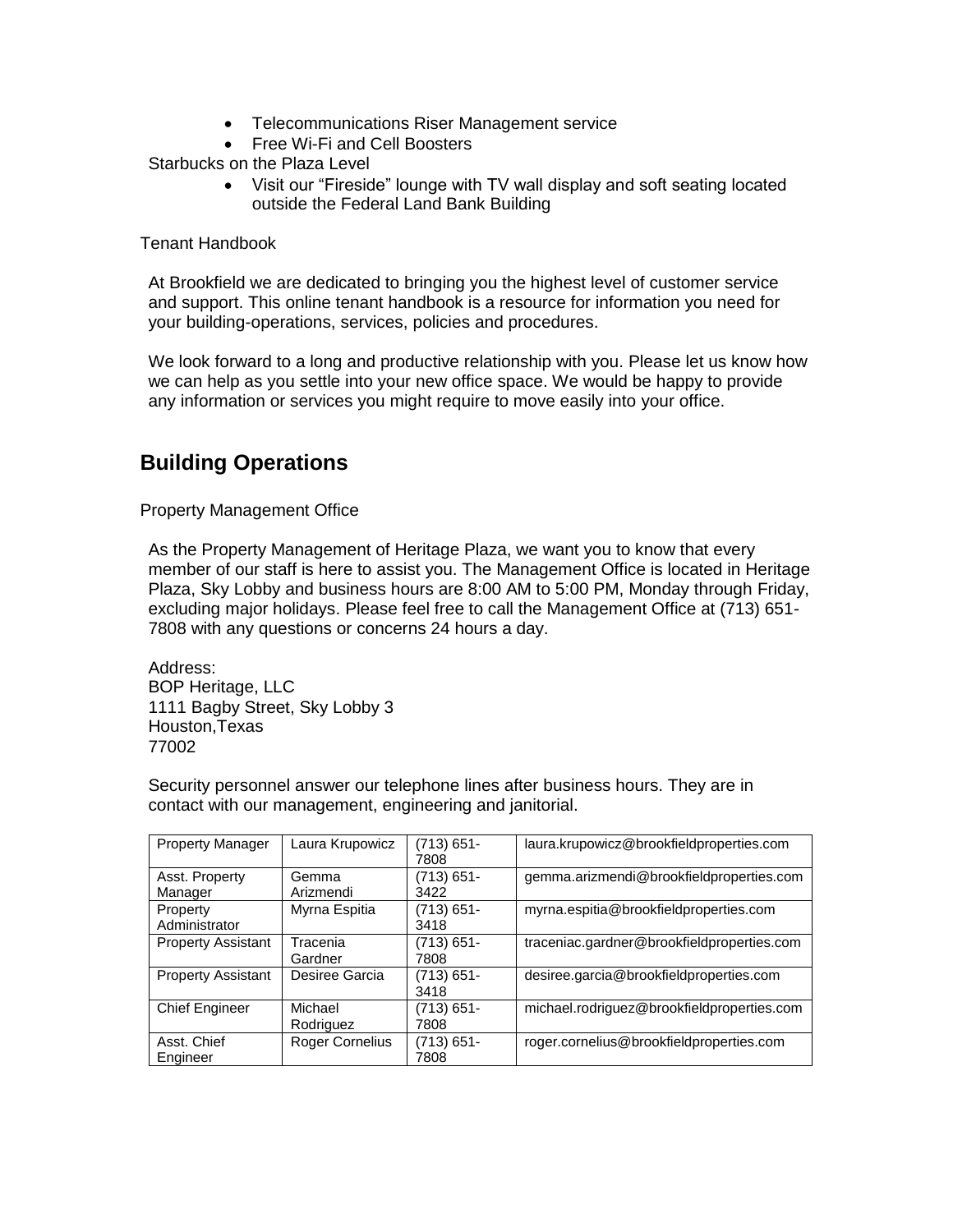Never leave a vault or safe open while out of the office. Thoroughly spin the combination lock when closing a vault or safe. Do not leave a vault or safe combination in a desk.

Special care should be taken during certain times best suited for pilferage, i.e., the first 30 minutes after opening, lunch hours and just before closing. These are the times of maximum movement of personnel and absence from work areas and offices.

Brookfield prides itself on providing the highest level of prevention measures to ensure the safety and security of our customers, visitors and employees. We recognize the growing importance of safety and security in our buildings, and Brookfield's National Security Program is designed to heighten tenant awareness and increase understanding of our safety and security processes and procedures. Our program recognizes that prevention is the cornerstone of emergency management. Through long-term planning and the use of enhanced technology, Brookfield's National Security Team works to address the ever-changing security needs of our properties.

Brookfield's National Security Team's key responsibilities include:

- Delivering unparalleled service to our customers
- Maintaining our national programs at the highest state of readiness
- Cultivating professional relationships with local law enforcement agencies

# Tenant Security Services

Tenants may require security services in addition to those typically provided on a dayto-day basis by the property's security personnel. If extra security measures are required, the tenant should submit a work order through the Angus work order system to request these services. There is a cost associated with this service and it will appear on your monthly invoice.

# Access Control

We strive to provide a safe environment for tenants and their employees, guests, customers, and visitors. For this reason, access to the building is restricted. Heritage Plaza is open to tenants at all times, however management may limit public access at certain hours. Building doors are open during the times listed in the Hours of Operation section.

Outside of these times only tenant employees using Heritage Plaza security access cards/badges, or visitors, vendors, and customers who are approved by tenants, may be admitted to tenant areas. All visitors without proper after-hours authorization are referred to Property Security at all other times.

# After-Hours Building Entry

Anyone needing access to the building before or after normal business hours or holidays must have a key or access card to their suite and an access card to the building/elevator. Security does not have access. To gain access to the building afterhours and on non-business days, tenants must use either the Bagby Street entrance (only if your badge is activated for this entrance), the Brazos Street entrance or Lamar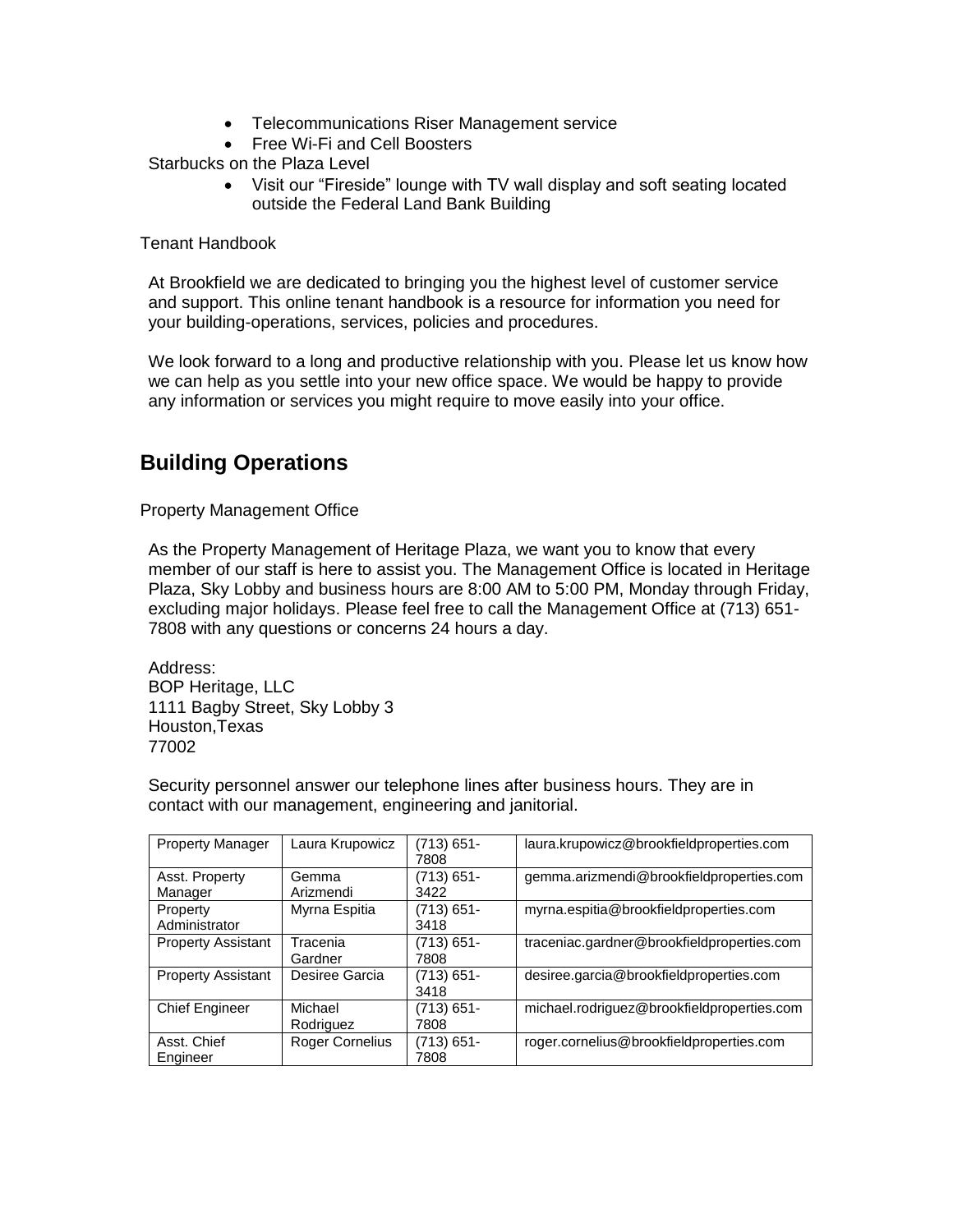Street garage and the Clay Street garage via the tunnel (only if your badge is activated for the tunnel entrance).

# Vendor/Contractor Access

There may be special instances when vendors or contractors need to perform work in your suite during business or non-business hours. In such instances, please notify the Management Office through the Angus Work Order System at least 48 hours in advance with the following information:

- The company name/sub-contractors
- Foreman or supervisor
- Date(s) the work will be performed
- Time the contractor will arrive and depart
- Description of the work being done
- All vendors must have valid drivers license

Management or security staff will not admit your contractor into your suite. Please make arrangements to meet the vendor or provide them with keys or card access.

# Handicap Accessibility

Handicap accessible entrances provide easy access to and from Heritage Plaza. All temporary and/or permanent handicap parkers must register through their tenant contact and the request will then be submitted through www.spplus.com. Handicap entrances and egresses are available at the following locations:

- Street level at Brazos Street
- Street level at Bagby Street

Heritage handicapped tags will be issued to the tenant contact for the employee to display on their rear view mirror. This assures that all parkers requesting handicapped parking are approved and their needs are met on a first come first served basis.

# Motorcycle Parking

All temporary and/or permanent motorcycle parkers must register through their tenant contact and the request will then be submitted through www.spplus.com. Motorcycle parking is allowed only at the Clay Garage in a designated area, no exceptions. Heritage motorcycle tags will be issued to the tenant contact for the employee to display.

# Building Access

The building hours are 7:00 a.m. to 6:00 p.m. Monday through Friday and closed on weekends. If access to the building is required outside of these hours you must use the access card issued at move-in by the Management Office. This card controls access to the building as well as access to the garage. The Bagby side doors are locked at all times and our Tenants must use their access cards for entry on that side of the building.

A log-in book located at the Security Desk at the Plaza Level must be signed by contractors entering or leaving after hours, weekends and/or holidays. All contractor's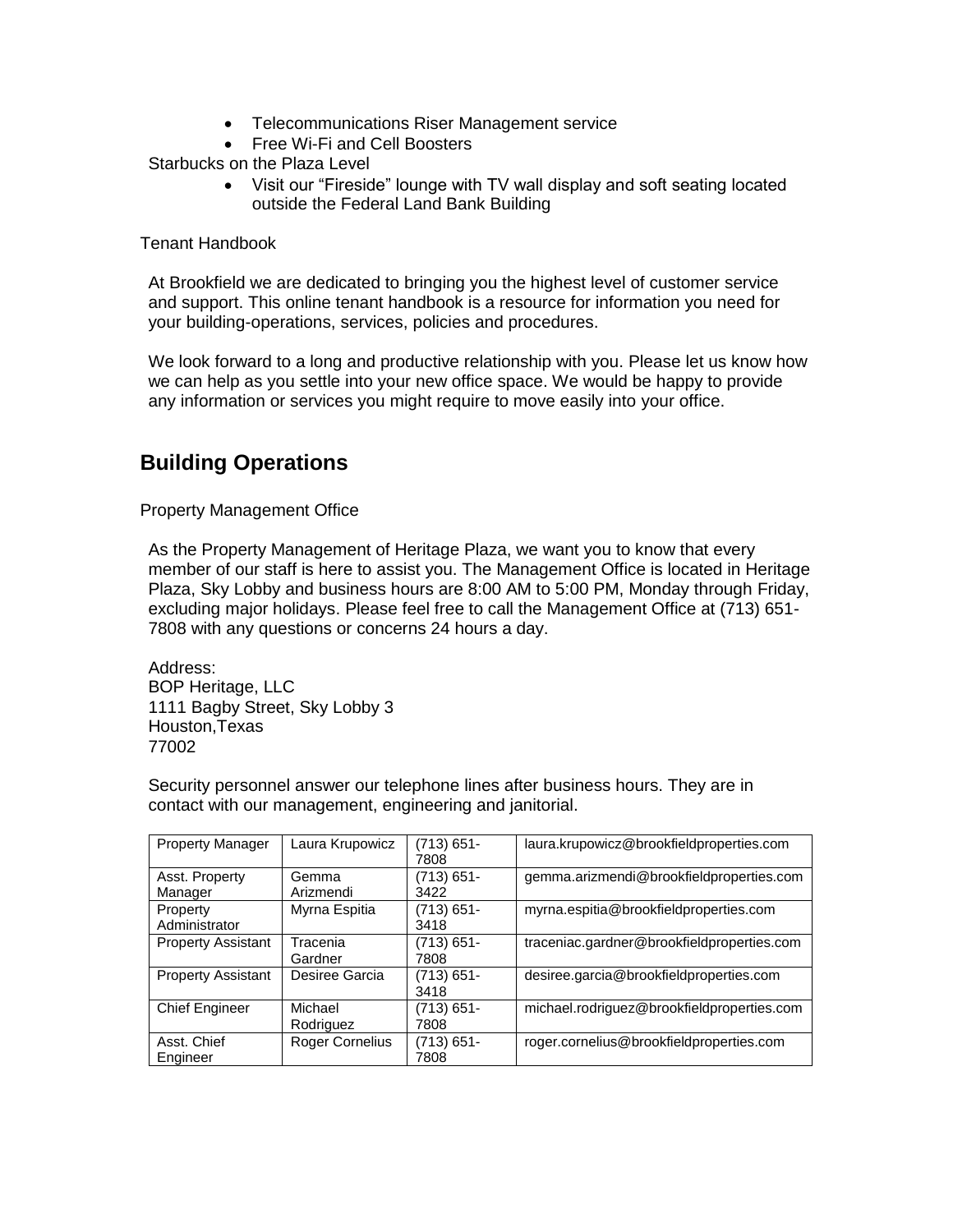must present a valid drivers license to enter the building after hours. Signing in allows the Security Officer to have an accurate count of the number of persons in the building and their approximate location in case of an emergency. The Security Officers DO NOT have keys or card keys to suites so therefore cannot unlock doors for you. In the event of employee terminations, it is the responsibility of the tenant to cancel access cards with building management. Keys and access cards need to be carried at all times.

In case of fire or power outage, the card access system will automatically unlock all exterior doors for an emergency exit.

The system is designed to refuse access to those cards that have been deleted from the system.

When an employee is new, a card is lost, needs to be replaced, or is terminated, please complete the Building Access Entry and Parking form online at www.parking.com. It is very important that individual information be kept up to date, such as the make and model of your vehicle and license tags. All information must be submitted, approved and signed by the appropriate Tenant Parking Contact.

Access to the tenant floors from the Plaza area is via four shuttle elevators.

Property Removal/Stolen Property

To prevent unauthorized removal of material or equipment from the building, the request must be submitted via the Angus work order system. In the description section of the work order, please provide the name of the individual removing the item(s), date of removal, and item(s) being removed.

If property belonging to a tenant, employee, or visitor is stolen, notify the Management Office immediately. (After normal business hours, the call will be automatically forwarded to Security.) A security officer will respond as quickly as possible to take an in incident report and assist the Police Department.

Security and Traffic Officer Service

Heritage Plaza has a 24-hour, 7 days a week, Security Service available. You may contact Security by calling (713) 651-7808. The main desk is located on the Plaza Level of the building. The officers DO NOT have any Tenant suite keys or card keys.

Note: As an additional safety measure, any person(s) leaving the building after normal business hours may request an escort to their vehicle if it is parked in one of Heritage garages.

#### **Solicitation**

For the privacy of our tenants, solicitation and hand-billing is not allowed in Heritage Plaza. To report solicitation, please call the Management Office.

# **Emergency Procedures**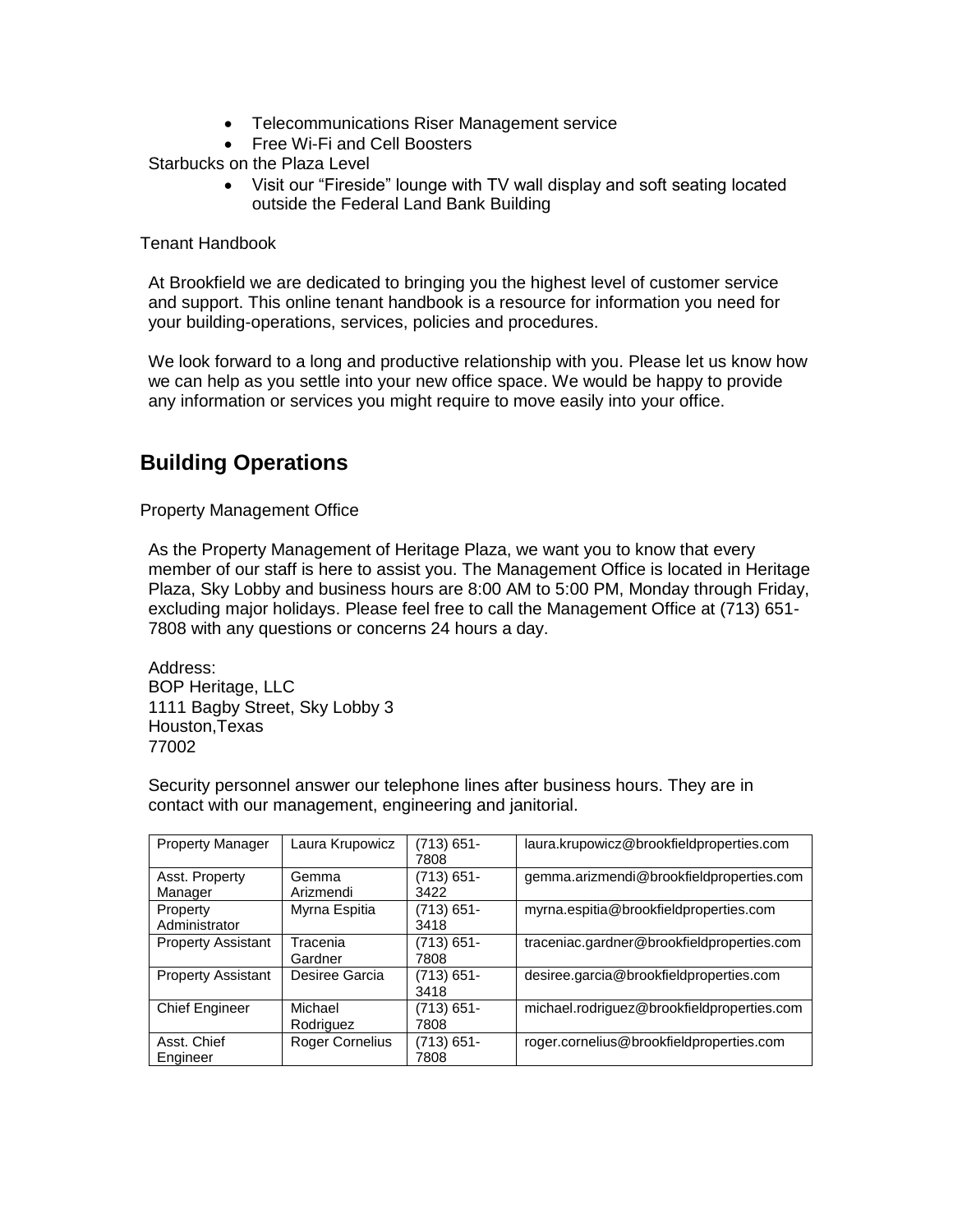### **Search Overview**

During an emergency, the safety of personnel and the protection of property often depend on the actions taken by those individuals within the emergency's arena. For this reason, Brookfield has developed and implemented the Tenant Emergency Procedure Manual. (TEPM)

The TEPM serves to standardize and clarify emergency information, preparedness, procedures and responsibilities of the building owner and tenants at all US locations. It is based upon the best suggested guidelines derived from state and local fire prevention codes and other well-established emergency information.

It is imperative that all building occupants become familiar with this plan and its procedures since its effectiveness depends on the active participation of tenants and employees at all levels. Tenants should use it to help prepare their own emergency plans that are individually tailored for maximum employee and asset protection. To this end, each Property Manager will distribute to all Tenant point of contacts a hardcopy of the building's TEPM. Tenant employees can also review this manual ay the building's on line fire life safety training website through BSS Guardian. Please contact John Gomez, Fire & Life Safety Training Manager, at 713-651-7808.

However, due to the obvious difficulty associated with predicting the scope and nature of any given emergency, Tenants should not use the TEPM as the ultimate arbiter when determining how to respond to an emergency. The procedures are suggestions which should never be at odds with their primary goal: to protect life, safety and property. Additionally, no Tenant or Brookfield's employee should ever risk life or limb based upon the TEPM's perceived advice. In fact, the TEPM includes clear limitations:

IMPORTANT - never endanger your own life or the lives of others when carrying out duties in the Fire Safety Plan

Use of a fire extinguisher by any tenant employee or tenant Fire Safety Team Member is optional, and should only be attempted if safe to do so.

The TEPM can provide significant assistance to all Brookfield Tenants who are intent on preparing an effective and safe response to a developing emergency. Its procedures strive to make a sometimes dangerous world safer. As situations and procedures can vary from building to building, please contact the Property Manager's Office if you have any questions.

For a building status update, please call the Brookfield Hotline Number at (713) 336- 2345 for the most up to date information.

# Active Shooter

The following is the agreed-upon definition of an active shooter by U.S. government agencies including the White House, U.S. Department of Justice/FBI, U.S. Department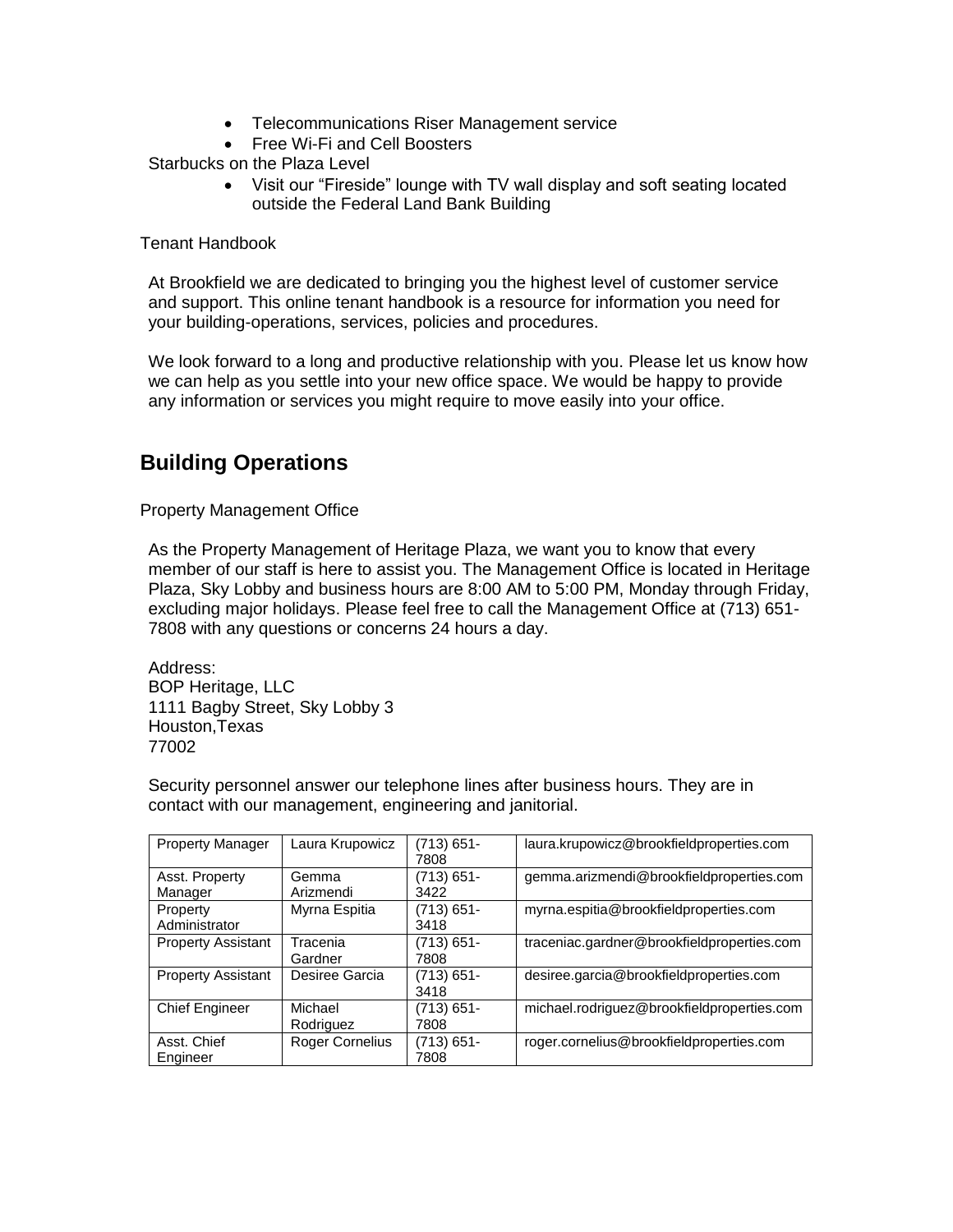of Education, and Department of Homeland Security/Federal Emergency Management Agency:

Profile of an Active Shooter

An Active Shooter is "an individual(s) actively engaged in killing or attempting to kill people in a . . . populated area." In most cases of mass casualty attacks, the actors use firearm(s), but it is important to be aware that other weapons are sometimes used such as explosives and cutting instruments.

Active shooter incidents are usually unpredictable and the situations evolve quickly. Typically, the immediate deployment of law enforcement is required to stop the shooting and mitigate harm to victims.

> • Since most active shooter situations are often over within 5 minutes before local law enforcement arrives, individuals must be prepared both mentally and physically to deal with an active shooter situation. Civilians will often have to make life and death decisions, and, therefore, should be engaged in training and discussion on decisions they may face.

How to Respond When an Active Shooter Is In Your Vicinity

The DHS recommended survival techniques you follow should be fluid based on the threat, your location and your individual circumstances. Therefore, note that the order of the techniques can be modified. RUN/HIDE/FIGHT

Quickly determine the most reasonable way to protect your own life. Remember that customers and clients are likely to follow the lead of employees and managers during an active shooter situation.

# RUN Evacuate

If there is an accessible escape route, attempt to evacuate the premises. Be sure to:

- Have an escape route and plan in mind
- Evacuate regardless of whether others agree to follow
- Leave your belongings behind
- Help others escape, if possible
- Prevent individuals from entering an area where the active shooter may be
- Keep your hands visible
- Follow the instructions of any police officers
- Do not attempt to move wounded people
- Call 911 when you are safe

Hide

If evacuation is not possible, find a place to hide where the active shooter is less likely to find you.

Your hiding place should: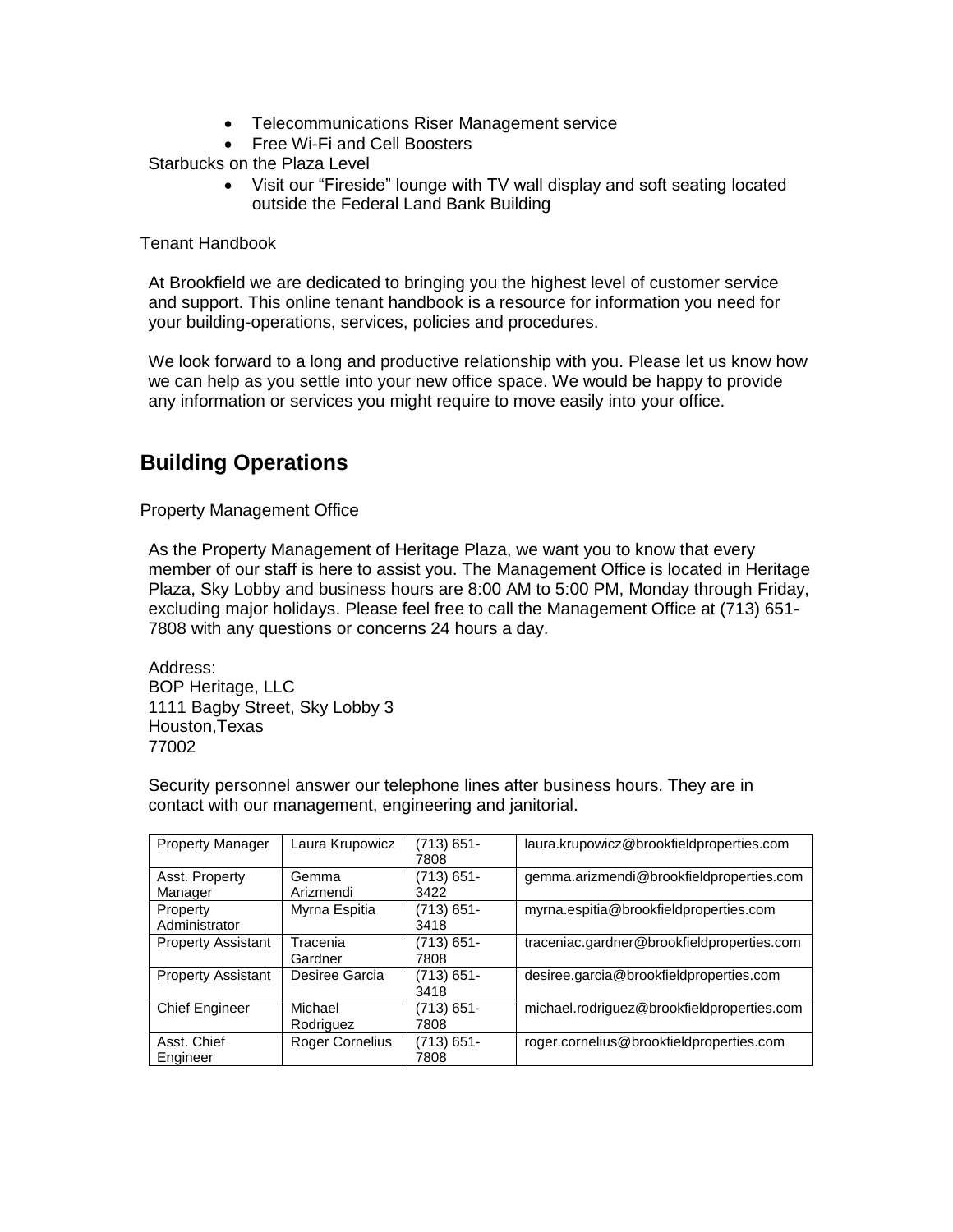- Be out of the active shooter's view
- Provide protection if shots are fired in your direction (i.e., an office with a closed door and locked door)
- Not trap you or restrict your options for movement

To prevent an active shooter from entering your hiding place:

- Lock the door
- Blockade the door with heavy furniture

If the active shooter is nearby:

- Lock the door
- Silence your cell phone and/or pager
- Turn off any source of noise (i.e., radios, televisions)
- Hide behind large items (i.e., cabinets, desks)
- Remain quiet If evacuation and hiding out are not possible:
	- o Remain calm
	- o Dial 911, if possible, to alert police to the active shooter's location
	- o If you cannot speak, leave the line open and allow the dispatcher to listen

FIGHT Take action against the active shooter

As a last resort, and only when your life is in imminent danger, attempt to disrupt and/or incapacitate the active shooter by:

- Acting as aggressively as possible against him/her
- Throwing items and improvising weapons
- Yelling
- Committing to your actions

1.1.1 General Response Guidelines to a Report of an Active Shooter

During a report of an Active Shooter incident, and when safe to do so, each tenant will be instructed via a PA Announcement or mass notification alert to implement their company's Active Shooter policy.

PA Announcement - Whenever possible and safe to do so, an announcement will be made over the fire alarm PA system. Below is a sample script emergency notification when the active shooter is inside the building:

"An active shooter has entered the building; he was last seen on the 3rd floor of the building. Please implement your company's active shooter response plan based on your location and stand by for further notifications."

Active Shooter Inside the Building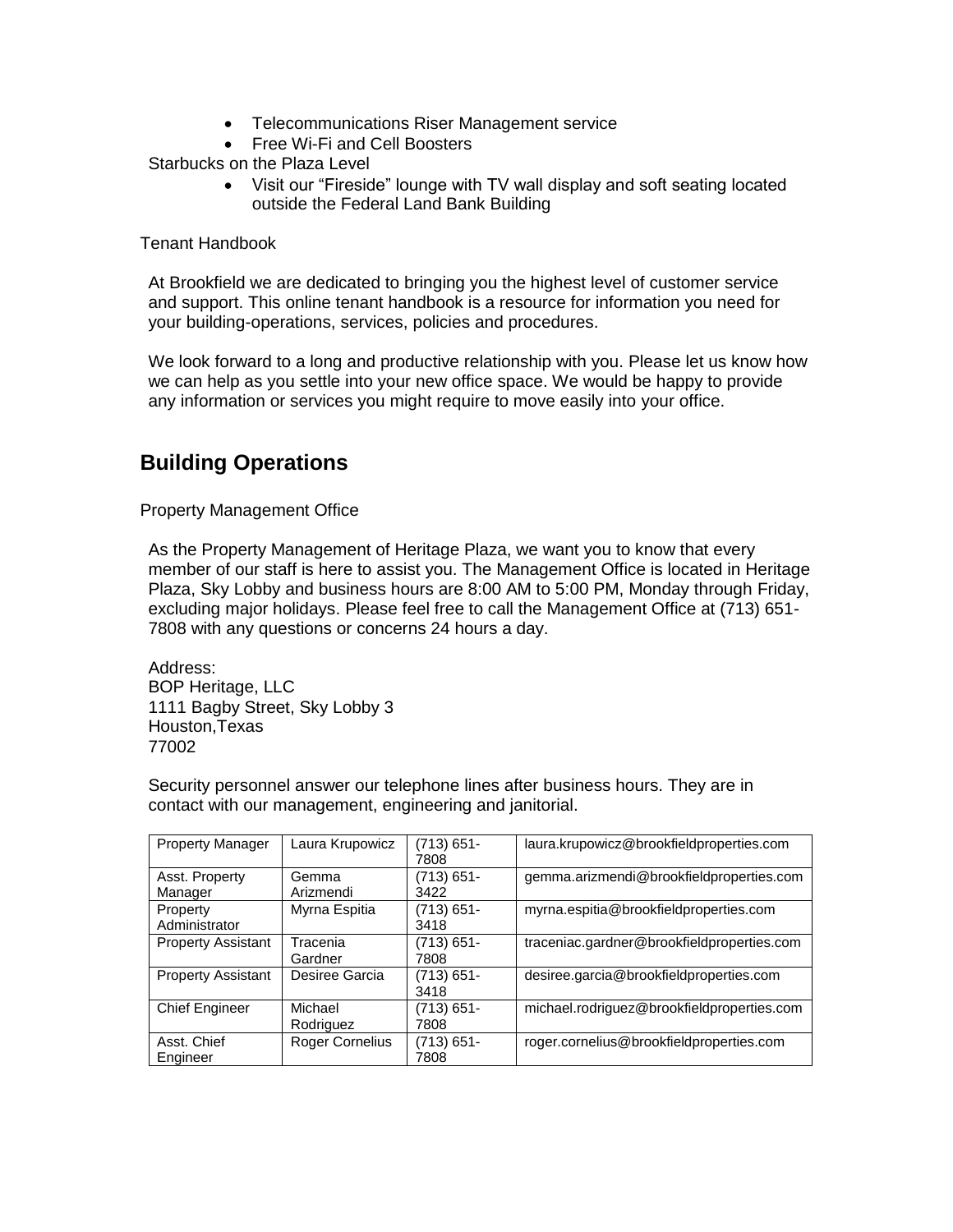• The building's Fire Safety/Security/EAP Director will inform the occupants of the building to implement and maintain their company's Active Shooter incident policy until the shooter can be isolated or is immediately stopped by responding law enforcement officers.

Active Shooter Outside the Building

- Lobby Area In order to protect the occupants within the lobby area, the building's Fire Safety/Security/EAP Director will initiate a lock down of the lobby and have lobby occupants relocate to a safe area until the shooter(s) can be isolated or is immediately stopped by responding law enforcement officers.
- Rest of the Building (above and below grade areas) The building's Fire Safety/Security/EAP Director will initiate a Shelter-in-Place Emergency Action Plan response for the remainder of the building occupants informing them of the situation via a PA announcement.
	- o Once more information is provided and confirmed i.e., location of shooter(s) direction of flight, the building's Fire Safety/Security/EAP Director will provide the occupants of the building with an update of the situation.
		- To the extent that the FS/Security/EAP Director has actionable information, he/she will inform the occupants of the building of what is actually going on, where it is happening, and what part of the EAP Plan the building will be implementing and provide frequent status updates.

# Elevator Recall

Unlike fire emergencies, the Fire Safety/Security/EAP Director is NOT required to recall all the passenger elevators. The Fire Safety/Security/EAP Director will act based on available information including the building's infrastructure and the reported location and movement of the threat before deciding where to position the elevators.

# Fire Alarm Pull Stations

As a general guideline, tenants should NOT pull the manual fire alarms due to the fact that this may automatically unlock the stairway re-entry doors and recall the elevators to the lobby. This could potentially give wider access to an active shooter and in the case of an elevator lobby recall, deliver tenants into a potentially unsafe location.

# Bomb Threats

In the event of a bomb threat this policy will provide for an orderly, safe and rapid response plan for conducting searches, providing prompt and necessary communications, rendering assistance, and if necessary evacuating and returning personnel to work.

# Bomb Threat

A bomb threat is an effective means of disrupting business. Many bomb threats are false and are simply intended to disrupt operations and cause confusion. If a bomb is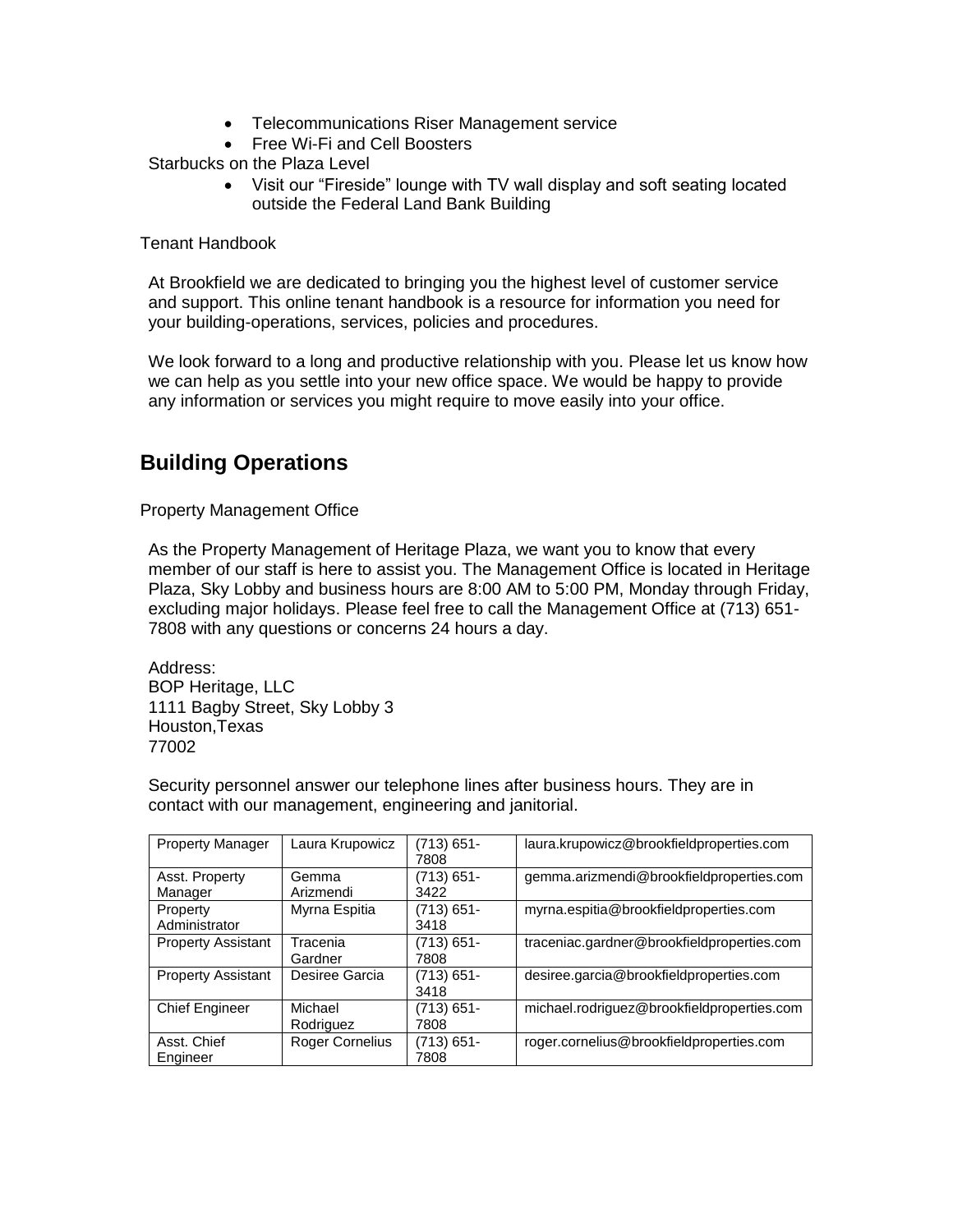intended to kill, injure, and destroy, there is typically no advance warning because this would defeat the purpose, as demonstrated in the Oklahoma City and World Trade Center bombings.

On the other hand, an individual might want to destroy an office but not injure people; this is typically when a genuine bomb threat is called in. Regardless, every threat should be treated as legitimate until proven otherwise.

A bomb threat is a phone call, letter, message, e-mail or other means of communication that states an explosive device has been placed in or near the building. Bomb threats can be classified into two categories, either low-level or high level.

# Low-Level Threat

A bomb threat is considered low-level when:

- A caller lacks details
- No description of the bomb or number of bomb(s) is given
- No location is identified inside or outside the building
- No detonation time is provided
- No reason is given as to why bomb is in the building
- No device is found

When a Low-Level Threat is received, the building may remain open for business. The Property Manager may notify each tenant's primary contact to inform him or her of the threat. If the Property Manager decides that the building will remain open for business, it is up to each tenant, as in any situation, to decide independently whether to evacuate the building or remain open for business.

High Level Threat

A bomb threat is considered high-level when:

- Caller provides specific details regarding the type of bomb
- A description is given
- A floor, office area, specific location and/or the time of detonation is designated
- A reason is given for wanting to bomb the building
- A device or suspicious article is found

When a High-Level Threat is received, a partial or full evacuation should be considered if the threat is deemed credible, if a suspicious article is located, or if the local authorities mandate the evacuation. The Property Manager will notify each tenant's primary contact to inform him or her of the threat.

# Telephone Bomb Threat

In the event of a bomb threat either through a telephone call or by other means, the following procedure should be followed: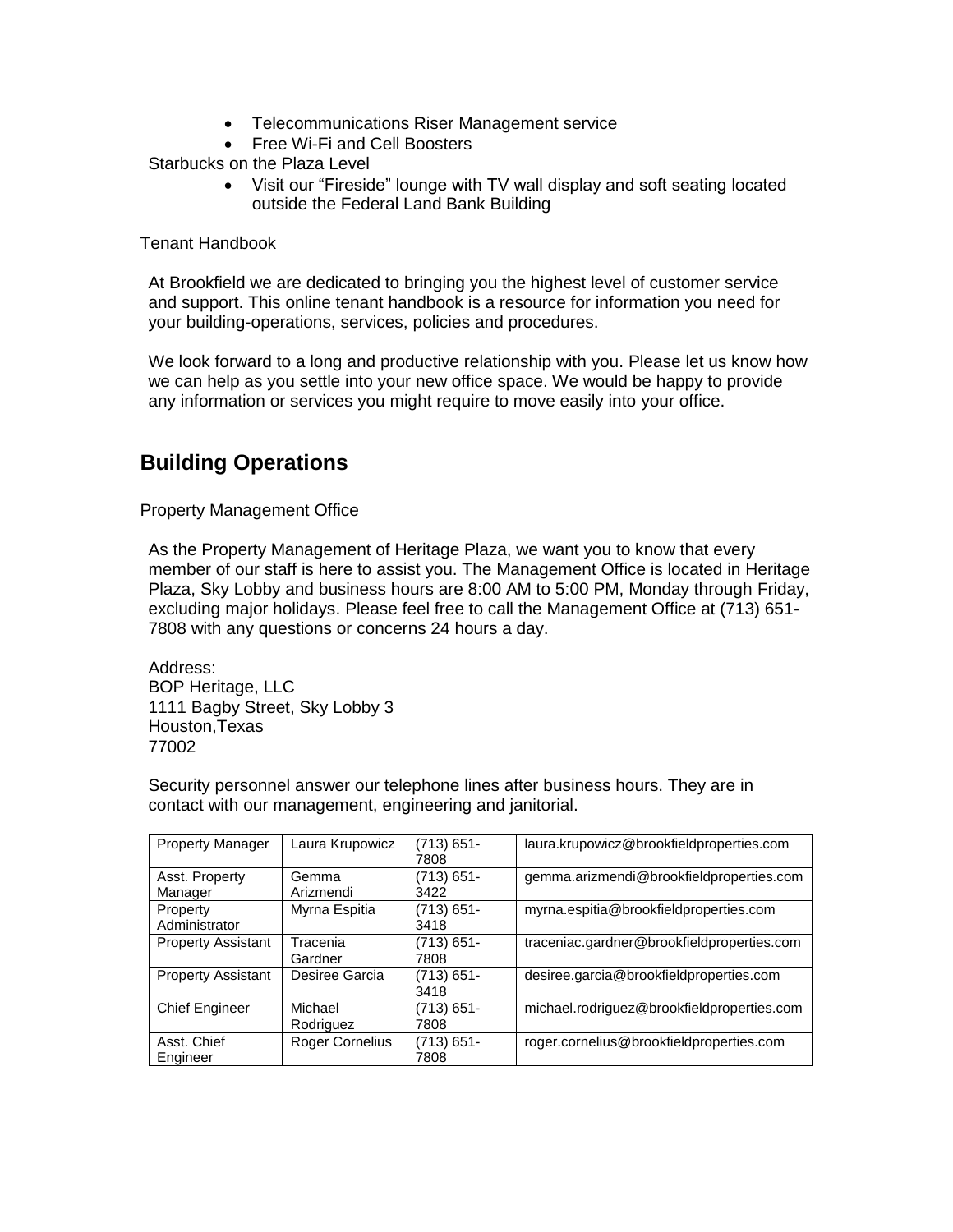Try to keep the caller talking as long as possible. Ask the person to repeat part of his message. Remain calm. Write down the message and obtain as much relevant information as possible. To assist you, a printed form has been supplied to record significant items. Below are some of the items listed on the form along with other information that would aid in the investigation.

- Time the call was received?
- When is it due to explode?
- Identification of the caller?
- Why was the bomb put there?

Try to recall every statement made by the caller and find out as much as possible about the caller. For example:

- Sex
- Age
- Voice characteristics (educated, low, high-pitched, accent)
- Speech (fast, slow, nervous, slurred throat drinks or drugs)
- Manner (calm, angry, hysterical, humorous)
- Background noises (road traffic, music, giggling, aircraft)

After a bomb threat call has been received, immediately call 911 and notify Security/Property Management Office. The building manager will coordinate the search activities and make necessary notifications.

Click here for the Bomb Threat Checklist - Coming Soon!

# Letter Bombs

Letter bombs are designed to travel safely but to explode when opened, triggered by either mechanical (spring loaded) or electrical means. One common type of postal bomb consists of 2 to 5 ounces of plastic explosive with a pencil-shaped metal fuse pressed in its center. Envelopes usually measure approximately 5-3/4" by 4" by 3/16" thick and weigh between 2 and 5 ounces.

Some signs to look for:

- Size Is the letter unusually thick?
- Weight Is it heavy? An effective letter bomb will weigh over two ounces. Few first class letters weigh as much.
- Balance Is it heavier on one end?
- Appearance Are there grease marks on the envelope or wrapping caused by sweating of an explosive? Is the envelope sealed more tightly than usual or taped shut? Does it bear an unusual style of writing?
- Odor Is there a smell of almonds or marzipan?

If a parcel or letter appears suspicious DO NOT OPEN IT. Immediately call 911 and inform the Security/Property Management Office (713-651-7808).

Identifying and Handling a Suspicious Package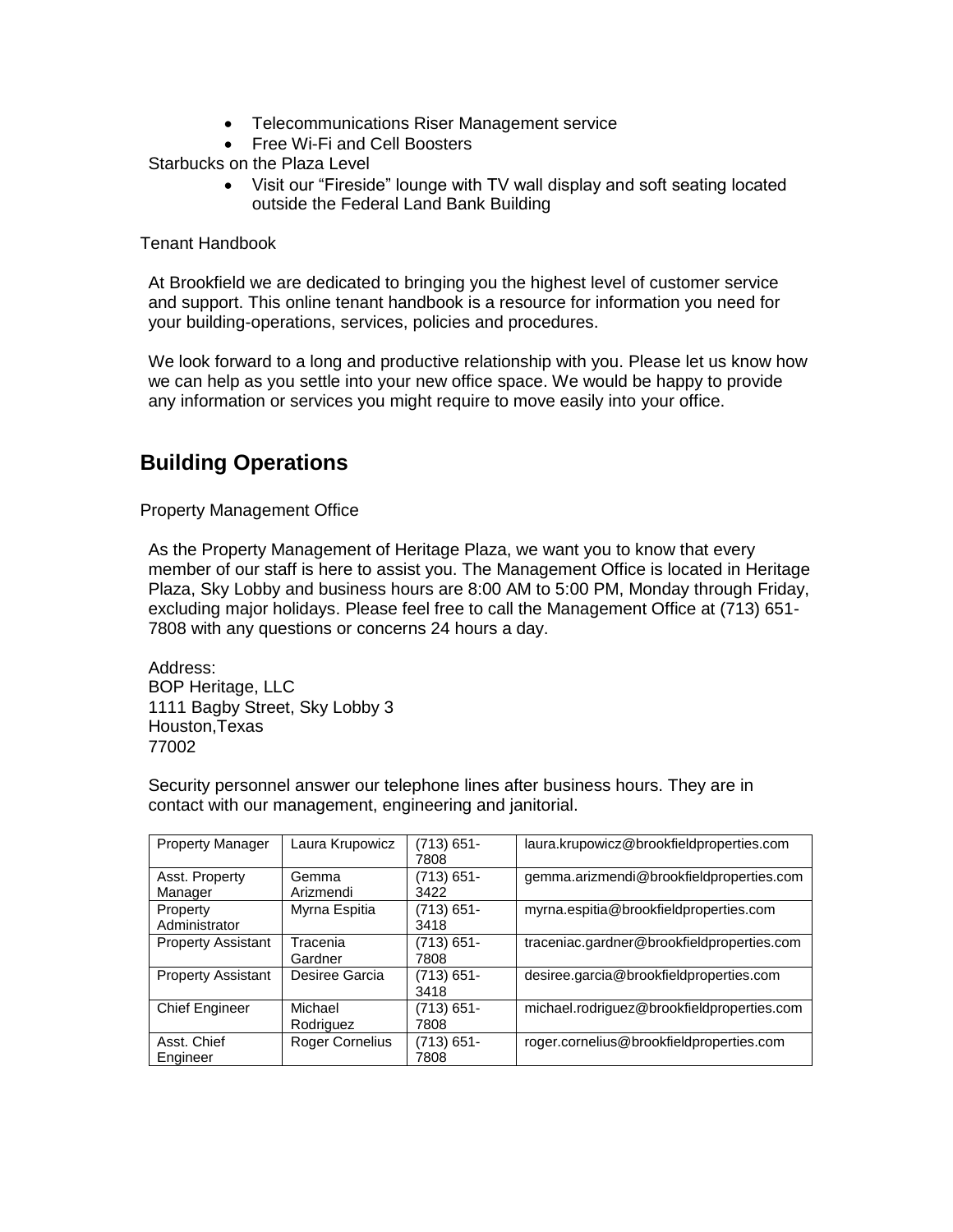A suspicious letter or parcel might have some of the following indicators:

- Origin Postmark or name of sender is unusual, unknown, or no further address is given.
- Postage Excessive or inadequate postage.
- Balance The letter is lopsided or unusually thick.
- Weight The letter or package seems heavy for its size.
- Contents Stiffness or springiness of contents; protruding wires or components; oily outer wrapping or envelope; feels like it contains powdery substance (When checking, do not bend excessively.)
- Smell Particularly almond or other suspicious odors.
- Writing Handwriting of sender is not familiar or indicates a foreign style not normally received by recipient. Common words or names are misspelled.
- Rub-on block lettering

Save all materials, envelopes and containers. Avoid unnecessary handling to preserve fingerprints, handwriting, printing, postmarks, etc. Preservation of evidence is essential.

Handling a Suspicious Package

- Do not excessively handle or open a suspicious package.
- Immediately segregate it in an unused room or space.
- Attempt to verify the sender and/or the legitimacy of the package (i.e. ask the recipient if he/she was expecting a package that matches the suspect package's size and shape.)
- If the letter or parcel remains suspect, prevent anyone else from handling it.
- Call 911 and follow their instructions.
- Call Property Management Office at (713) 651-7808.
- Follow instructions of Emergency Personnel.

If instructed, occupants should search only their immediate area and report the results of their search to the Fire Wardens. Occupants should unlock desks, lockers, file cabinets and turn off office machinery, but leave lights on. If necessary to evacuate, remove all personal items including purses, attaché cases, packages and lunch boxes that might cause wasted searching efforts. Leave doors open.

If a complete evacuation is ordered, all evacuation routes should be checked first.

# Search Procedures

If the caller states or implies that a bomb is in a particular suite, Brookfield Security will request that the tenant assist in the search of their floor. Tenants are more familiar with their floor and they can determine whether an object belongs in the office, has been moved or is out of place.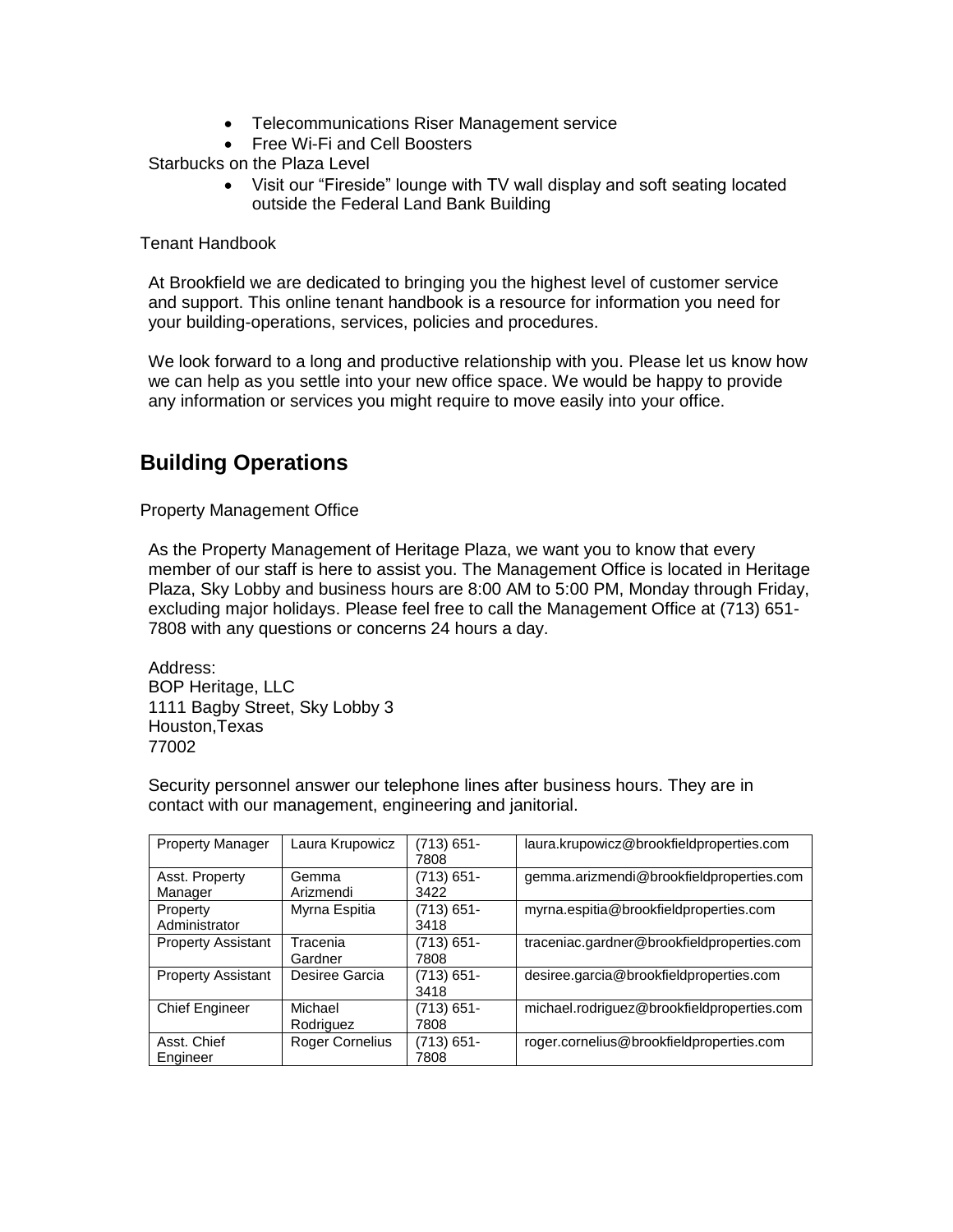If the caller states or implies that a bomb is in a common area of the building, then Brookfield staff and its Security Officers will conduct the search. During a search, communication is of the utmost importance and can be readily established through existing land-line-Installed telephones.

CAUTION: The use of radios or any other wireless devices during a search can be dangerous by causing the premature detonation of an electric initiator (blasting cap).

# Search Team Procedure

It is advisable to have a team of two people search every room and area, if possible. When you enter a room to search it, first move to different areas of the room and stop and listen for unusual noises; become familiar with the background noise. Conduct your search using the following method:

- Search from floor to waist level
- Then search from waist to chin level
- Then search from chin to ceiling Level
- Then search in the suspended ceiling (if applicable)
- Place a sign or 'Post-it' note indicating "Searched" in a conspicuous Location

Suspicious Object Located

If a suspicious object is found:

- Isolate the object
- Do NOT move, jar, or touch the object or anything connected to it or around it
- Evacuate everyone in the area, including yourself.
- Notify the Security/Property Management Office immediately.

Chemical, Biological, Radioactive (CBR) Release

If there is a CBR release including an envelope "white powder" and potential exposure call 911 and the Security/Property Management office. Provide the building's address, your floor and phone number, and also what type of spill has occurred. Any person(s) exposed should be directed to an area where they and where other people will not become contaminated, and are to await medical attention there.

Take appropriate action to contain the hazard; close doors behind you, and always follow all safety procedures when working with toxic materials.

- Contain the material and isolate the area.to minimize the impacted area
- Contain the material to minimize the number of individuals exposed
- If outside, identify wind direction and ASAP direct unaffected persons upwind of release.
- Contain the potentially impacted individuals to ensure that they receive proper medical attention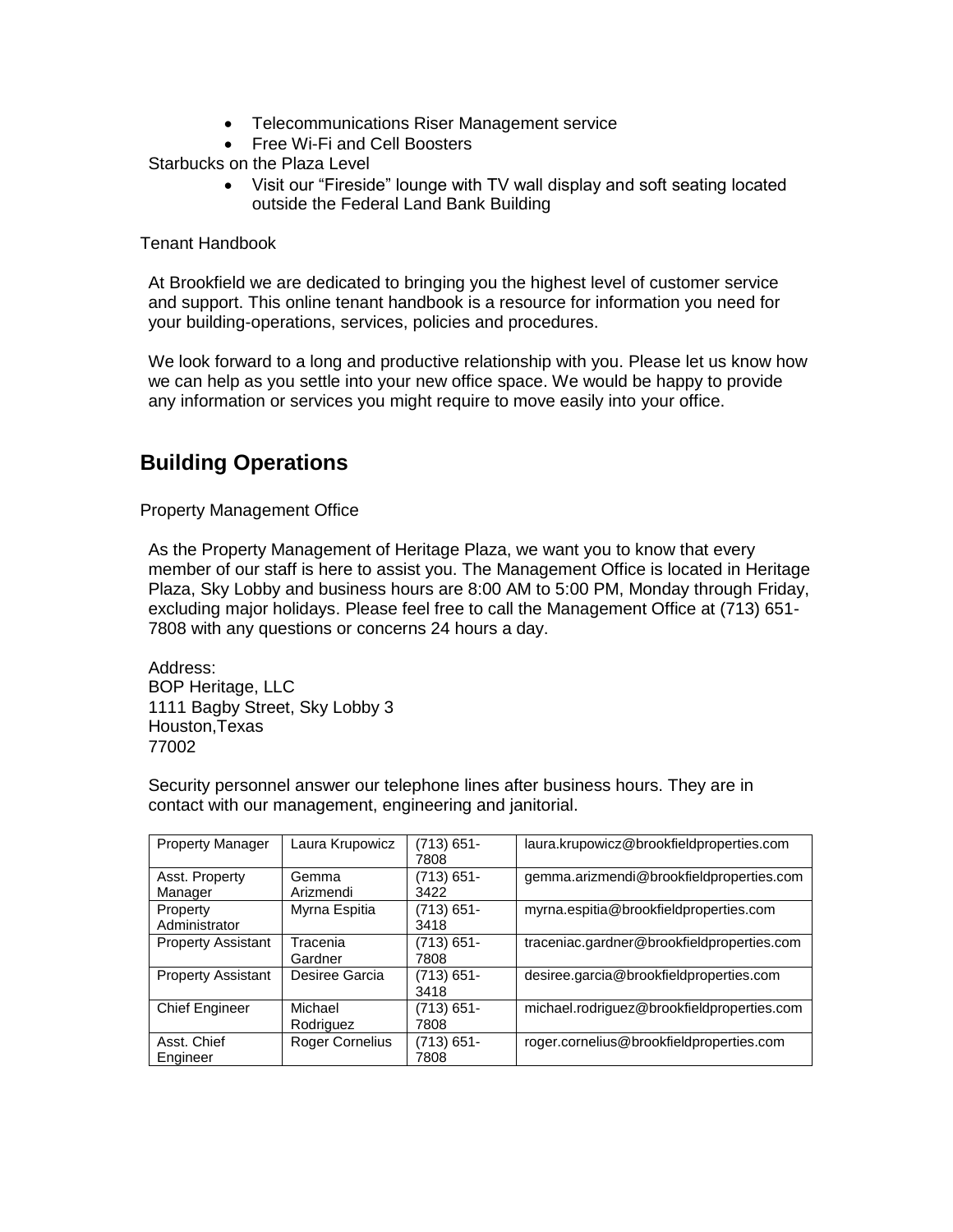# **Notification**

- Notify Security/Property Management Office
- Notify local Emergency Response Authorities (Call 911)
- Notify your supervisor
- Notify persons in the area

# **Containment**

If material is released, potentially impacted individuals should move from immediate area to adjacent control area. Minimize activities until appropriate response staff arrives. If absolutely necessary, move impacted individuals into nearest bathroom facility on floor.

Non-impacted individuals on the impacted floor should be evacuated and await further instructions from response team.

The HVAC (heating and ventilation) system for impacted and adjacent areas, as well as for bathrooms/kitchens will be immediately turned off by the property engineers.

Isolate the impacted area(s), e.g. shut door during exit. Do not allow any unprotected personnel into the impacted area.

Retain all impacted material for response team.

Should an evacuation or re-location become necessary, the initial authority and responsibility to implement that response will be the building's Emergency Action Plan Director. Once the agency having jurisdiction (police, fire etc...) arrives on the scene, they will assume control of the situation.

# Elevator Entrapment

Occasionally elevator service can be interrupted when the elevator controls detect a potential malfunction. The building elevator equipment is designed to stop at the slightest hint of an unsafe condition occurring, which may impact service to passengers.

If elevator service is interrupted while you are a passenger, remain CALM. Do not attempt to force the elevator doors open or leave the cab.

Press the "EMERGENCY ALARM BUTTON" on the elevator panel which will summon assistance. Two way voice communication is available in all building elevators and security will remain in constant contact.

Once communication is established with security, the elevator mechanic will be notified to respond. Please stay away from the elevator doors and Do Not try to open the elevator doors.

Inform security of the following: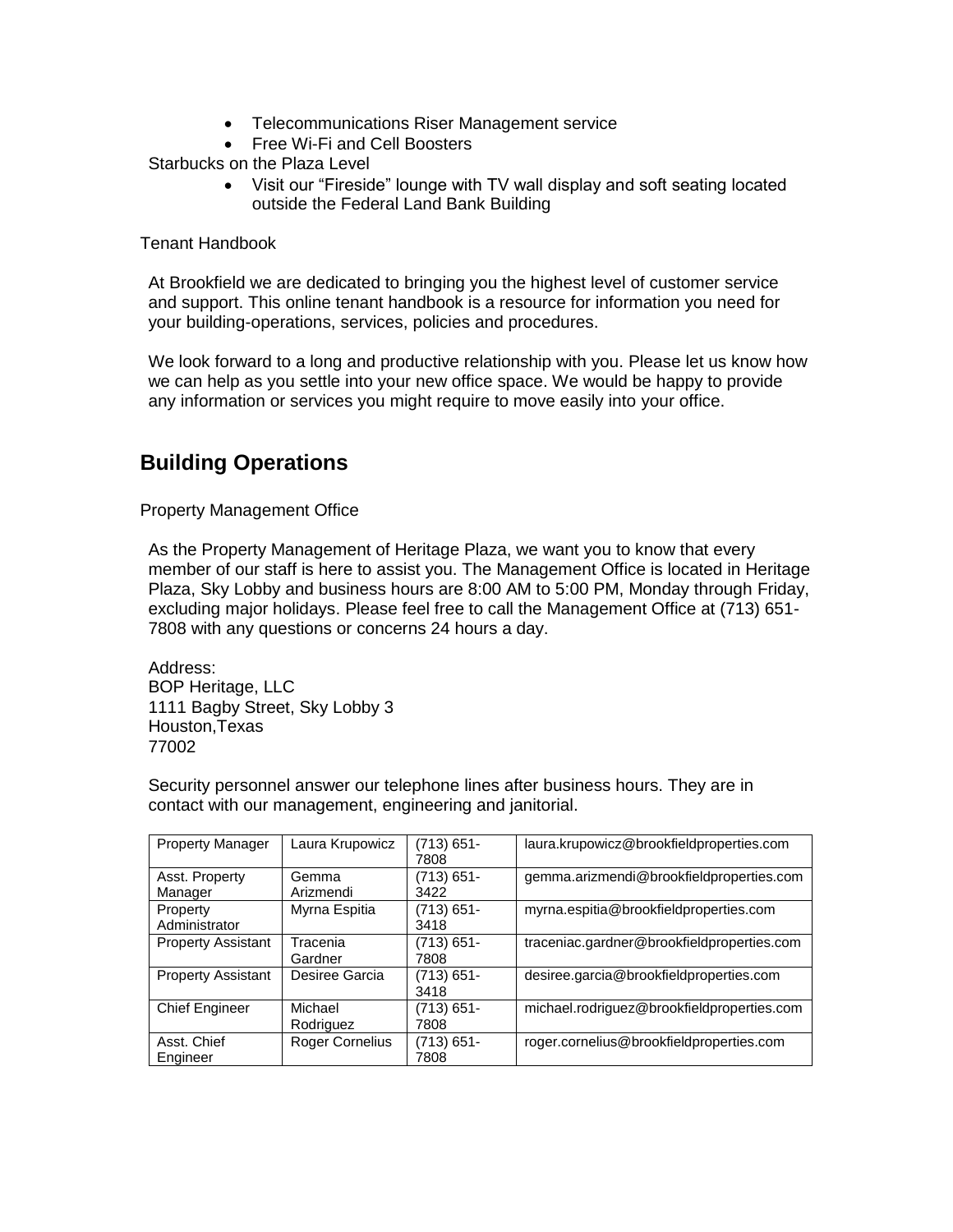- Number of people in the elevator? \_\_\_\_\_\_\_\_\_\_\_\_\_
- Condition of people in the elevator?
- Number of injuries?
- Condition of the elevator? \_\_\_\_\_\_\_\_\_\_\_\_\_\_
- Names of people in the elevator? \_\_\_\_\_\_\_\_\_\_\_\_\_
- Company names? \_\_\_\_\_\_\_\_\_\_\_\_\_\_
- Telephone numbers?
- Who you would like notified?

Security personnel will maintain constant communication with the elevator occupants checking on physical condition and inform them that elevator staff is working on the condition.

Emergency Notification System – LiveSafe

LiveSafe is a mobile safety application and emergency communication dashboard platform. The LiveSafe Command Dashboard is a web-based system that any computer connected to the Internet can access. The command dashboard provides security operation centers with an additional line of communication and is aligned with existing Brookfield protocols.

Unlike other mass communication companies our staff and tenants will have the ability to not only receive but to also send critical emergency AND ROUTINE tips to a dashboard that YOUR BUILDINGS can monitor in house.

Below is a list of LiveSafe mobile application features that will be available to our tenants:

- One button feature to contact security or property management directly.
- One button feature to contact 911.
- One button feature to have access to critical portions of the Tenant Emergency Procedure Manual (TEPM) and tabs for each emergency scenario.
- The ability to report an emergency or tip and add a photo or video to send to the dashboard. This can also be done anonymously for privacy reasons.
- The ability to use the Safewalk feature which will allow the tenant to have a colleague or co-worker monitor their activity when they are leaving the property, headed to the garage or to the train station OR TRAVELING OUT OF TOWN.
- As long as their colleague has the LiveSafe app, Safewalk can be used in any capacity that a tenant wants a colleague to follow their path.

Fire Emergencies

In the event of a fire alarm activation:

Typically, the building's fire alarm system will sound on the floor in alarm and the floors immediately above and below the initial floor in alarm. This will set off a "sequence of operations" that will include the activation of the evacuation tone and strobes lights on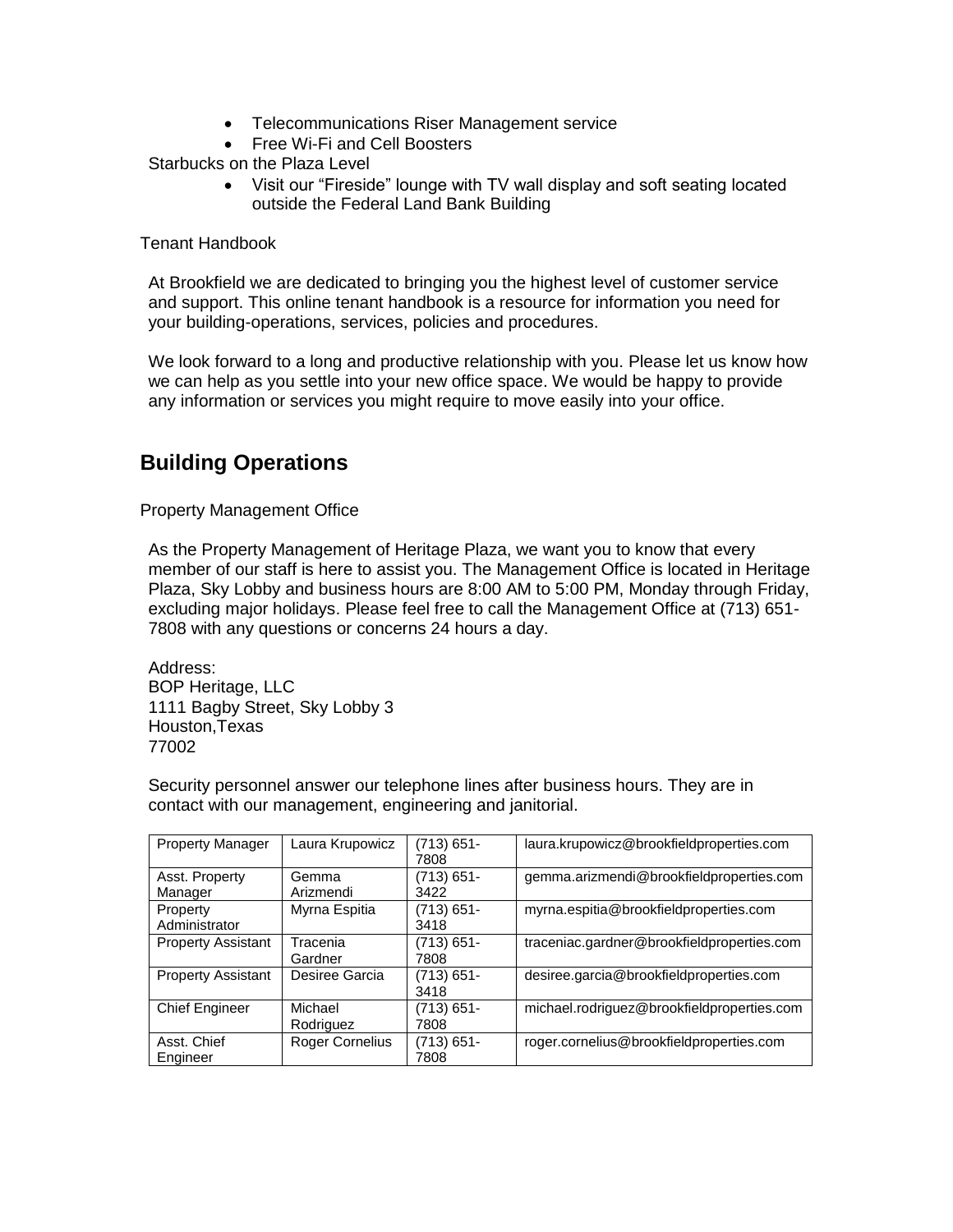those floors, the release of the stairway re-entry doors for relocating building occupants, the recalling of the elevators to the lobby, and the shutting down of the heating ventilation and air conditioning (HVAC) on the floors in alarm.

Upon activation of a fire alarm on your floor, you are to listen to the PA announcements from the building's Emergency Action Plan Director and proceed to the nearest safe stairway exit and continue down the stairs to your floor's re-entry floor or evacuate the building to the pre-determined outside assembly area depending on your regions typical response plan.

In either scenario, whether relocating to another floor or evacuating the building to the outside assembly area, you are to report in to your floor warden(s) and await further instructions.

If you see or smell smoke, immediately call 911 and the Security/Property Management Office.

If you see flames, evacuate your area immediately and close all doors behind you. NOTE a fire may spread faster than you think, trapping you and others. A safe and orderly evacuation is the first priority. If you have not heard a fire alarm announcement in the building, activate the nearest fire alarm pull-box station located near each stairwell entrance, by pulling the lever, and then call Security.

If you are involved in a fire situation, remain CALM. Listen for information and instructions being announced over the building's public address system.

At the direction of property staff or the Floor Wardens, evacuate the floor via the Emergency Exit Stairwell proceeding as follows:

- Check doors with the back of your hand before opening them. If door or knob is hot, don't open it. If it feels cool, brace the door with your foot and open slightly to look for smoke and feel for heat. If the air appears to be cool, proceed into the stairwell.
- Walk down the stairs and proceed to your re-entry floor or if instructed to do so, exit the building. When you have reached your destination, assemble in groups with your Floor Warden for roll call.
- Personnel needing assistance should assemble in the designated stairwell with their assigned "buddies" to await evacuation by rescue teams.
- When all personnel have evacuated the floor, close the stairwell door. This prevents the loss of the pressure which is necessary to maintain clean air in the stairwells.
- If the fire is minor, and it is safe to do so (i.e., small waste paper basket) you may try to extinguish the fire using a portable fire extinguisher - this is optional!
- Evacuate the floor using designated evacuation stairs. DO NOT USE THE ELEVATORS!

Relocation and Evacuation in the Case of Fire Emergencies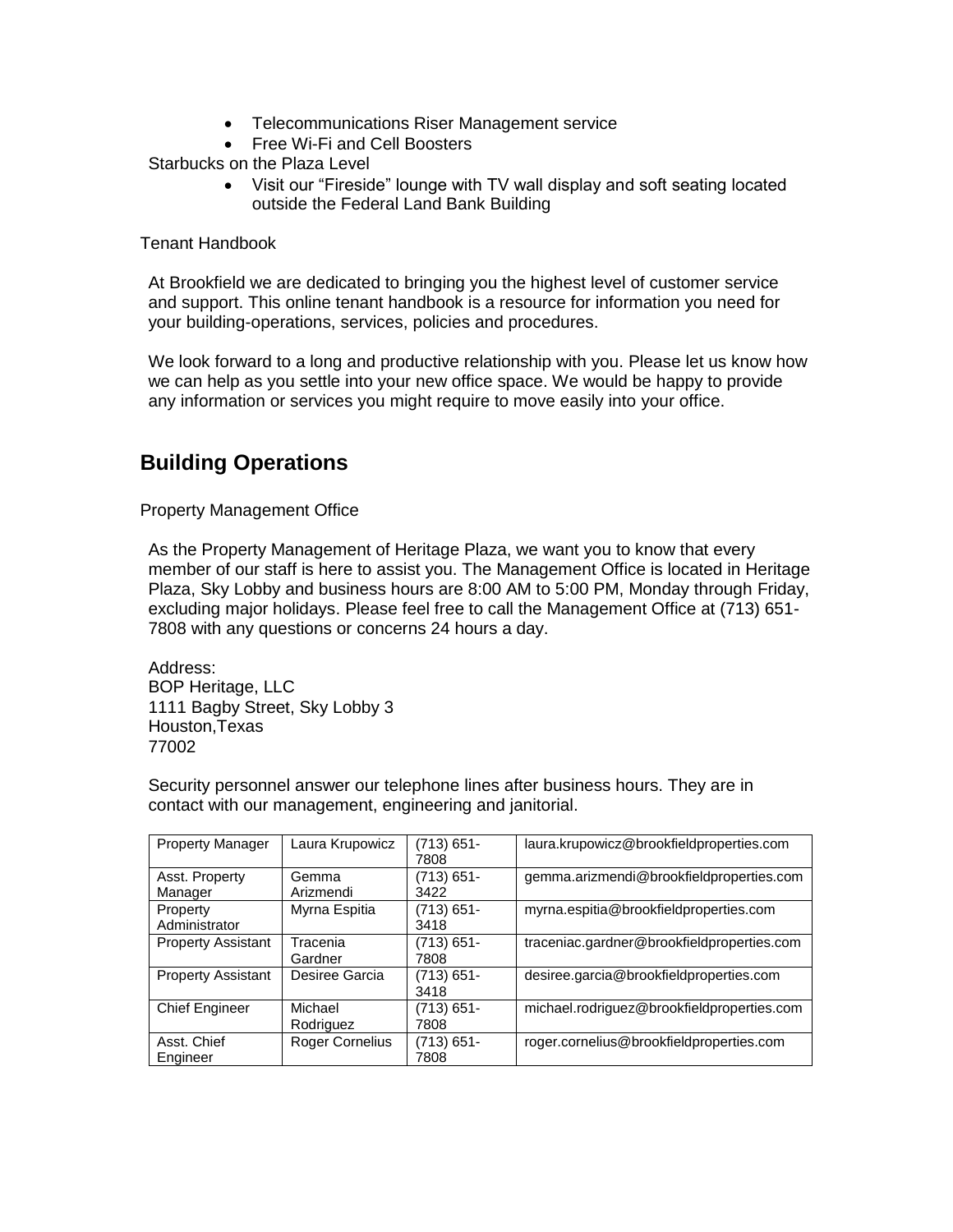In order to ensure the safety of building occupants, it may be necessary to relocate or evacuate some, or all, building occupants during emergencies. The schedule of relocation floors is included in the Tenant Emergency Procedure Manual and is reviewed during the semi-annual fire drill.

A relocation, partial evacuation, or full building evacuation is a structured response to an emergency and must be conducted in an orderly manner. Upon a fire alarm evacuation or notice to evacuation your floor, tenants and visitors should take the following steps:

- Assist the Floor Wardens in directing persons to the exit stairway and relocation floor.
- If possible, close all doors, which will slow the spread of fire, heat, and smoke.
- Walk quickly but do not run to the designated stairway. Keep to the right in halls and stairwells and stay in single file.
- Once you are in the stairway, do not turn back for any reason.
- Hold onto the hand rails, DO NOT TALK on your cell phones and DO NOT TEXT!
- Merge alternately when two lines meet at various floor landings. Proceed in an orderly manner.
- Before entering through a closed door, place your hand on the door. If the door is hot, do not open it. You may be entering a fire or endangering the lives of the people in your charge. If there is evidence of fire or smoke on the designated relocation floor (doors warm, alarm is sounding on relocation floor, or smoke is present), continue down the stairs to the next "safe" floor.
- Do not use elevators when there is a fire alarm on your floor. Elevators can spread smoke from floor to floor and potentially become a trap if impaired by smoke or fire damage. The Fire Department may also require the elevators to move equipment or rescue occupants.
- Do not return to your floor until the "Back to Normal" announcement has been made.
- If told to evacuate the building by Fire Department or building personnel, exit via the stairwell to the street or lobby level, out the doors, and away from the building to your pre-arranged assembly point.
- Do not exit at the concourse or parking areas unless directed to do so.

# Fire Life Safety

Brookfield prides itself on providing the highest level of prevention measures to ensure the safety and security of our customers, visitors and employees. We recognize the growing importance of safety and security in our buildings, and Brookfield's National Security Program is designed to heighten tenant awareness and increase understanding of our safety and security processes and procedures. Our program recognizes that prevention is the cornerstone of emergency management. Through long-term planning and the use of enhanced technology, Brookfield's National Security Team works to address the ever-changing security needs of our properties.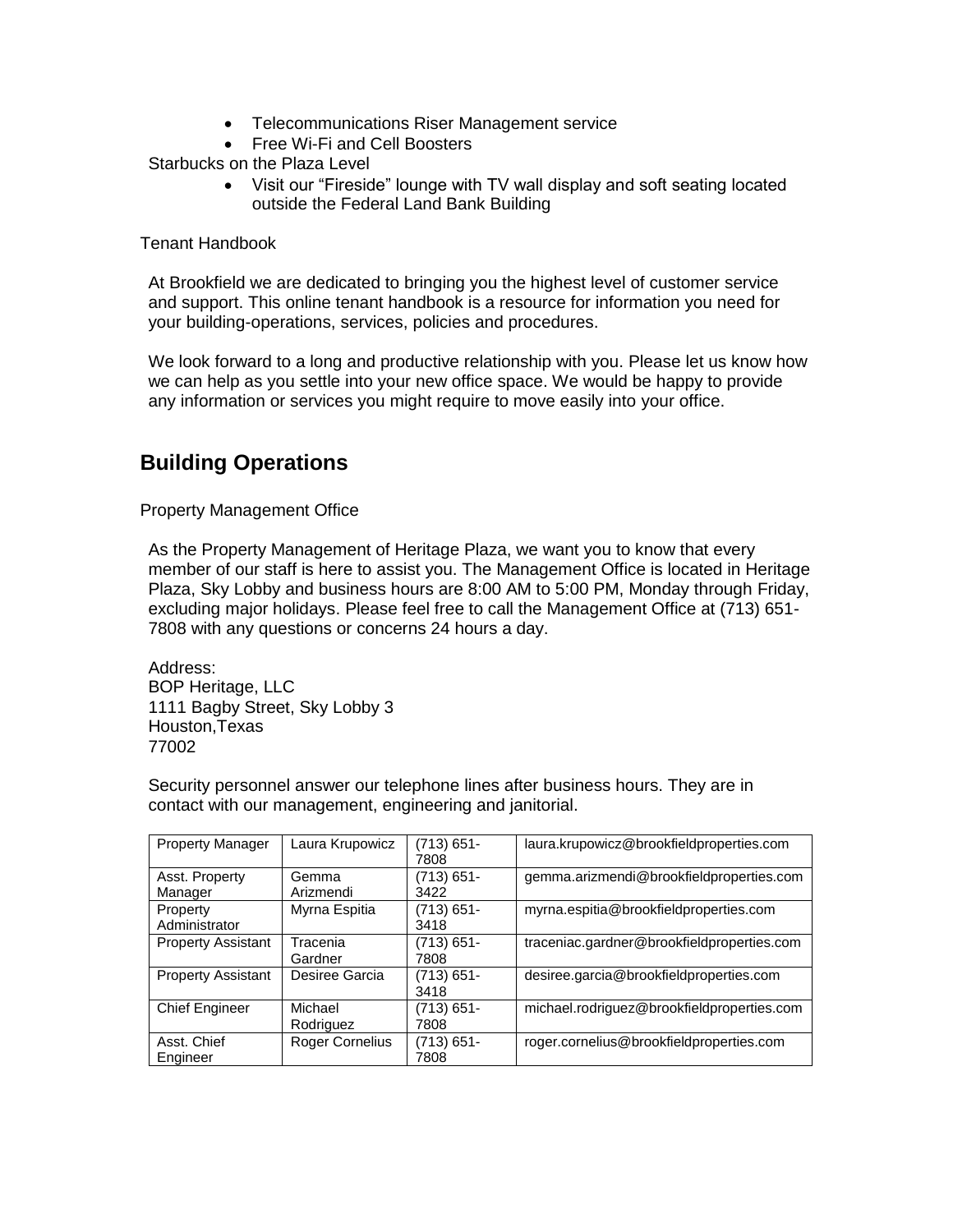Click here to learn more about life safety and security training. Log in to the site, and if your company requires a specific Registration Code, please contact the Building Office at 713-651-1515.

Brookfield's National Security Team's key responsibilities include:

- Delivering unparalleled service to our customers
- Maintaining our national programs at the highest state of readiness
- Cultivating professional relationships with local law enforcement agencies

# Fire Preparedness

The Fire Provisions section of this handbook contains very important information. Each tenant should be familiar with the information provided on the following pages. Listed below are a number of links to help find specific information quickly and easily.

Brookfield is proud of its efforts to provide the highest possible level of fire and life safety protection, which include fire safety education, as well as emergency planning It is important that each Brookfield tenant is well informed on all issues related to fire and life safety through the following measures:

- Tenants are given materials describing emergency guidelines and bomb threat checklists for distribution to all employees.
- The Tenant Fire Safety Team personnel receive training from the building's Emergency Action Plan Director and through the Tenant Emergency Procedure Manual written specifically for your building.
- Brookfield holds semi-annual fire life safety drills to insure tenants know how to react in an emergency.
- Brookfield provides additional fire life safety training for tenants through an on line life safety training website that provides training modules in fire, medical, bomb threats, power failures and access to all of the building's safety resources.
- Brookfield, in conjunction with security consultants, holds seminars for tenants as well as building staff. Seminar topics include fire life safety, bomb threat preparedness, and other non-fire emergencies related issues.

Fire Prevention

Elements of Fire

There are three elements of fire:

- Fuel (furniture, plastics, grease, etc.)
- Heat (matches, cigarettes, sparks, electric, etc.)
- Oxygen

Fire needs all three elements. If you remove one, you can eliminate or reduce the fire. For example: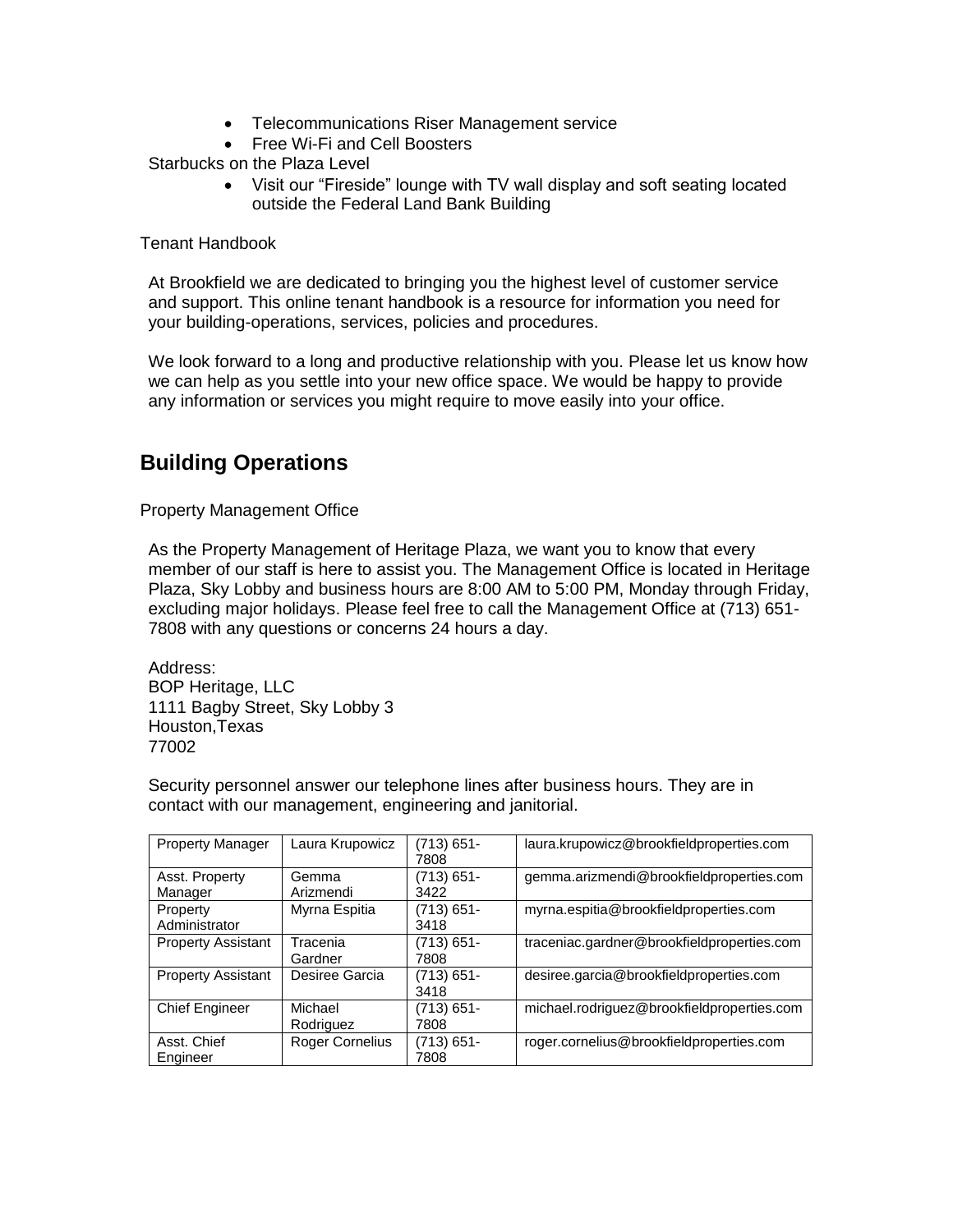- 1. Closing doors reduces the amount of oxygen
- 2. Dousing with water reduces heat
- 3. Using an ABC Type Fire Extinguisher smothers the fire, reducing oxygen
- 4. Removing nearby draperies, papers, furniture removes the source of fuel

Fire Tips and Facts

- In an emergency, use stairwells. Do not use elevators, unless instructed otherwise.
- Feel the stairwell door with the back of your hand for heat, before opening the door.
- If you encounter smoke, get down on your hands and knees. The air is cleaner and cooler nearer the floor. Crawl to the nearest stairwell exit.
- Most fatalities are a result of smoke inhalation, poisonous gases and panic. Panic, a sudden overpowering terror, is usually the result of not knowing what to do.
- Smoke detectors serve as an early-warning system. Smoke detectors save lives.
- A sprinkler system is designed to suppress a fire. Sprinkler heads are activated one at a time by a rise in the temperature.

Planning and Preparedness

- Have a list of emergency phone numbers.
- Be familiar with your floor's layout.
- Know primary and secondary exits routes and termination points both up and down.
- Know location, type and how to use manual fire alarms and fire extinguishers.
- Know primary and secondary methods of communication.
- Know safe refuge areas (re-location floors) during a fire emergency:
- If relocating within the building usually a minimum of four (4) floors below the fire floor is adequate.
- When evacuating the building move away from the building, and out of the way of emergency vehicles, flying glass and other obstacles. Usually a distance that is greater than the height of the building and proceed to your pre-determined outside assembly area.

Safe Stairwell Procedures

- Remain quiet and calm. Do Not Talk and Do Not Text!
- Remove high-heel shoes. Keep a pair of old sneakers next to your work station.
- Use handrails & move quickly. Walk in a single file.
- Keep to the right so Emergency personnel can ascend the stairs on the left.
- Allow others to enter into stairwell flow, but do not unnecessarily hold up traffic.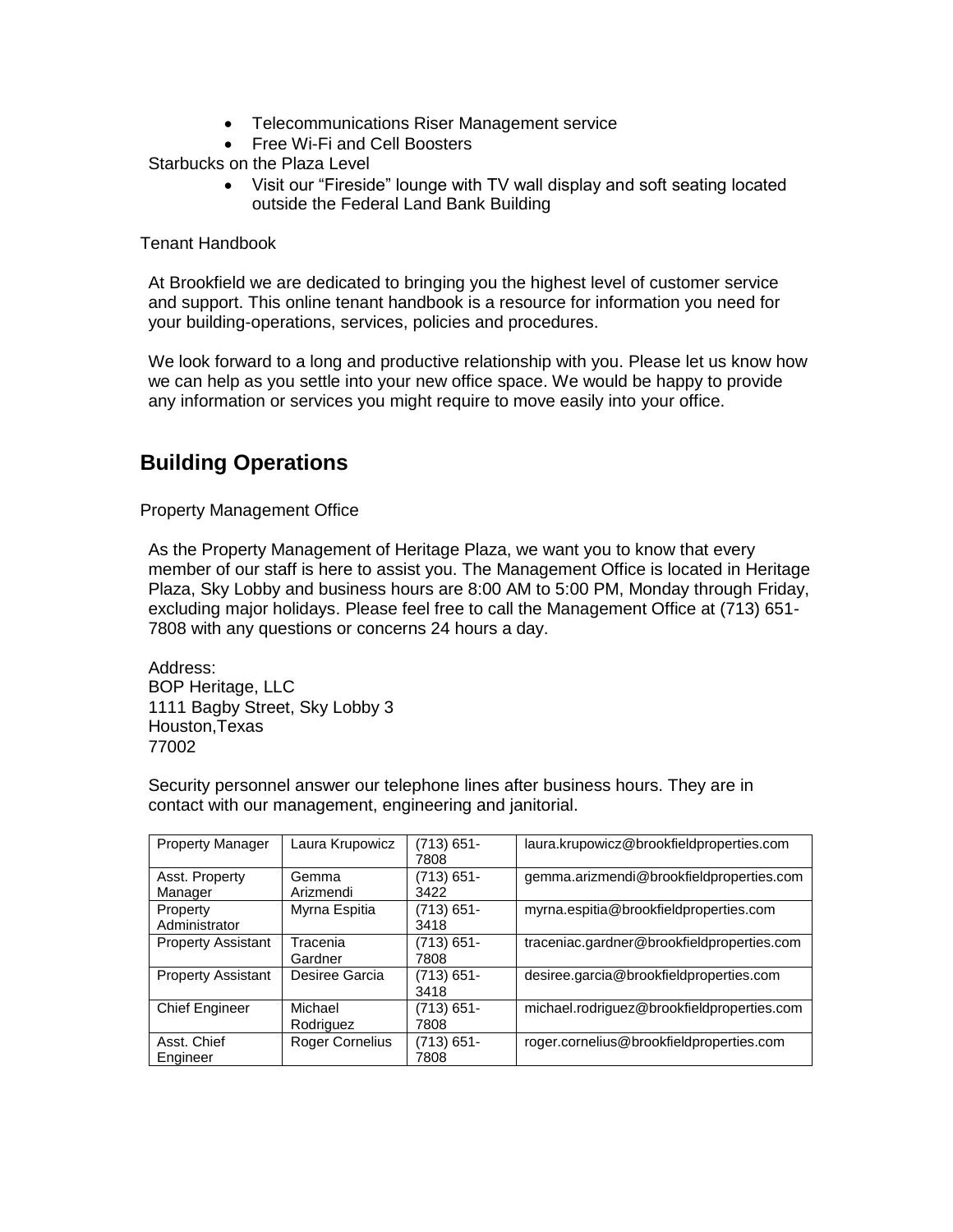- Assist those who are slower or physically impaired.
- Walk down the stairs (unless otherwise instructed).
- All injuries should be treated at stairwell landings when required and safe to do so.
- Do not spread false information, rumors, etc.
- Do not bring drinks or food into stairwell.
- Develop awareness of safety conditions, fire violations and potential hazards, for example: fire doors improperly blocked or open, improper lighting, frayed cords, overloaded outlets, obstructed halls and corridors, trash buildups, etc.
- Participate in fire drills and review emergency procedures.
- Know your area of responsibility and your emergency actions.

Fire Prevention Tips

- Obey "NO SMOKING" law in all areas of the building.
- Do not use portable heaters in the building at anytime.
- Check for frayed or damaged electrical cords. Report them to your supervisor.
- Do not run electrical cords under carpets or chair pads.
- Do not overload electric outlets.
- Turn off or unplug appliances when not in use.
- Do not let trash overflow in wastebaskets or collection areas.
- Do not block corridors, freight elevator bays and stairwells.
- Do not prop open stairwell, corridor or other fire doors.
- Check lighting in corridors, stairwells and exit signs. Report any malfunctioning lights.
- Do not store any flammable liquids, oily rags or combustible materials in the building at anytime.
- Under NO circumstances should any items be stored in the stairwells. They are your means of exiting in an emergency.

# Fire Extinguishers

Always maintain 3 feet of clearance around all fire-protection equipment. Never re-hang a fire extinguisher once it has been used. Have it recharged by a licensed service provider. Most of all, practice fire prevention and good housekeeping. Don't give fire a place to start.

# Class A

Any fire involving ordinary combustible materials such as paper, wood, cloth, rubber and plastics. Extinguish with a penetrating cooling agent. Water is the best material commonly available for this.

# Class B

Any fire involving flammable liquids, such as gasoline, naphtha, acetone, greases and oils; or flammable gases like methane or hydrogen. Extinguish with surface-acting agents such as dry chemicals, which break up the chemical reaction of the fire; or use inert, dense, heavier-than-air gases, which smother the fire.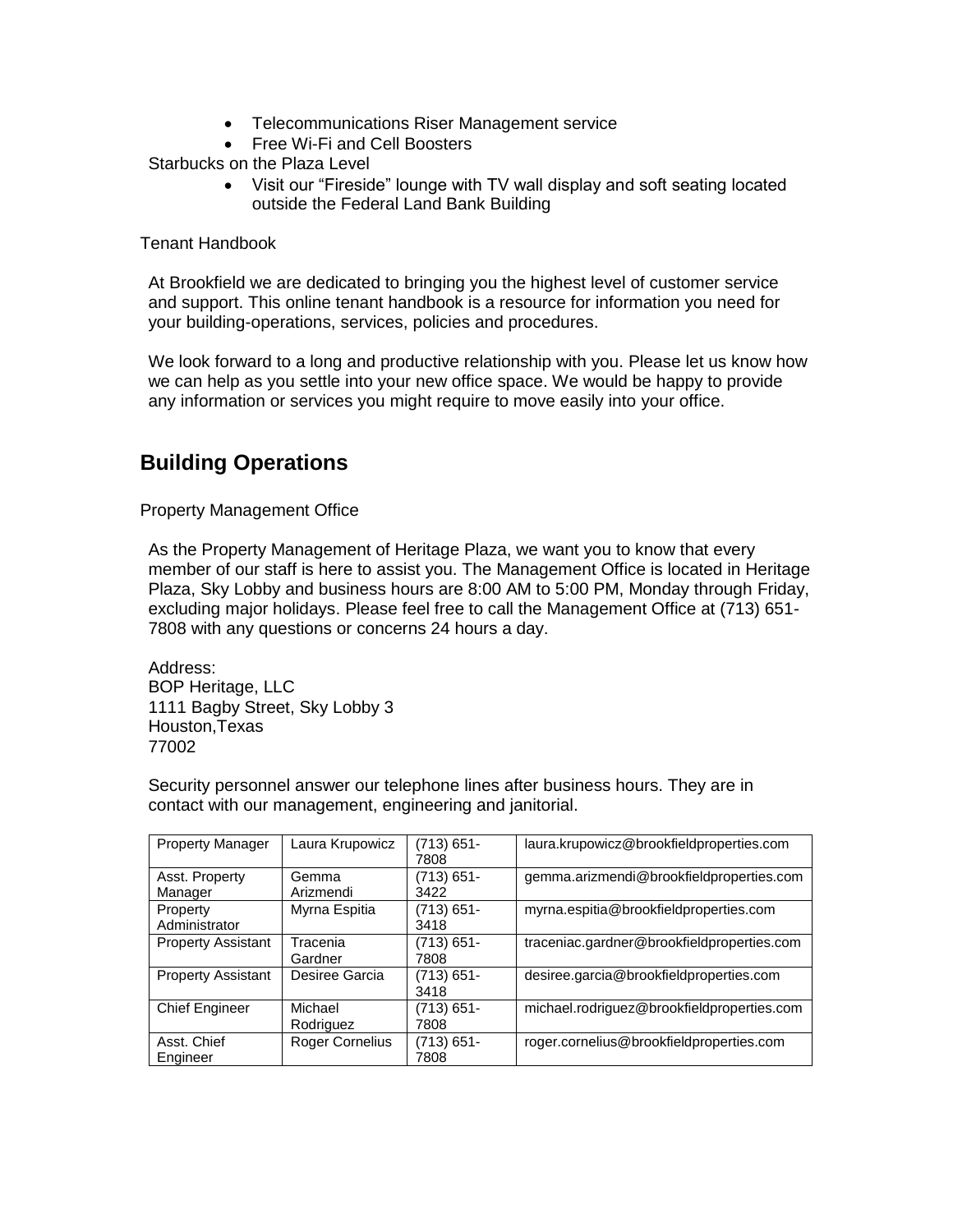# Class C

Any fire involving electrical equipment, appliances and wiring. Extinguish with a nonconductive extinguishing agent to protect against electrical shock. Most extinguishers that have a Class B rating also have a Class C rating, but read the label to be sure.

# Class D

Any fire involving combustible metals such as magnesium, lithium, potassium, etc. would be considered a Class D Fire

Fire Extinguisher Types

The building is equipped with multipurpose ABC dry chemical extinguishers that are suitable for class A, B and C type fires. All Class A fires must be followed up with water to ensure extinguishment of all deep-seated smoldering fires.

Class A - Air Pressure Water Tank, Hand Pump Water Tank and multipurpose ABC dry chemical.

Class B - Pressurized Dry Chemical, Carbon Dioxide, and multipurpose ABC dry chemical.

Class C - Pressurized Dry Chemical, Carbon Dioxide, and multipurpose ABC dry chemical.

The "PASS" Method for Using ABC Extinguishers

- Pull safety pin while holding upright
- Aim the hose at base of fire and stand back 10 feet and
- Squeeze the lever/trigger.
- Sweep side to side.

Fire Safety Personnel

# Fire Safety Director

Trained Fire Safety Directors are on duty at all times. They are responsible for ensuring that all tenants are trained and aware of the safety procedures. In an emergency, the Fire Safety Director has the primary responsibility of manning the Fire Command Center and implementing the Fire Safety Plan. From this main location in the lobby, he/she will be able to control all mechanical, alarm, and communication systems within the building. The Fire Safety Director, under normal fire or fire alarm situations will usually only have to be initially concerned with evacuating the fire floor and the floor immediately above. As a standard operating procedure, usually the evacuation of those exposed will be to a location four (4) floors below the floor evacuated. Further evacuation, of additional floors, can be ordered as information is received at the Fire Command Center, or as ordered by the Fire Department Incident Commander.

The Fire Safety Director organizes and trains a Fire Brigade composed of Building staff and is responsible for their equipment and state of readiness. He or she is also responsible for overseeing the designation and training of a Floor Warden for each floor and sufficient Deputy Floor Wardens for each tenant to meet Fire Department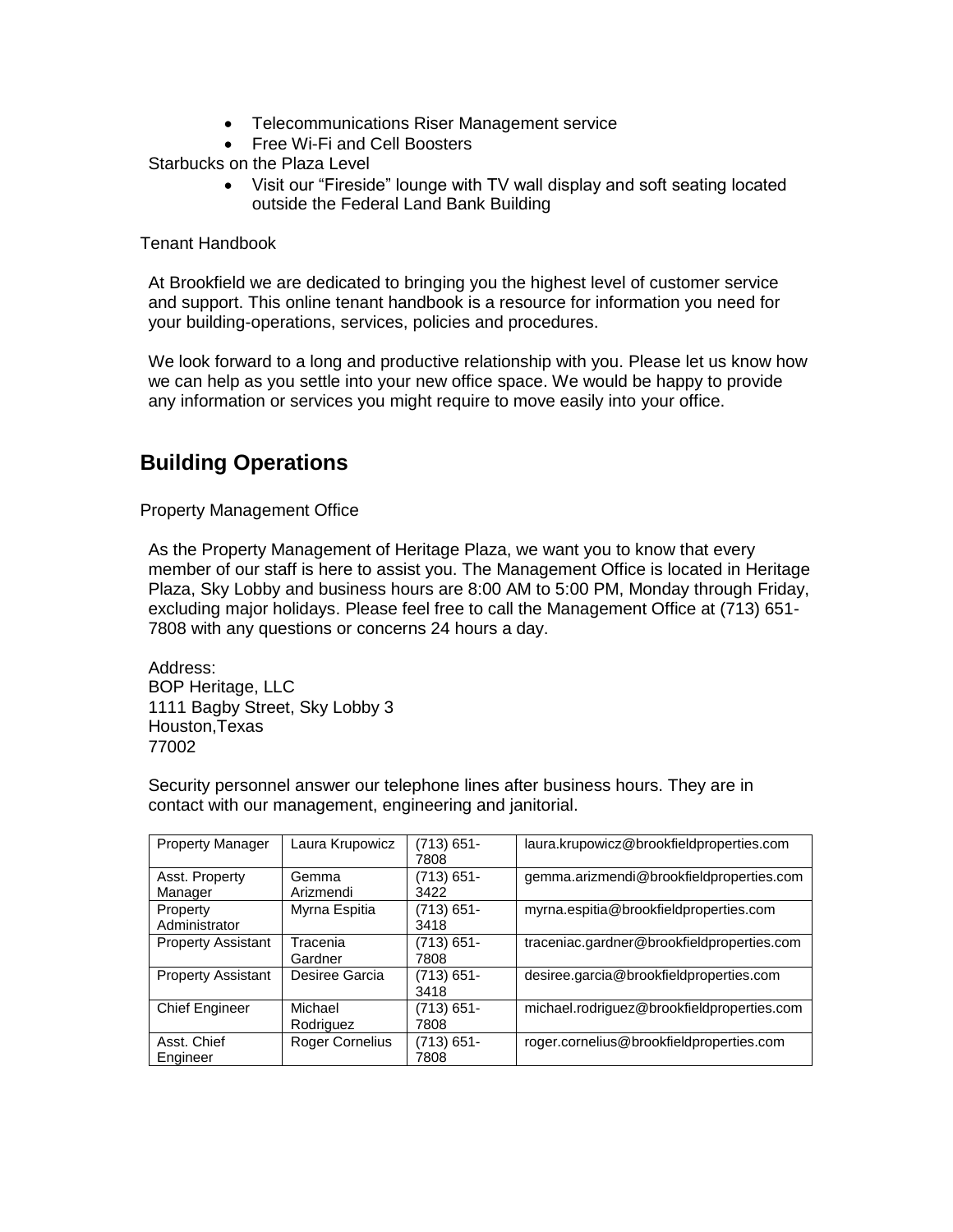regulations. The Fire Safety Director maintains organizational charts listing members of the current tenant emergency teams.

# Fire Brigade

A Fire Brigade, consisting of building personnel, will initially report to the floor below the fire to assist in evacuation and provide information to the Fire Command Center. After the evacuation of occupants from the fire floor they shall attempt to control the spread of fire by closing (but not locking) doors behind them as they move towards their means of egress. If the fire is small and conditions do not pose an immediate personal threat, (i.e., a fire in its incipient or beginning stage) the Fire Brigade will attempt to extinguish the fire using hand held extinguishers. (As directed or instructed during their annual training)

The use of hand held extinguishes for Fire Brigade personnel shall not be attempted for a fire beyond its incipient stage. The following are definitions and examples of the various stages of fire:

# Tenant Emergency Personnel

# Floor Wardens

A crucial step in the development of an evacuation plan is the appointment of Tenant Floor Wardens, Deputy Floor Wardens and Searchers; these individuals should have strong personalities and the ability to take charge in the event of an emergency. Strong decision action early in an emergency may save lives.

In the case of multiple-tenant floors, a Floor Warden is appointed for each tenant. Each tenant will be required to staff all safety team positions on each floor and should check stairwells and restrooms in an emergency.

# Floor Warden's Responsibilities

Know all disabled persons on the floor (including those temporarily disabled, as with a bone fracture, etc.) and assign people who are capable of evacuating disabled employees down the Emergency Stairwells. Instruct all employees on the floor as to the following:

- Locations of emergency stairwells
- Locations of fire extinguishers
- Locations of fire-pull stations
- Never to use the Elevators during an alarm
- Establish a meeting place outside the building where all employees should assemble for check-in.
- Ensure that no one re-enters the building.

# General Evacuation Procedure

In the event of an emergency or disruption to the Building's normal operation the first reaction should be to REMAIN CALM and call the Security/Property Management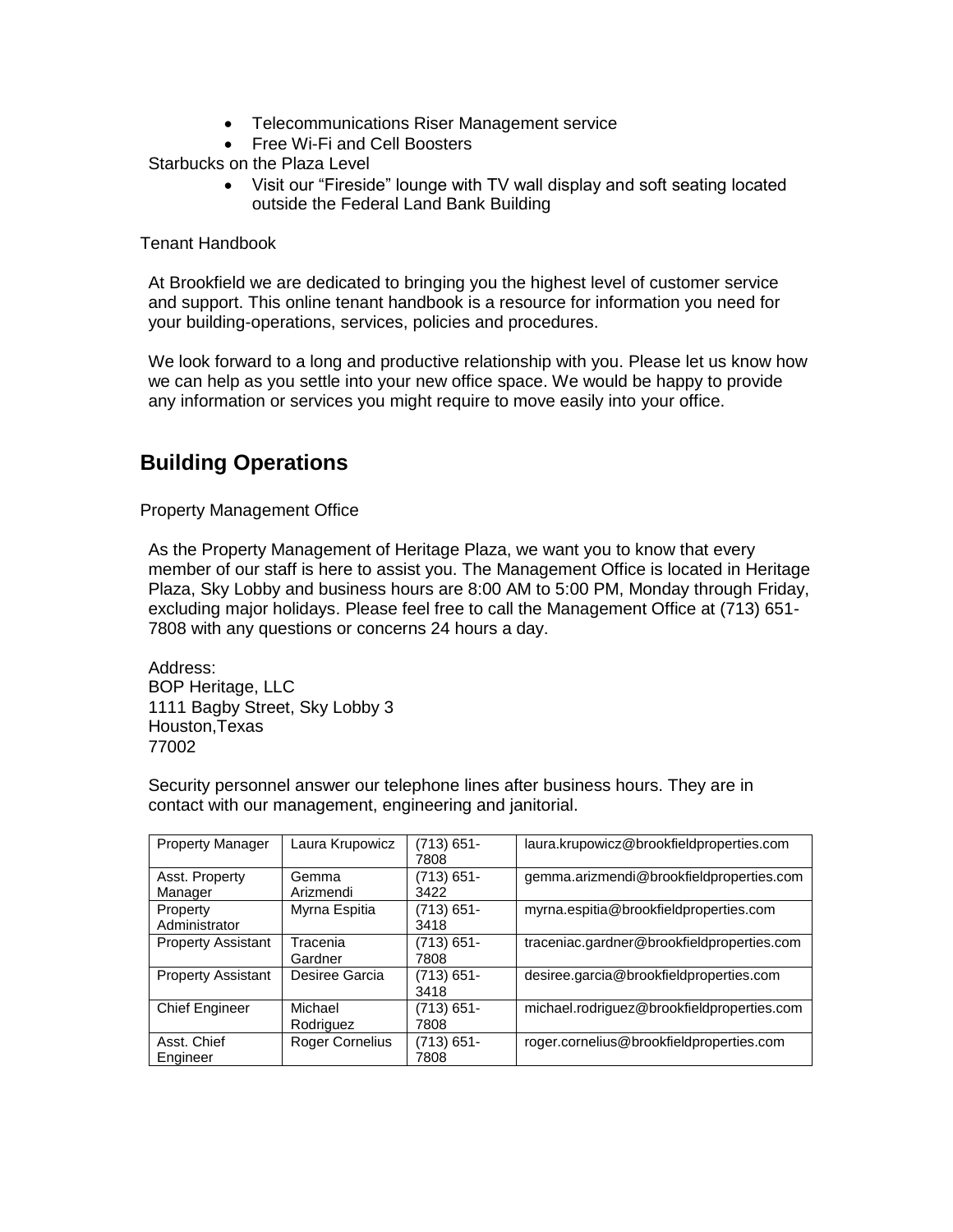Office to report the emergency. This will set in motion several events simultaneously including:

> • The immediate dispatch of qualified assistance for fire, medical, and other agencies as dictated by the emergency.

In the event that it is necessary to evacuate part or all of the building, remain CALM and LISTEN to the instructions being given over the public address system, and by property staff. Emergency Exit Stairwells are to be used for evacuation. DO NOT USE ELEVATORS unless instructed to do so over the public address system, or by Police or Fire Department representatives. Stairwell entrances are located on the north and south side of the Building's core in close proximity to the lavatories.

When using the Emergency Exit Stairwell, keep to the right so that incoming emergency personnel can utilize the stairwell.

An up-to-date listing of all personnel who may need assistance should be kept by the Building's Emergency Action Plan Director and be documented in the Building's Emergency Action Plan on file with the Fire Department.

Plans for After an Emergency

Tenants should pre-assign a coordinator who will act as liaison between your company and officials from the Fire Department and building personnel.

The coordinator and property management will work to establish a communications network for all employees in order to pass-on important information.

The following recommendations are made to assist you in disseminating a fire prevention program to your employees:

- Never leave electrical appliances unattended
- Never use immersion-type heating devices
- Avoid electrical overloading and multiple plugs
- Do not use undersized or lightweight extension cords
- Report failure of any electrical outlets or lights to the Management Office
- Flammable liquids should be stored in a safe area away from heat sources
- Keep paper at least six to eight feet away from operating machinery
- Know the location and type of fire extinguishers in your premises
- Keep fire extinguishers in high hazard areas such as photocopy rooms and employee lounges
- Know the usable time limit of the fire extinguishers available to you
- Know relevant exit locations
- Practice good housekeeping near your desk, in storage areas, in mechanical rooms and in the area of exit doors and hallways

Life Safety Systems - Testing and Fire Drills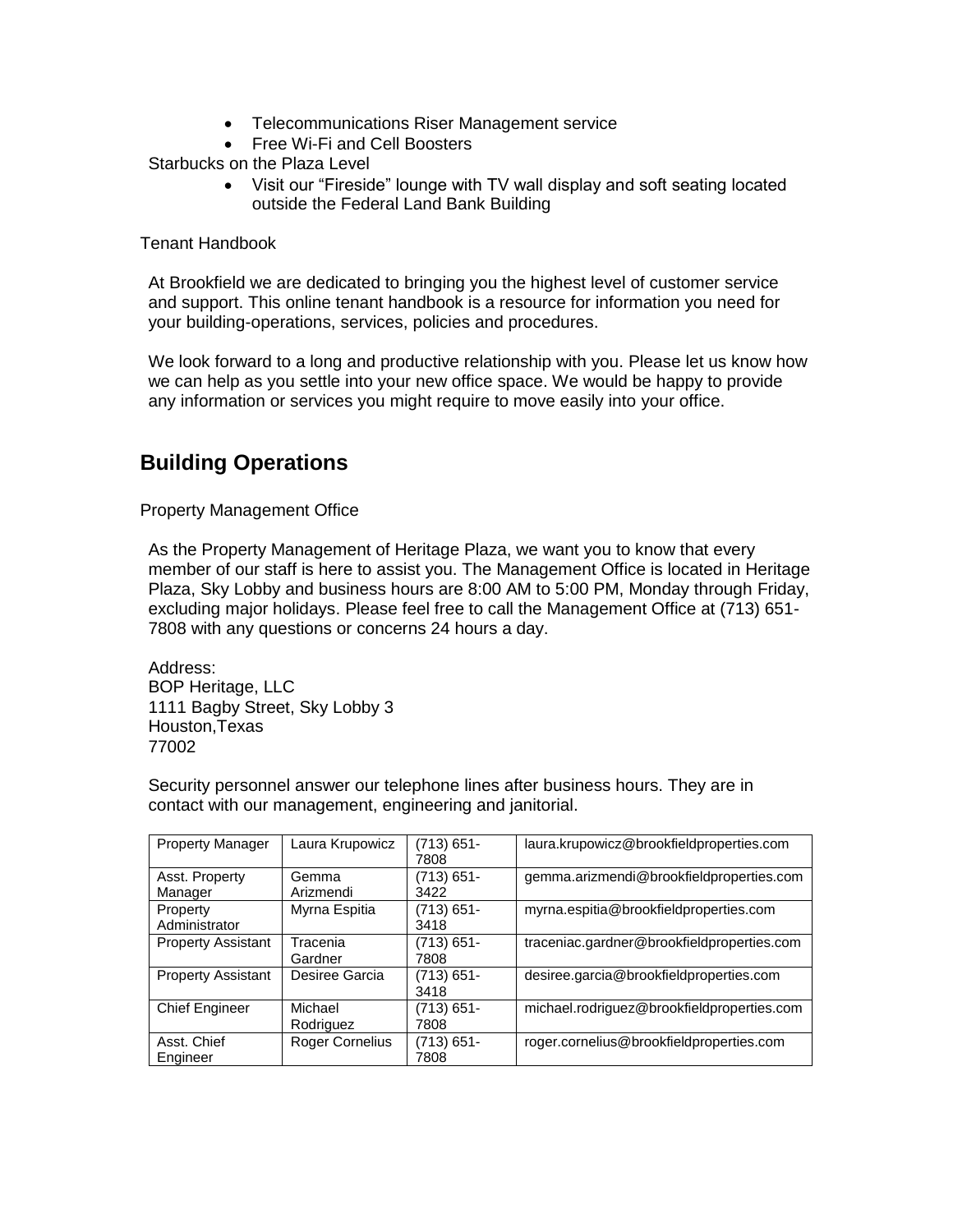Fire and life safety preparedness includes regular testing of the fire alarm, fire suppression, and communications systems and regular fire drills.

# Systems' Testing

The fire alarm and communications systems are tested regularly throughout the year. A full-building announcement is made prior to the beginning of the day's testing, and an announcement is made on each floor when testing is about to begin on that floor. Another full-building announcement is made when system testing is finished for the day.

# Fire Drills

Fire drills are held twice a year. A notification giving the date and time of the planned fire drill is sent to tenants in advance. Tenants are requested to supply or update an existing list that shows the floor warden, assistant floor wardens, and searchers, and a current list of employees who would require assistance in case of relocation/evacuation.

During a fire drill - and in an actual fire emergency - employees should move calmly and quickly to the nearest fire stair exit and proceed to their relocation floor. Fire drills are conducted as follows:

- Fire Life Safety personnel will be dispatch to the floor(s) where the fire drill is being performed.
- The drill will commence with the activation of the fire alarm evacuation tone.
- The Tenant Fire Life Safety Members on the affected floors observe the conduct of tenants and guests, ensuring that all areas of the floor are participating.
- Floor wardens and assistant floor wardens are to assist in the evacuation of their assigned areas and close doors behind them. Searchers are checking restrooms, mail rooms, conference rooms, etc., as required.
- After the drill has been successfully completed, an "all clear" announcement is made, and tenants may resume normal duties.

# Heightened Security

Brookfield recommends that each tenant have an emergency action plan in place to help their employees prepare for, and react quickly to, a regional emergency, including terrorist attacks. Click on the links below to access a variety of resources that aid in preparing for a regional emergency.

Department of Homeland Security http://www.dhs.gov/

Federal Emergency Management Agency http://fema.gov/

American Red Cross http://www.redcross.org/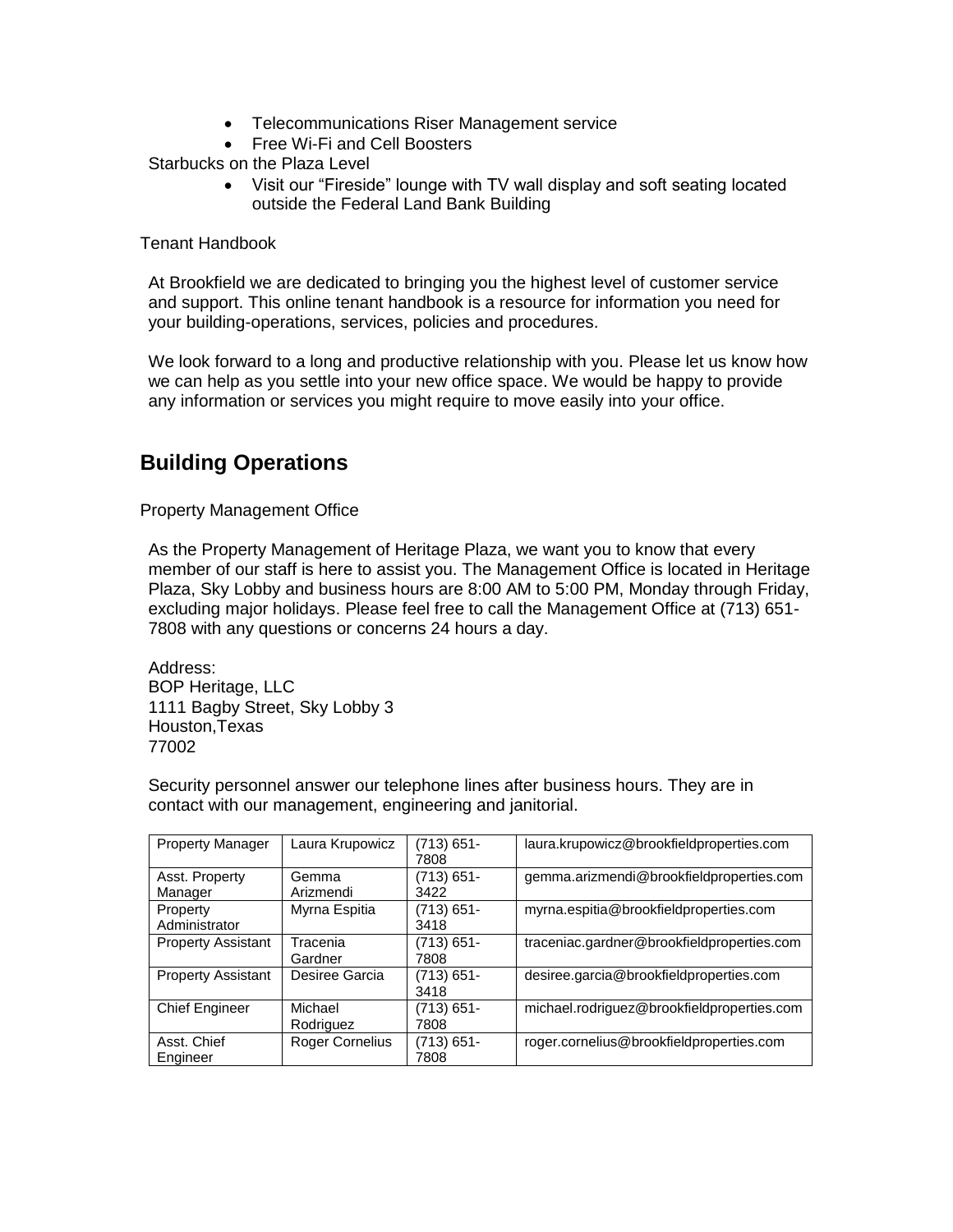Centers for Disease Control and Prevention Emergency Preparedness and Response http://www.bt.cdc.gov/

Local media outlets will provide important information during an emergency situation.

Homeland Security

Brookfield recommends that each tenant have an emergency action plan in place to help their employees prepare for, and react quickly to, a regional emergency, including terrorist attacks. Click on the links below to access a variety of resources that aid in preparing for a regional emergency.

Department of Homeland Security http://www.dhs.gov/

Federal Emergency Management Agency http://fema.gov/

American Red Cross http://www.redcross.org/

Centers for Disease Control and Prevention Emergency Preparedness and Response http://www.bt.cdc.gov/

Local media outlets will provide important information during an emergency situation.

Major Water Leaks

Persons discovering water leaks should immediately report them to the Property Management Office. Be certain to give your name, firm name, location, and extent of the leak. If water is coming through the ceiling, and if it is feasible, please close all open drawers in the vicinity, move papers, small furniture, or work in progress, and place wastebaskets or buckets under leak(s).

# Medical Emergency

In the event of a medical emergency or accident involving personal injury in the workplace immediately call 911 and Security/Property Management. Give security/office management the floor number, location on the floor and the type of accident or medical emergency.

# Patient Assessment & Crowd Control

Certified CPR/AED employees, if present, should be notified to respond to the medical emergency (via email, phone, or runner) and assume control of the situation. The certified employees have been trained to conduct patient assessment and to ensure that the following procedures are followed:

- Conduct Patient Assessment and ensure:
	- o That 911 has been notified and the AED and First Responder Kit are on the scene.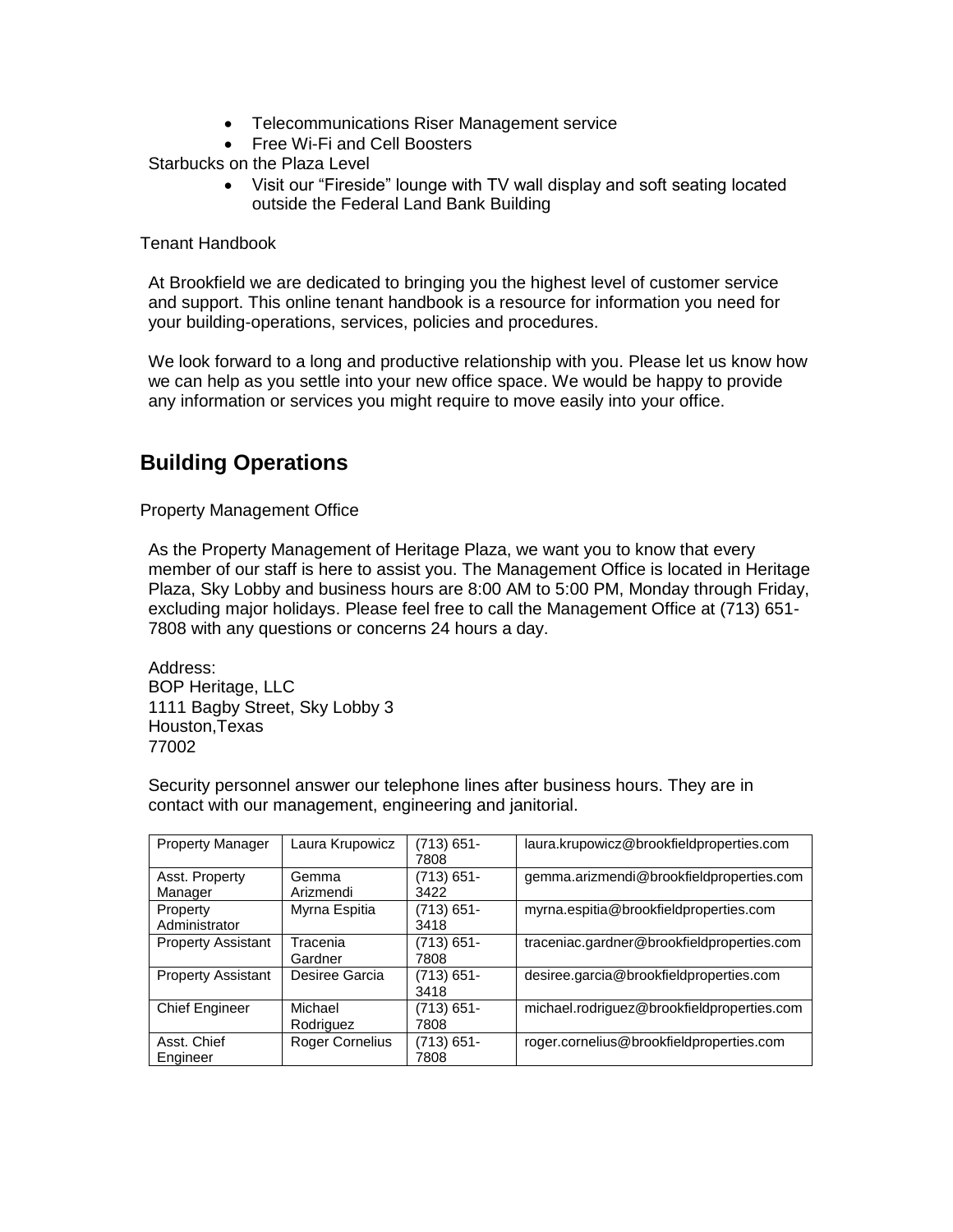- Secure the scene by:
	- o Confirming the scene is safe for rescuers
	- o Removing all non-essential personnel from the area
	- $\circ$  Clearing a path for EMS arrival

Someone should remain with the victim. Do not move the victim unless in immediate danger. Keep comfortable and warm. Security will ensure elevator is available and waiting at the street level and will meet the Emergency Medical Services (EMS) ambulance crew outside the building and direct them to the freight elevator.

# Non-Fire Emergency Preparedness

In the event of an emergency or disruption to the Building's normal operation the first reaction should be to REMAIN CALM and call the Security/Property Management Office to report the emergency. This will set in motion an immediate dispatch of qualified assistance for fire and medical, and other agencies as dictated by the emergency.

Catastrophic events can occur without warning, and they may not necessarily involve a fire. For clarity purposes, these events will be classified as "non-fire" emergencies and will include such events as: explosions, biological, chemical or hazardous material incidents or releases, natural disasters. Should this happen, a complete evacuation to street level may be necessary or you may be directed to remain at your work station and shelter-in-place. The Fire Safety/EAP Director will give instructions over the Public Address system as to what part of the EAP Plan will be implemented.

Additionally, Brookfield Properties has documented and implemented a building emergency action plan which includes various emergency scenarios Policy and Procedures and protocol for the Building Emergency Action team (BEAT) to follow during emergencies and incidents such as:

# Sheltering-in-place

Although you may want to get as far away as possible from an emergency situation, evacuation is not always the safest option. One of the instructions you may be given in an emergency where hazardous materials may have been released into the atmosphere is to shelter-in-place. This is a precaution aimed to keep you safe while remaining indoors. Shelter-in place means to make a shelter out of the place you are in. It is a way for you to make the building as safe as possible to protect yourself until an emergency passes and you receive an all-clear signal. Although sheltering-in-place can apply to many types of emergencies, i.e., blackouts natural disaster, civil disturbance, it is particularly important during hazardous material incidents. Local officials especially the Fire Department, are best qualified to recommend protective actions against hazardous materials exposure, and sheltering in-place is most often your safest option.

# In Building Relocation

This is the controlled movement of building occupants from an endangered area to an area of safety within the same building in response to an emergency that affords a different level of protection than sheltering in place. These areas are pre-determined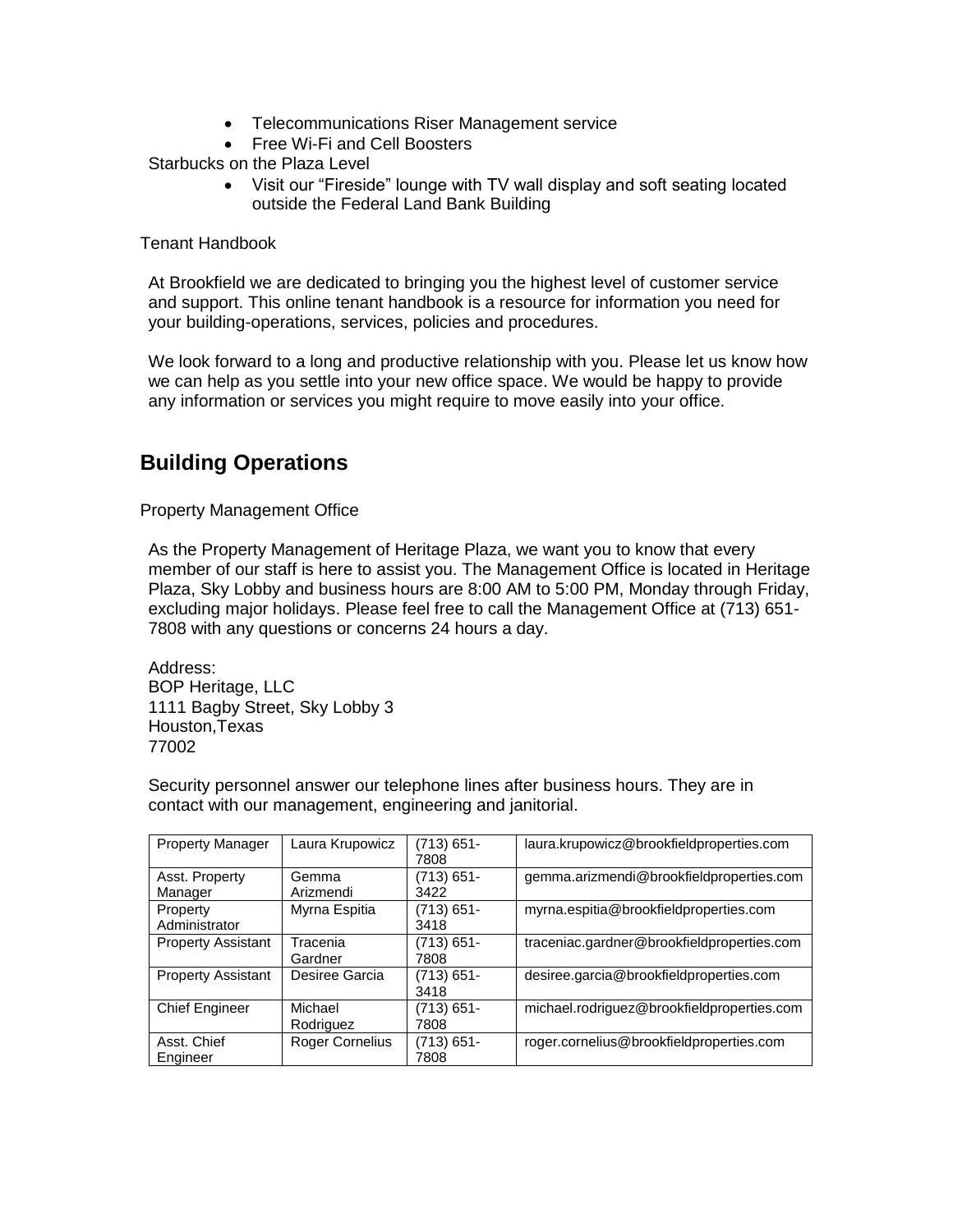and identified in the EAP plan and are usually more remote. This area or space tends to be more isolated, away from exterior walls and any open floor space.

This also may involve relocating to another floor or interior stairway. Partial Evacuation

In some instances, a full building evacuation may not be necessary or feasible. Evacuating only some of the building occupants may be all that is required to provide a level of protection from an exposure. This movement of occupants utilizing the stairs, and possibly some elevators, will be coordinated from the Fire Command Station with instructions from the EAP Director being transmitted over the PA System. Upon exiting the building, occupants will be instructed to report to their assigned assembly area, this area will also act as a point of contact for employee accountability and information sharing.

# Full Evacuation

The timing of the evacuation order should relate to the immediacy of the threat. Some emergencies pose a threat so immediate that evacuation must be ordered as soon as the situation is detected. Other situations will warrant monitoring and a heightened level of attention, so that if evacuation becomes necessary, it can be expedited.

Should this become necessary, employees will proceed out of the building to an exterior assembly area.

- Once instructions have been received to evacuate the building, follow directions from the Fire Safety/EAP Director, Floor Wardens and/or Fire Department personnel.
- Exercise caution when going down stairs, hold handrails, and do not run, or push others.
- High heel shoes should be removed and carried.

# Office Safety Tips

- Valuables such as women's purses should never be left unattended, even in areas where visitors seldom go and, especially in the reception area. Never leave a purse on the floor or underneath the desk or on top of a file cabinet - put them out of sight.
- If you go shopping on your lunch hour, do not leave the packages exposed. Place the packages in a cabinet or drawer.
- All visitors, including messengers and delivery personnel, should be watched while on your premises. Escort them to inner office or work areas, do not simply direct them.
- Special care should be taken during the times most suited for pilferage 30 minutes just after opening and before closing - when there is maximum movement from work areas and offices.
- Investigation of prospective employees' backgrounds may eliminate potential threats.
- Consider changing locks after the discharge of any employees who had keys, access to keys or safe combinations. If business keys are lost,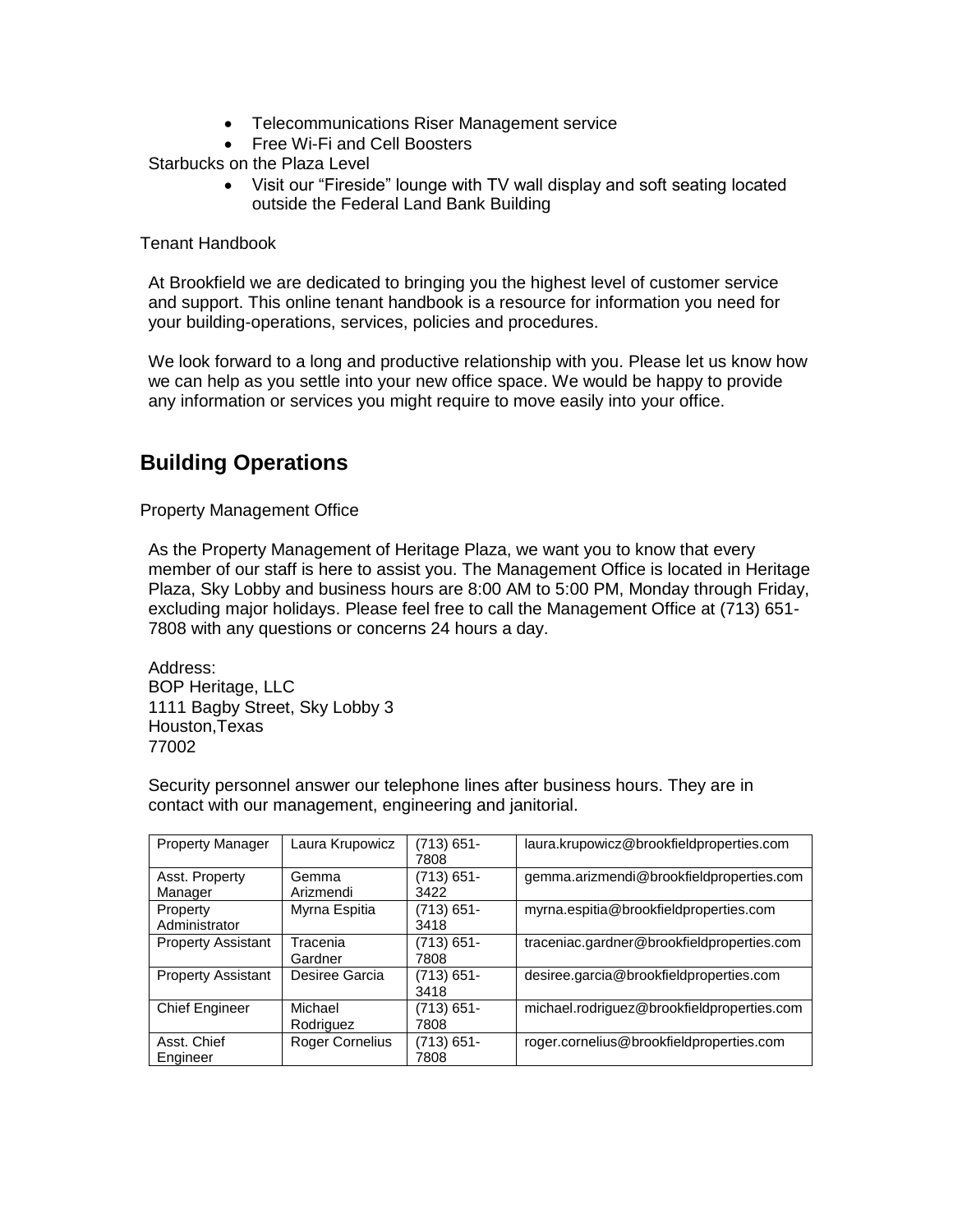change the lock. All re-keying must be done through the Property Management Office.

- Personnel carrying keys to premises should never have any identifying tags on their key rings, since loss of a key ring would enable a dishonest finder to locate and use business keys to gain illegal entry.
- If personnel carrying keys park in garages that require leaving keys in the auto ignition, they should leave only the car keys. Duplicates can readily be made from other keys on the ring.
- Never leave the reception area unattended with the door unlocked. Extra care should be taken regarding small items such as radios, pocket calculators, pens and desk ornaments.
- Checkbooks and other valuable corporate property should be locked up.
- Avoid giving keys to outsiders for special deliveries or for early/late arrival for special purposes.
- Serial numbers of all important corporate items should be recorded to aid police in recovering property in the event of loss or theft.

Immediately report to Security or the Property Management Office any strangers loitering in the building. If any equipment or valuables are lost, report it to the police, your insurance company and the Property Management Office.

# Pandemic Preparedness

# What you Need to Know

An influenza (flu) pandemic is a worldwide outbreak of flu disease that occurs when a new type of influenza virus appears that people have not been exposed to before (or have not been exposed to in a long time). The pandemic virus can cause serious illness because people do not have immunity to the new virus. Pandemics are different from seasonal outbreaks of influenza that we see every year. Seasonal influenza is caused by influenza virus types to which people have already been exposed. Its impact on society is less severe than a pandemic, and influenza vaccines (flu shots and nasalspray vaccine) are available to help prevent widespread illness from seasonal flu.

Influenza pandemics are different from many of the other major public health and health care threats facing our country and the world. A pandemic will last much longer than most flu outbreaks and may include "waves" of influenza activity that last 6-8 weeks separated by months. The number of health care workers and first responders able to work may be reduced. Public health officials will not know how severe a pandemic will be until it begins.

# Importance and Benefits of Being Prepared

The effects of a pandemic can be lessened if you prepare ahead of time. Preparing for a disaster will help bring peace of mind and confidence to deal with a pandemic.

When a pandemic starts, everyone around the world could be at risk. The United States has been working closely with other countries and the World Health Organization (WHO) to strengthen systems to detect outbreaks of influenza that might cause a pandemic.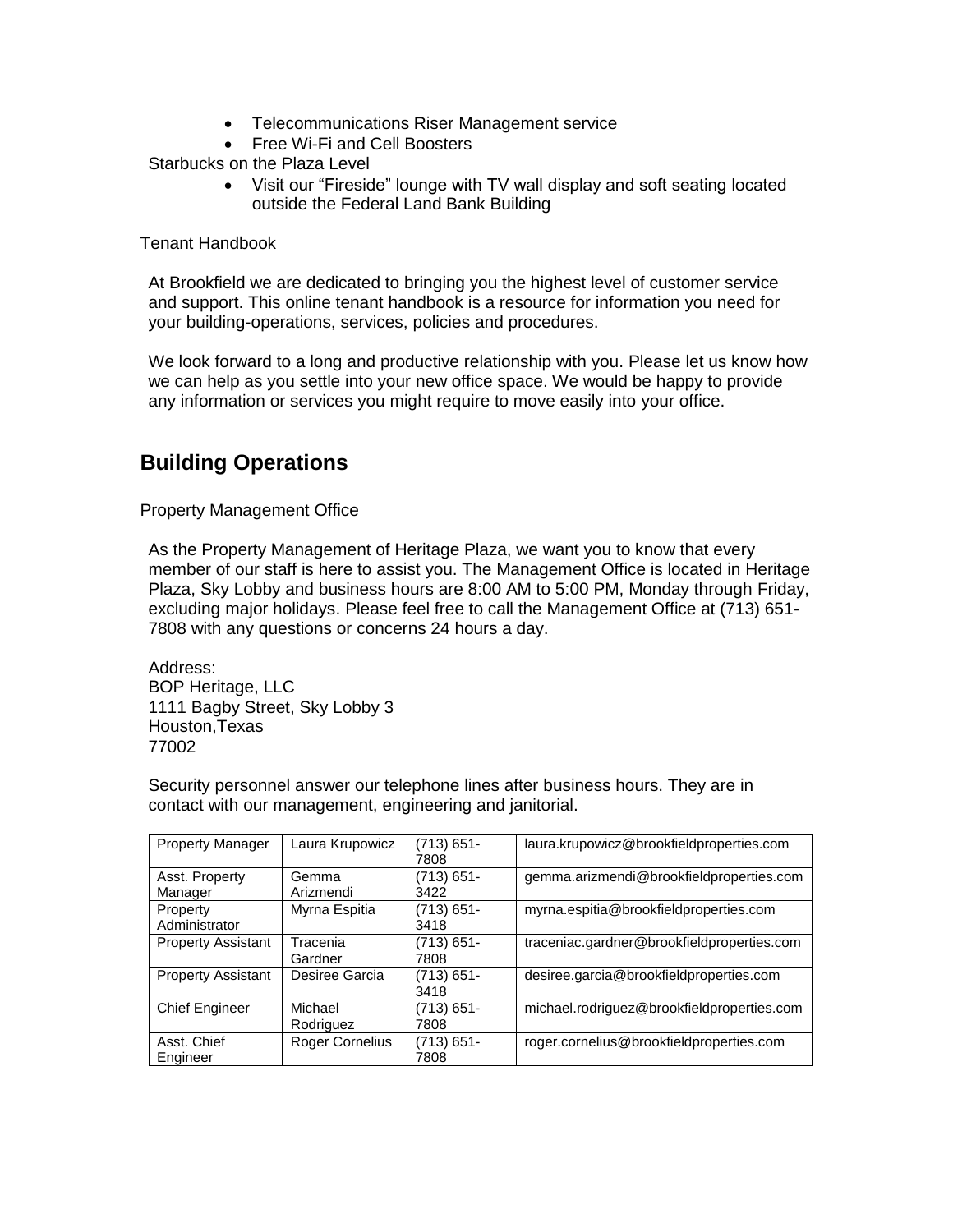A pandemic would touch every aspect of society, so every part of society must begin to prepare. All have roles in the event of a pandemic. Federal, state, tribal, and local governments are developing, improving, and testing their plans for an influenza pandemic. Businesses, schools, universities, and other faith-based and community organizations are also preparing plans.

As you begin your individual or family planning, you may want to review your state's planning efforts and those of your local public health and emergency preparedness officials. State plans and other planning information can be found at http://www.flu.gov/professional/checklists.html.

The Department of Health and Human Services (HHS) and other federal agencies are providing funding, advice, and other support to your state. The federal government will provide up-to-date information and guidance to the public if an influenza pandemic unfolds.

# Pandemic Flu Resources

There are many publicly available resources in place to help communities, companies, and individuals plan for a possible pandemic flu outbreak. A few of the most useful sites are linked below:

# Flu.gov

This is the official U.S. Government site for information on pandemic and avian influenza. The material on this site is organized by topic for easy reference. http://www.flu.gov/

# Centers for Disease Control and Prevention (CDC)

The CDC Web site is another primary source of information on pandemic influenza. They also have a hotline $\hat{a} \circ \mathbf{0}$ 1-800-CDC-INFO (1-800-232-4636) – that is available in English and Spanish, 24 hours a day, 7 days a week (TTY: 1-888-232-6348). Or, if you prefer, questions can be e-mailed to inquiry@cdc.gov.

# Department of Homeland Security (DHS)

DHS is working on a "Business Planning Guide," which will be posted on the DHS home page and on Pandemicflu.gov as soon as it is completed. Also, for businessspecific questions, the DHS has created an e-mailbox - DHSPandemic@dhs.gov.

# BOMA Resources

The resources above will provide a lot of information, but we also encourage you to:

- Listen to local and national radio
- Watch news reports on television
- Read your newspaper and other sources of printed and Web-based information
- Look for information on your local and state government Web sites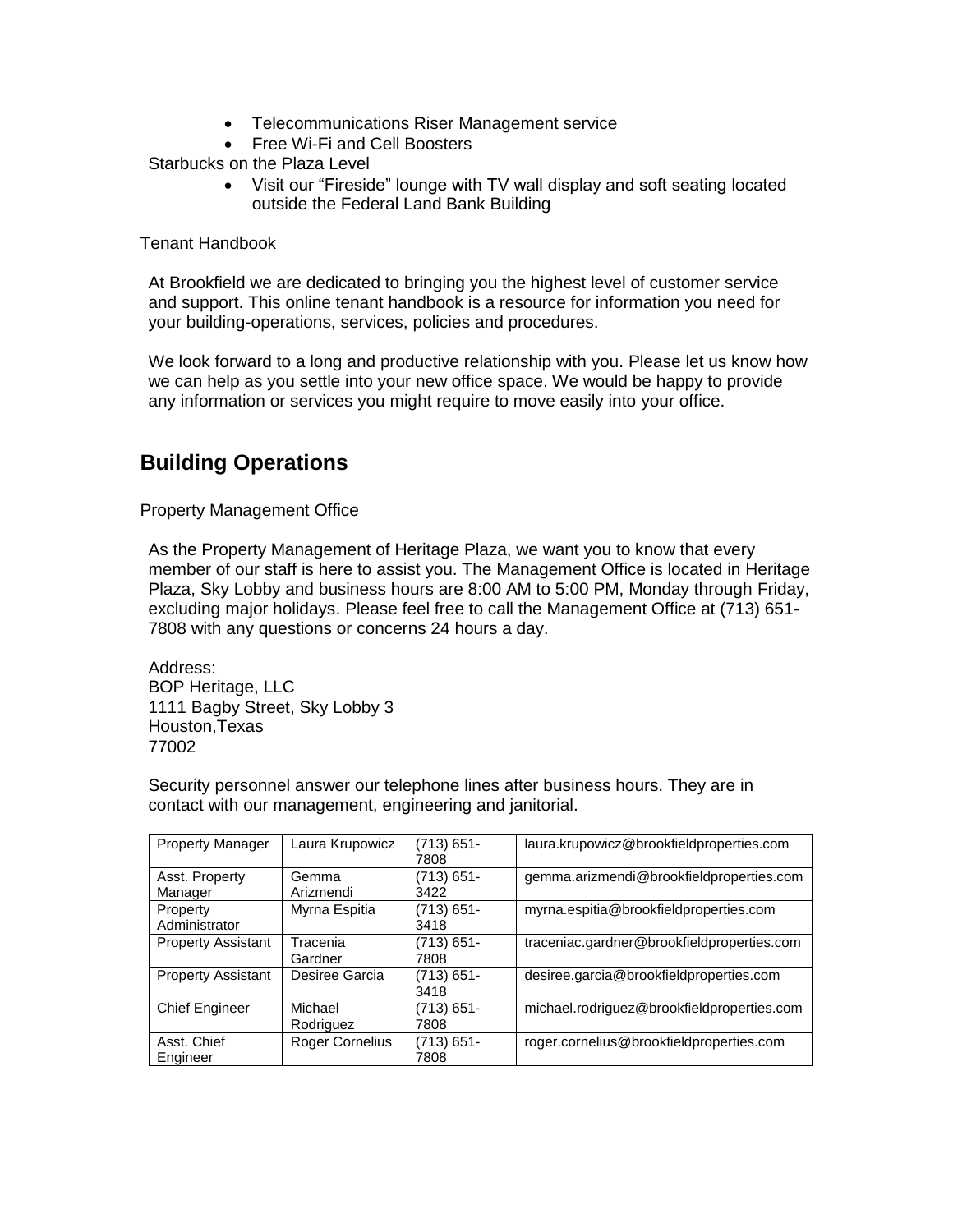• Consider talking to your local health care providers and public health officials.

# Personal Safety Plan

As many aspects of our lives were changed by the events of September 11, 2001, we hope that this information is helpful to you and your family in preparing for emergencies.

# General Tips:

- During an incident, stay where you are, unless directed by authorities to evacuate. Staying in your location is usually the most prudent course of action, unless you are in immediate danger.
- Do not assume that you should evacuate. If evacuation is appropriate, listen for the message indicating directions to proceed and signs to follow. Information will be provided to the public through the media. Your best initial action is to "shelter in place" and stay attentive to media broadcasts.
- Plan to walk or use transit.
- If you leave your vehicle, make sure it is secure and not parked on an Emergency Evacuation Route.
- If you have a car, it is best to try to keep at least 1/2 tank of gas in it at all times.
- Create a Family Emergency Plan.
- Discuss with your family how you will respond to an emergency.
- Pick a friend or relative that all family members can call if separated (consider an out-of-state point of contact as it may be easier to call out-ofstate after an emergency than in your local area).
- Prepare an emergency "Go-Kit" (the kit should have 3 days' supply of food, water, medical items, first aid supplies, a flashlight, radio batteries, etc.).
- Know the Plans of Your School System.
- If you have a child in school, you need to understand fully the school's plans to protect your child in the event of an emergency.
- If you are told to evacuate, your children may have already been taken to a safe place by the time you reach their school. Find out if this will happen and where they will go.
- Consider partnering with other parents in your children's classes to develop joint emergency plans and share pickups.

# Power Outages

In the event of a power outage, remain CALM and call the Property Management Office immediately. Listen for information and instructions from the Building's public address system. An emergency generator will automatically operate selected equipment, such as lights in stairwells and common areas, and the public address system.

During a power outage turn off as much equipment as possible to minimize disruption and damage once power is restored.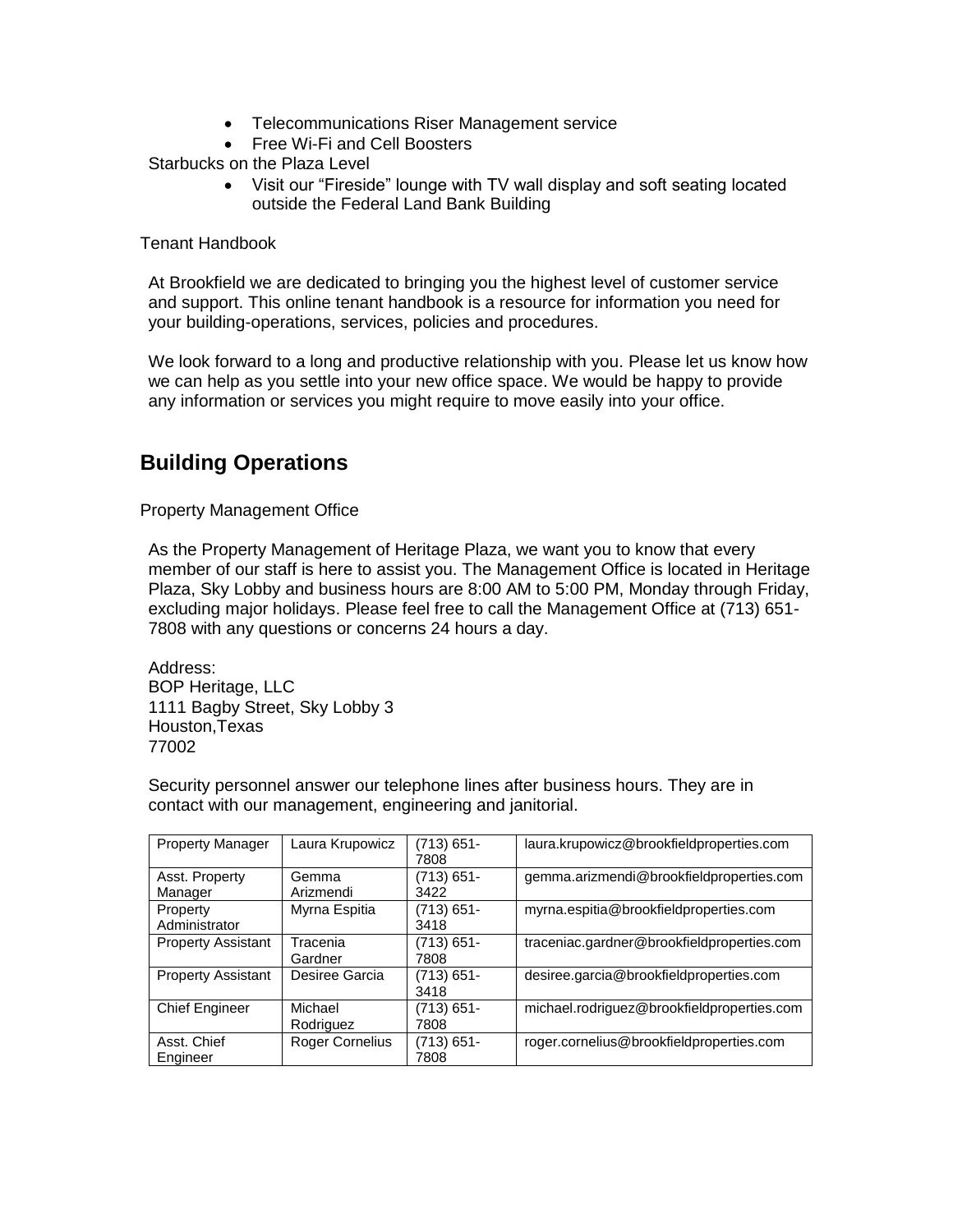Evacuation in the Case of Blackout (Loss of Electricity)

If a partial or complete loss of electrical power occurs, backup generators will power certain systems, including life-safety systems and some elevators for emergency personnel use. Property management will determine the appropriate response to a loss of power. In general, the decision regarding the action to be taken in a blackout situation will depend on the estimated duration of the blackout.

The Building's Emergency Action Plan (EAP) Director will keep building occupants informed of the situation by using the voice communication system. If building management has determined that the blackout will be short-term and no evacuation is necessary, the EAP Director will announce that the blackout is temporary and will ask that building occupants remain calm and await the restoration of power. If the blackout is expected to last for an extended period, or its probable duration cannot be determined, the building manager may order evacuation of the affected areas.

If evacuation is deemed necessary, security officers will assist building occupants in evacuating the building.

To be successful and avoid panic and confusion, an evacuation in the case of blackout must be an orderly and structured process.

- 1. A PA Announcement will be made and the evacuation will begin at the top of the building and proceed down to the lowest floor.
- 2. Security officers will be dispatched to the floor to assist with the floor-byfloor evacuation of the building.
- 3. The Tenant Fire Safety Team Members will assist in the evacuation of their floor.
- 4. High-heeled shoes should be removed to make walking easier and less dangerous.
- 5. Personnel should remain calm and quiet, and move to the nearest fire exit. Do not attempt to use elevators.

If an individual on a floor is disabled or cannot walk down the stairs, a security officer will request that a co-worker stay behind with the disabled person until another means of evacuation becomes available. The security officer will inform Security of every person who is stranded on each floor.

When the security officer has determined that the evacuation of a floor is complete, he or she will notify Security and will then proceed to the floor below. The evacuation procedure is repeated for each floor until the affected floors are completely evacuated.

No one (other than emergency or repair personnel) will be permitted to enter the building until an "all clear" is declared and building personnel are permitted to return.

### Protests/Demonstrations

Should a riot or civil disturbance start outside the building, the security officers will immediately lock all entrances. The police will be notified and management will keep you informed.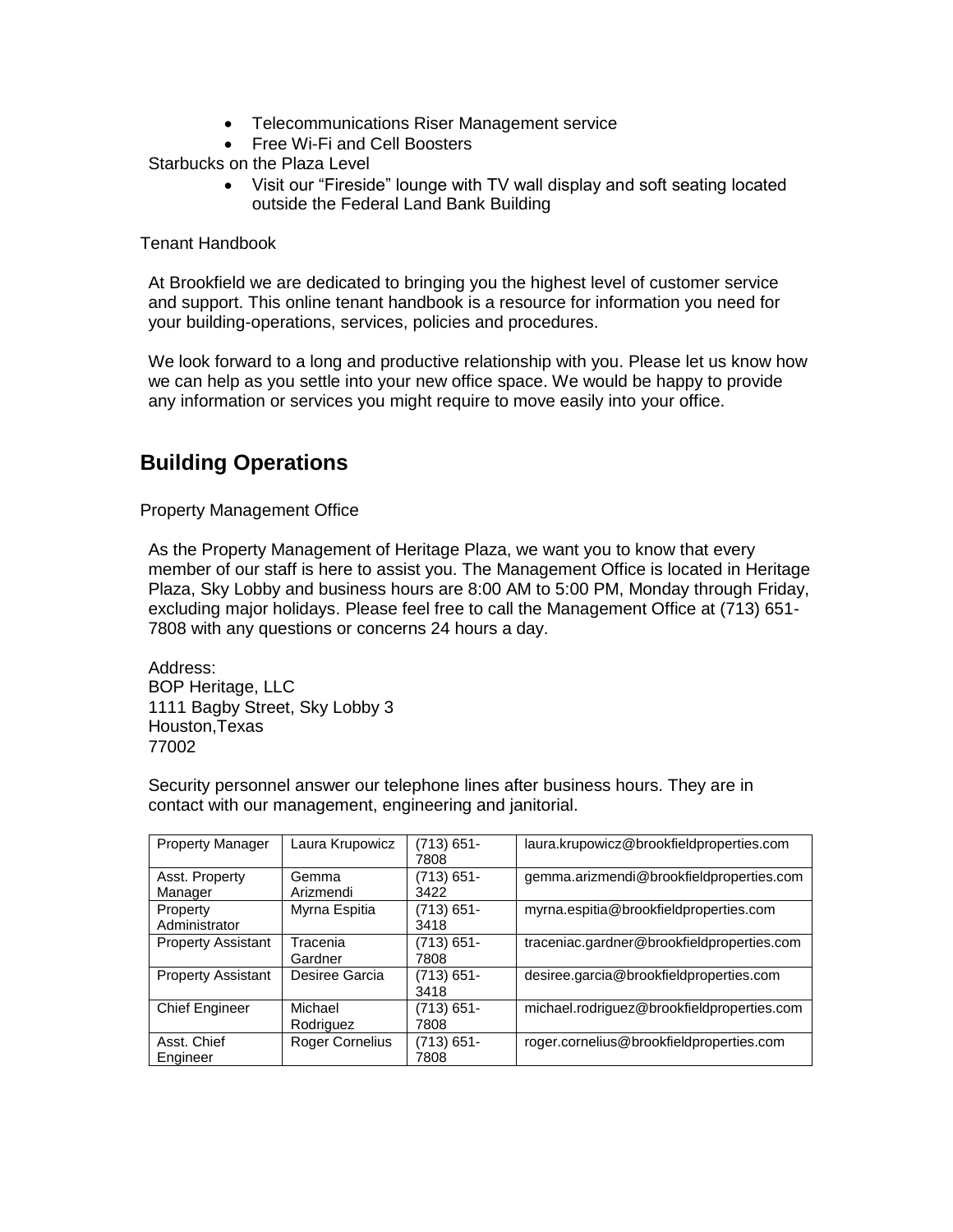If a disturbance should occur in the main lobby, all elevators will be turned off at the lobby level and the police will be summoned.

### Severe Weather

### Severe Weather

When severe weather conditions become apparent, the U.S. Weather Bureau describes conditions by two (2) classifications, a Watch or a Warning. This applies to the reporting of severe thunderstorms, the approach of weather conditions favoring the formation of tornadoes, a hurricane condition, a winter storm condition, etc. A Watch becomes effective when atmospheric conditions are right to produce the particular weather phenomenon. A Warning means that the weather condition has been spotted and prompt action must be taken for safety.

In the event these conditions do exist, keep radios or televisions tuned to local news and weather reports. The following guidelines should be kept in mind:

- Move away from building perimeter and exterior glass. If the windows in your offices are supplied with blinds, close the blinds (this will provide protection from broken glass).
- Do not panic. Keep calm. If trapped in an outside office, seek protection under a desk.
- If instructed to evacuate, lock all desk drawers and take all items of value with you. Use a route that is in the building interior and stay away from large expanses of glass and windows.
- Use the stairwells rather than the elevators.
- Do not return to your office until advised to do so.

Tornadoes occur in many parts of the world and in all 50 states. Tornado frequency is at its peak in April, May and June. The potential threat is most dangerous in the continental plains and along the Gulf Coast of the United States.

NOTE: Most tornadoes last only four or five minutes.

#### Tornado Watches

Are issued by the National Weather Service for areas threatened by tornadoes and severe thunderstorms. These watches specify a time period and area where tornado probabilities are highest. During a watch, look for threatening weather and stay tuned to radio and television for more information.

# Tornado Warnings

Are issued by local National Weather Service offices when a tornado has been sighted or indicated by radar. Warnings describe the area that could be affected. If a WARNING is issued, take cover immediately.

Where to Go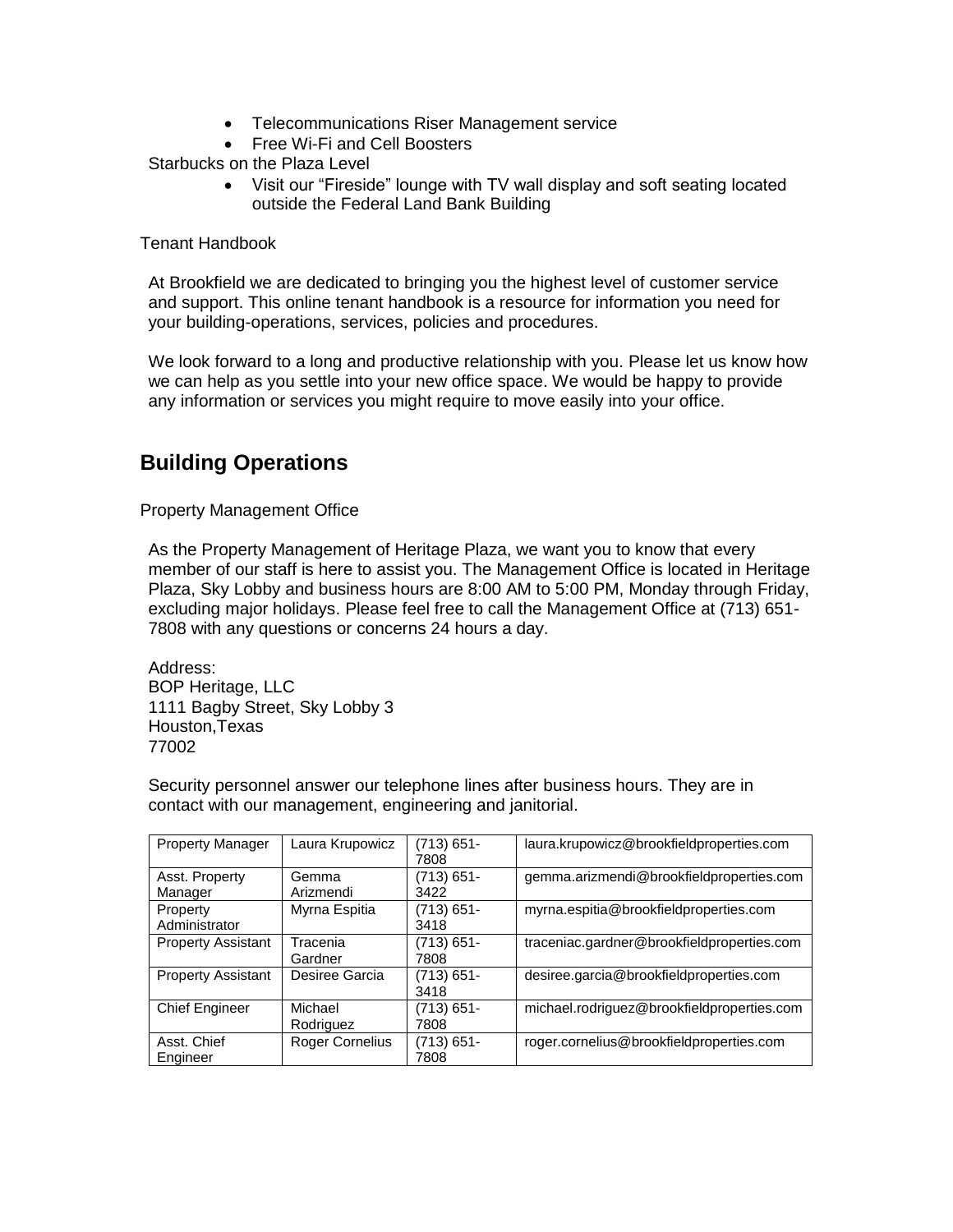Stay away from windows, glass doorways and outside walls. Close doors to the exterior offices and go to interior small rooms or into inside hallways. Protect your head and crouch down making yourself as small a target as possible.

After the Storm

- Inspect your area for damage.
- Check immediately for electrical problems and gas leaks.
- Report your findings to the Property Management Office.
- Cooperate in the cleanup of debris.
- During repairs and cleanup, wear shoes and gloves.

Follow directions from Building Emergency Personnel and Public Safety Officials.

# **Earthquakes**

An earthquake is caused by a sudden slip on a fault. Stresses in the earth's outer layer push the sides of a fault together. Eventually enough stress builds up and the rocks slip suddenly, releasing energy waves that cause the shaking we feel during an earthquake.

Earthquakes come in clusters. In any earthquake cluster, the largest one is called the main shock; anything before it is called a foreshock and anything after is called an aftershock. We must be prepared for aftershocks and the damages they can cause.

These procedures are designed to assist in preparing for an earthquake before it occurs and provide guidelines to follow during the disaster. Preparedness is the key to safety and a quick recovery.

# Before The Earthquake

# **Mitigation**

Non-structural hazards must be identified and every effort must be made to correct potentially dangerous situations. This includes securing furniture such as book cases, wall units or other items that could fall and injure someone or block an evacuation route. In some cases, this may not be feasible. For this reason, awareness of these problems is of the utmost importance.

# Assess Your Work Area

- Windows/Glass: If your work station is near a window or glass partitions, decide where you will take cover to avoid being injured by flying glass.
- Heavy Objects: If your work station is near a temporary wall or partition, make sure it is securely anchored.
- Loose Objects: If you have materials stored on top of cabinets or shelves, determine if these items should be secured or moved.

# DURING THE EARTHQUAKE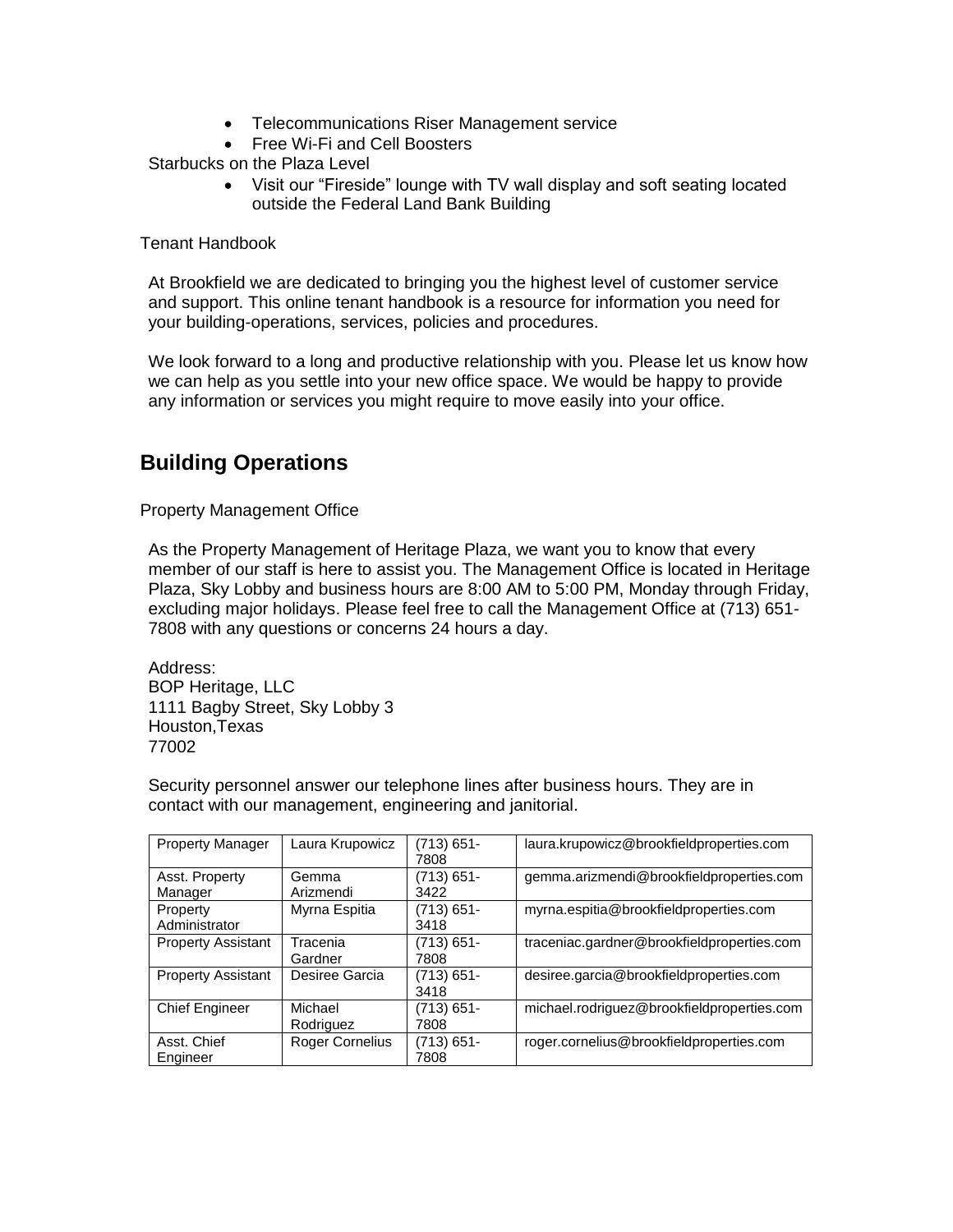During an earthquake you will be safer inside the building than you are outside. If you do feel a tremor, you should: Duck, Cover, and Hold.

DUCK - Duck or drop down to the floor.

COVER - Take cover under a sturdy desk, table or other furniture. If that is not possible, seek cover against an interior wall and protect your head and neck with your arms. Avoid danger spots near windows, hanging objects, mirrors or tall furniture.

HOLD - If you take cover under a sturdy piece of furniture, hold on to it and be prepared to move with it. Hold the position until the ground stops shaking and it is safe to move.

DO NO ENTER OR EXIT the building during the shaking. There is danger of falling glass and debris.

DO NOT USE THE ELEVATORS. Elevators will automatically move to the next floor in direction of travel and open.

IF YOU ARE OUTDOORS, move away from buildings, falling objects, and power lines.

# AFTER THE EARTHQUAKE

BE PREPARED FOR AFTERSHOCKS. If you are outside, do not return to your office until authorized. CHECK FOR INJURIES and administer first aid if necessary (and if qualified). Do not move victims unless absolutely necessary.

REPLACE TELEPHONE HANDSETS that have been shaken off, but do not use the telephones except to report fires or medical emergencies.

DO NOT USE ELEVATORS. When exiting, make sure that the exit is safe to use.

Earthquake Evacuation

- Determine in advance all stairwells and alternate exits from your work location and the routes you will follow to reach that exit in the event an evacuation is necessary. Also establish your alternate routes to be used in the event your first route is blocked or unsafe to use.
- Do not evacuate unless told to do so or danger is imminent.
- Follow instructions given by emergency personnel.
- Walk, DO NOT RUN, and keep noise to a minimum.

# DO NOT USE ELEVATORS

- DO NOT push or crowd. Use handrails in stairwells and move to the inside (most continuous handrail).
- Move to your designated evacuation area unless otherwise instructed. Check doors for heat before opening.
- Assist non-ambulatory, visually impaired and hearing-impaired persons if they are present.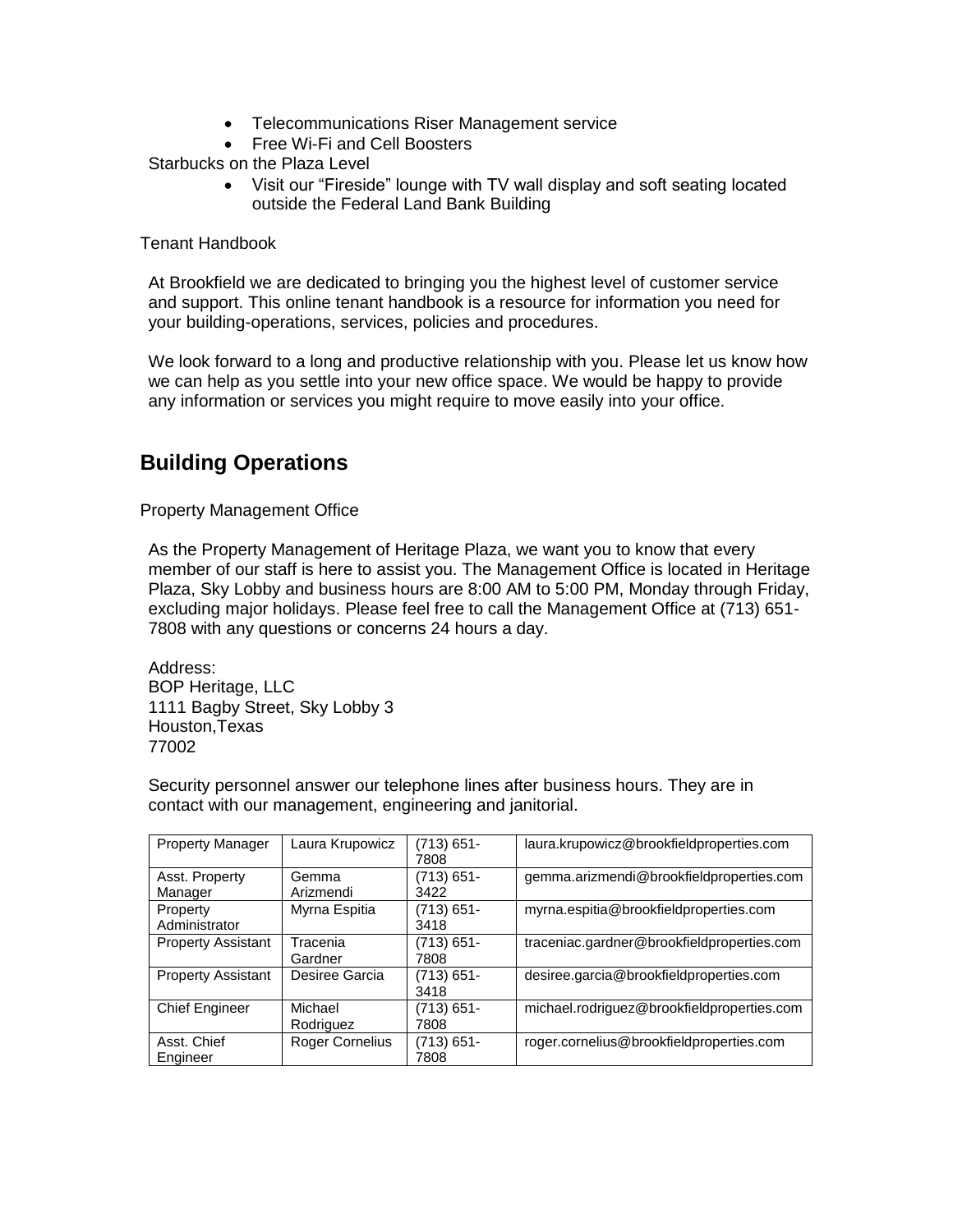• If you have relocated away from the building, DO NOT return until you are notified that it is safe to return.

What If You Are in an Elevator

- Many elevators are designed to go to the nearest floor in the direction of travel and open.
- However, some elevators will stop in any moderate earthquake. Building maintenance personnel will contact each elevator car as quickly as possible and advise you how rescue will occur.
- Upon being rescued, take directions from the Floor Warden of that floor.
- If you have a medical problem or other emergency, call the phone numbers listed in the elevator car. If immediate help is needed, call 911.

When Should You Go Home?

It is in your best interest in the event of an earthquake or community wide disaster during normal working hours that all employees should remain at work.

# **Hurricanes**

Before a tropical storm or hurricane enters the Gulf of Mexico there are some guidelines on how to protect yourselves, your premises and contents.

Always keep the contact information for your firm's Floor Wardens and emergency contacts up to date with the property management office. This will ensure timely contacts from property management, giving you important emergency information.

Should your firm require on-site personnel during the storm, advise them to maintain an inventory of emergency equipment to be used to include but not be limited to the following:

- Flashlights and fresh batteries
- First-aid kits to treat minor injuries caused by flying glass
- Transistor radios for keeping abreast of weather and highway conditions
- Ice Chests
- Water Coolers
- Thermal Bottles
- Non-perishable Food
- A Can Opener
- At Least One Change of Clothing

Please note that Brookfield reserves the right to close the building for your safety, absent a governmental directive. In either instance, it is very important that all building occupants take the following steps prior to leaving:

• All mini-blinds should be opened and raised.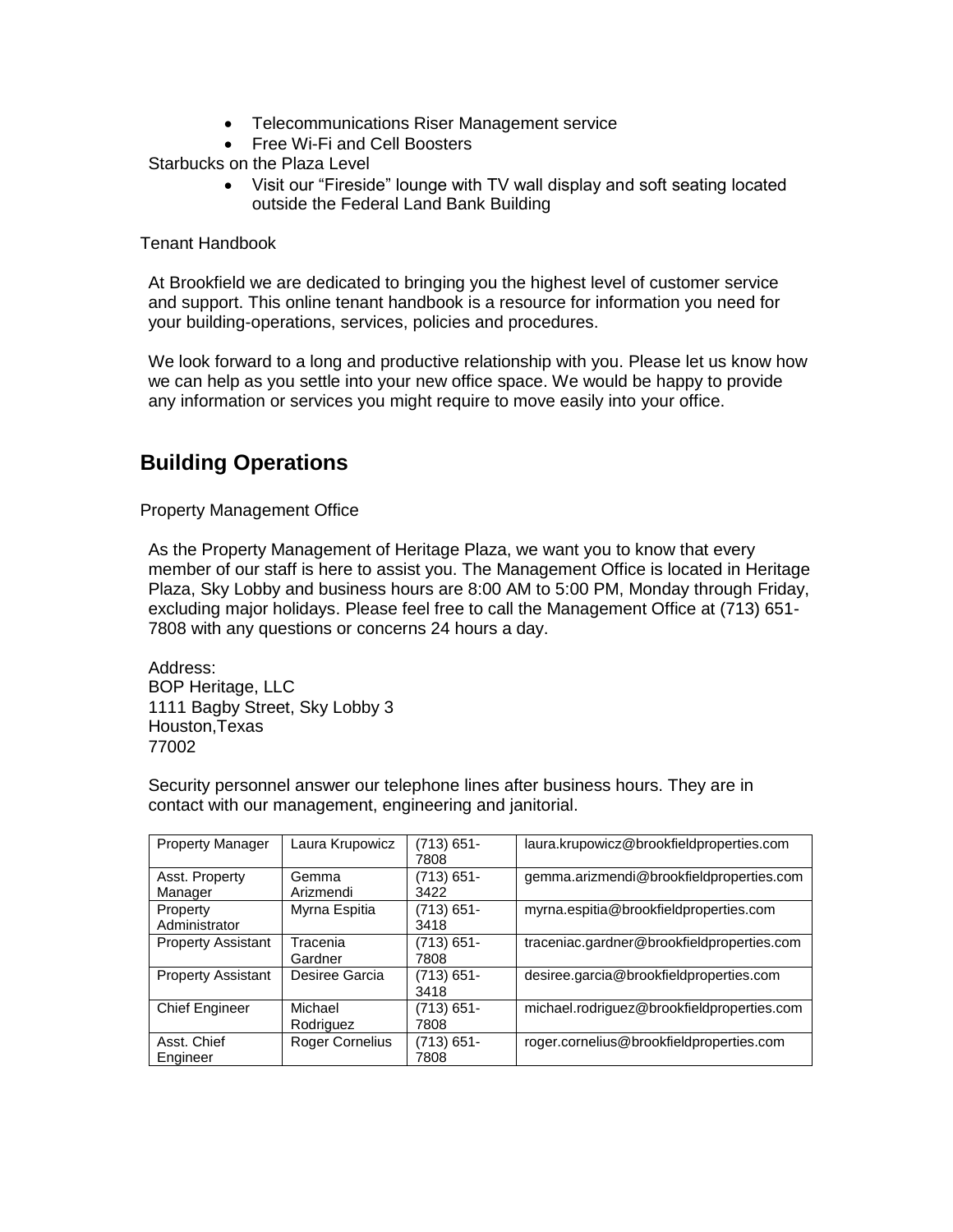- Desks, table tops and all windowsills should be cleared of books, loose papers, and other items. These items should be placed in secured locked drawers or file cabinets.
- All artwork and furniture should be moved away from windows. Personal items should be stored in a safe area or removed from the building.
- Waterproof tarpaulin or heavy plastic can be useful for covering desks, computers, and filing cabinets.
- Bookcases in offices with exterior windows should be turned (if possible) to face the wall.
- Computers and related equipment should be backed up, powered-down and unplugged.
- All lights should be turned off.
- All electronic equipment should be removed from offices with windows and secured in an area near the core of the building (if possible).
- All office doors should be shut and locked when possible.

Brookfield will maintain limited staffing at the property throughout this event. We are fully prepared to take appropriate actions, which includes but is not limited to the following:

- The building roof and grounds will be cleared of debris.
- Storm drains will be cleaned and locked down.
- Emergency generators serving emergency lighting and fire/life safety systems will be serviced and fuel tanks filled.
- Emergency supplies and equipment to include, plywood (for installation in the event of window or door damage), sandbags, portable radios, twoway radios, tarps, plastic, and miscellaneous tools are stocked in ample quantities.
- We are committed to communicating and working closely with you as we prepare for the possibility that we will be affected by this hurricane. Please free to call the management office at with any questions or suggestions you might have.

Please note we will utilize the LiveSafe emergency alert system to advise tenant contacts and other designated emergency contacts of important developments should the need arise.

Suspicious/Unattended Packages

Identifying a Suspicious/Unattended Package

A suspicious letter or parcel might have some of the following indicators:

- Origin Postmark or name of sender is unusual, unknown, or no further address is given.
- Postage Excessive or inadequate postage.
- Balance The letter is lopsided or unusually thick.
- Weight The letter or package seems heavy for its size.
- Contents Stiffness or springiness of contents; protruding wires or components; oily outer wrapping or envelope; feels like it contains powdery substance (When checking, do not bend excessively.)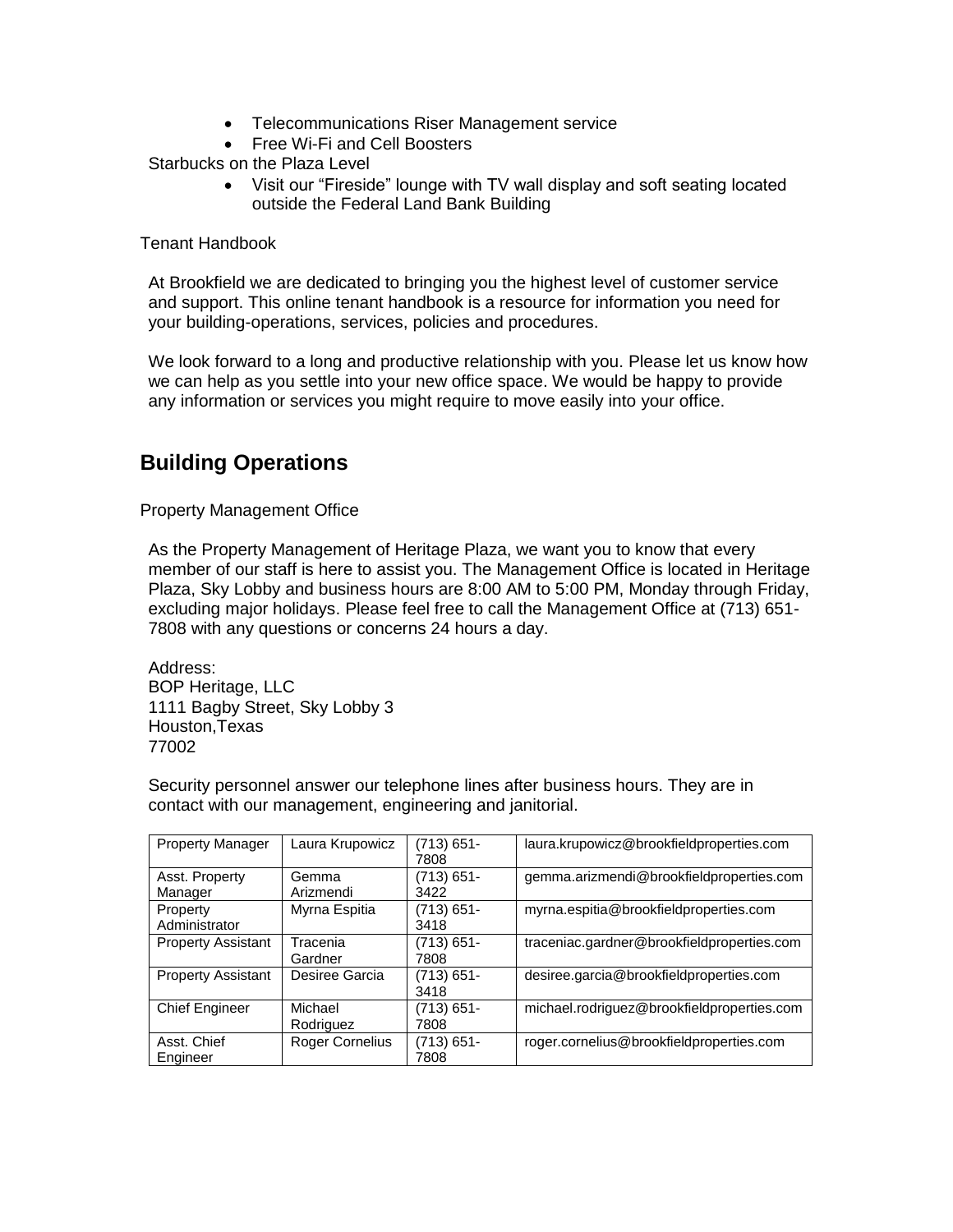- Smell Particularly almond or other suspicious odors.
- Writing Handwriting of sender is not familiar or indicates a foreign style not normally received by recipient. Common words or names are misspelled.
- Rub-on block lettering.

Handling a Suspicious/Unattended Package

- Notify Security/Property Office.
- Do not excessively handle or open a suspicious package.
- Immediately segregate it in an unused room or space.
- Attempt to verify the sender and/or the legitimacy of the package (i.e. ask the recipient if he/she was expecting a package that matches the suspect package's size and shape.)
- If the letter or parcel remains suspect, call the police.

# Unsafe Conditions or Suspicious Activity/Individual

If an unsafe condition - a slippery floor, debris left in a common area, broken glass, etc. - is noticed, please notify a security officer or the Property Management Office immediately. Brookfield staff inspects the property regularly; however, problems you might see sooner are addressed immediately.

If you see suspicious or offensive persons in the building, please call Security/Property Management office. If possible, make note of appearance, clothing, etc. in order to assist building security in identifying them.

Report any situation involving a threatening person to the Police Department by calling 911 and then notify Security, IMMEDIATELY. Provide as much information as possible including a physical description of the person(s) and their location, whether or not they are armed, and in a hostage situation, the number of hostages and their location.

# Workplace Violence

Violence in the workplace can be caused by a variety of reasons that may not even relate to the work environment. Sometimes it is carried over from domestic problems. Sometimes a terminated employee becomes disgruntled. Usually, there is no advance warning.

# What to Do:

Immediately notify Security/Property Management and call 911 and inform us of the type of situation (e.g., provide physical description of persons involved, names, location). The police will take control of the situation upon their arrival.

Property Management and or the Director of Security will meet the police in the lobby of the building.

Remain Calm and remember the Department of Homeland Security Active Shooter survival tactics: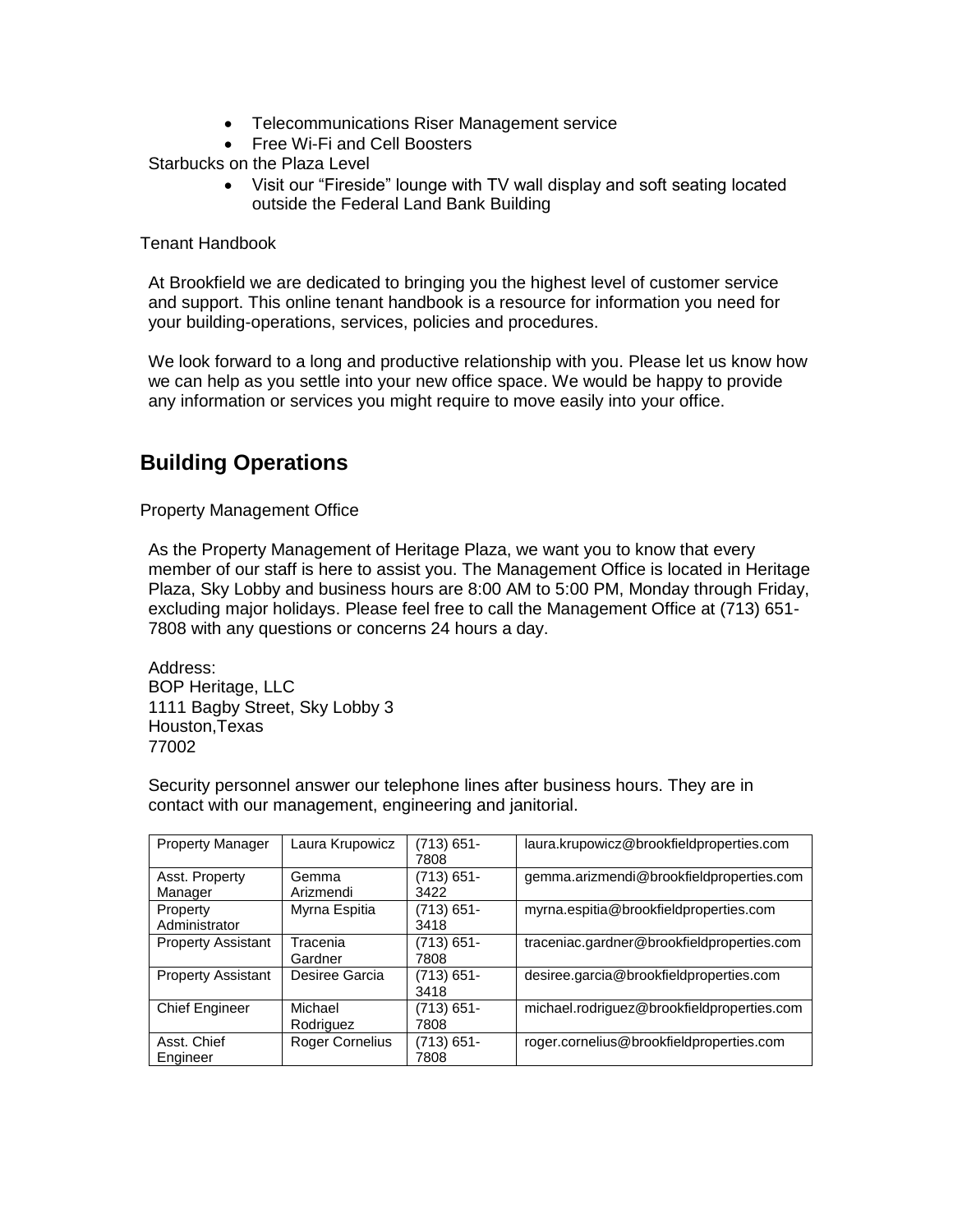# RUN/HIDE/FIGHT

- 1. Run Evacuate the area.
- 2. Hide In a safe room that can be locked and barricade the door.
- 3. Fight As a last resort confront the shooter any way possible, throw objects, make noise, move around, create an element of surprise for the attacker.

# **Tenant Services**

Service Request / Angus Work Order System

Brookfield's goal is to provide outstanding tenant service at all times. This means:

- Courteous, timely, efficient, high-quality responses to tenant requests
- A follow-up review to confirm that the tenant is satisfied with the response
- When there is a charge for the tenant service, the tenant will receive a clear and accurate invoice

Each lease contains specific information about services to be provided, including complimentary and chargeable services. If a tenant is unfamiliar with charges for services being requested, the cost of the service will be explained.

Tenant services may be provided by Brookfield Properties staff or by outside contractors hired by Brookfield. Authorized tenant representatives can submit requests for routine maintenance using the online Service Request System.

With just a few easy steps you can submit a request for building service. Simply click on the link to the Service Request button on the Tenant Resources page, login with your personalized username and password, enter the necessary information, click submit and you are done!

Click here to login to the Service Request System.

The following information contains detailed instructions for using the Service Request System.

- Enter you personalized user name and password issued by the Management Office
- Complete the Service Request by entering as much information as you can. Fields that are marked with a red asterisk are mandatory. Fields such as Property, Reported By, Reported by Phone, and Reported by Email will auto-fill based on your personalized login. The information contained in these fields cannot be changed.
- Select the type (service category) of the request.

Viewing Service Requests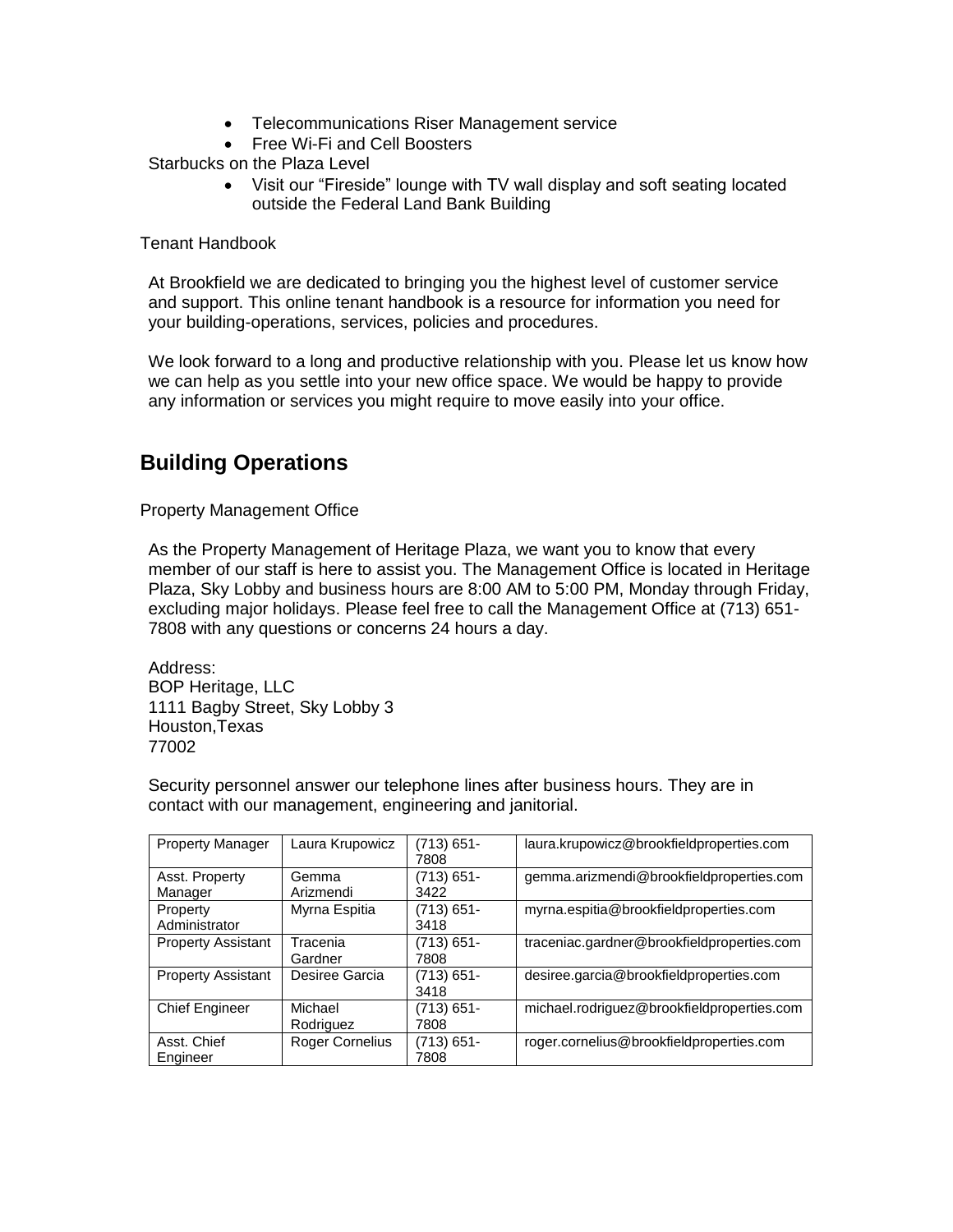- 1. Click on View Service Request
- 2. Select filters or accept the default parameters
- 3. Click Go!

The system will display all your service requests. The most recent request will be on top. Scroll to find the request your company has created. Click on the request date for detailed information about the request.

| Request<br><b>Status</b> | Explanation                                                                                                                                                                |
|--------------------------|----------------------------------------------------------------------------------------------------------------------------------------------------------------------------|
| Open (new)               | The request has been created but the Management Office<br>has not processed it                                                                                             |
| In Progress              | The request has been accepted by the Management<br>Office. The work requested had been completed. The<br>request may be kept in this status due to follow-up<br>activities |
| Work<br>Completed        | The work requested had been completed. The request<br>may be kept in this status due to follow-up activities                                                               |
| Closed                   | The work requested and follow up activities have been<br>completed                                                                                                         |
| Cancelled                | The work order was cancelled by tenant or Management<br>Office                                                                                                             |

Visitor Registration

https://www.ng1.angusanywhere.com/Tenant/Default.aspx?CompanyName=Trizec&W ebsiteName=Brookfield

Building Signage and Directory

Each tenant is listed on the electronic building directory. Please submit to the Management Office a list of specific names you wish listed in the directory. A door plaque and/or elevator signage will be provided at Tenants' expense. Please allow 6-8 weeks for delivery.

Directory listings are in the following format:

Company Listings Name Suite or Floor # Individual Listings Name Suite or Floor #

Plaza, Sky Lobby and multi-tenant elevator lobby directory signage can be ordered through the Property Management Office prior to your initial move-in. All signage must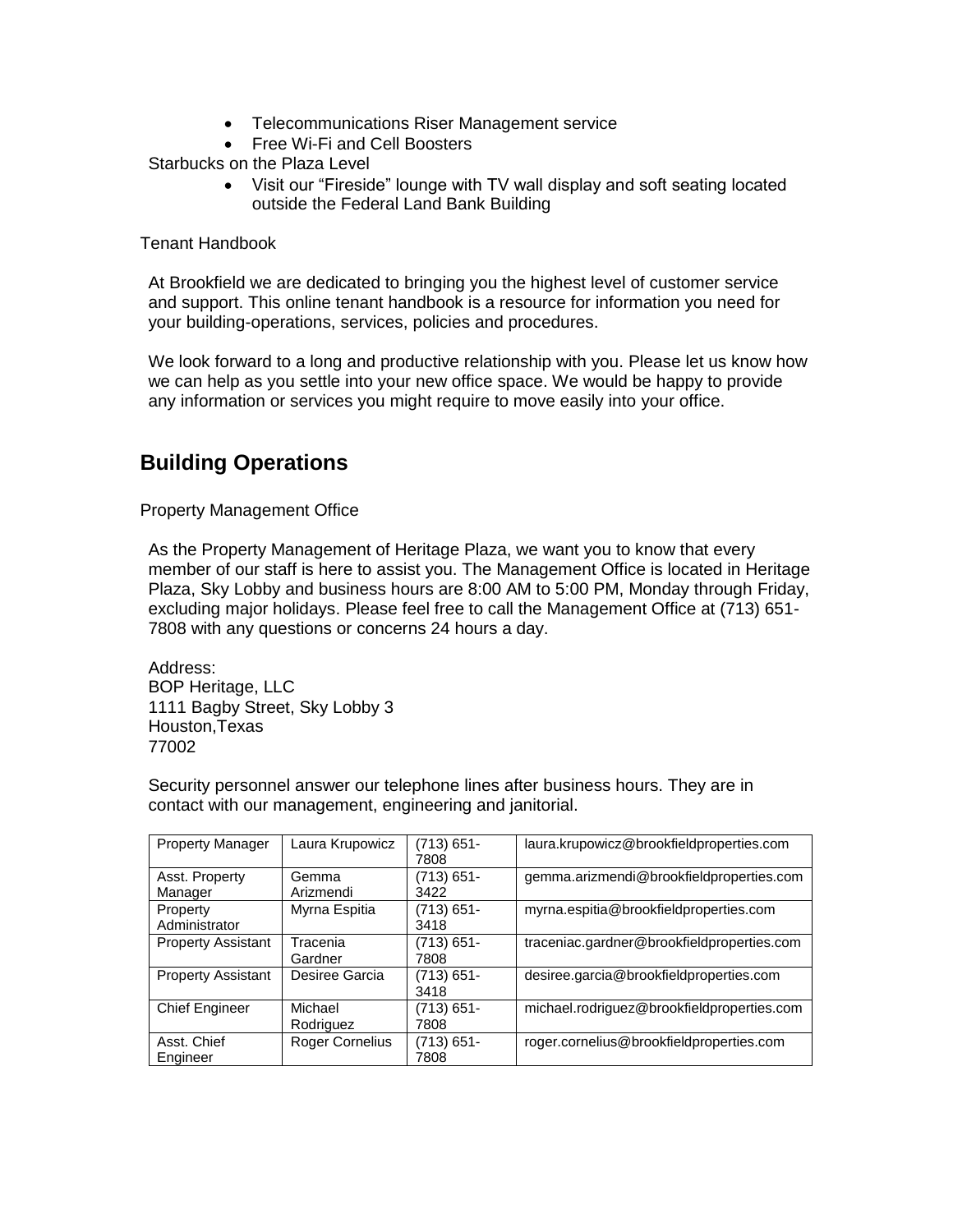#### be approved.

Please refrain from taping temporary or non-building standard signs to the building walls, suite doors, building or elevator lobby doors, or elevator walls.

Updates to the directory listing and tenant signage are the responsibility of the tenant.

### Cleaning Services

Cleaning service is provided five times per week. During each cleaning, carpets are vacuumed, unobstructed surfaces dusted, and trash is emptied. For trash that is not in a wastebasket, please inform the cleaning personnel by leaving a large note on the items that read BASURA or TRASH. Please DO NOT leave items that are not trash on top or near wastebaskets because these items might be misconstrued as garbage. If you have special cleaning needs please submit a request through the Angus work order system.

If a small cleaning problem should arise during working hours, please submit a work order through the Angus work order system and assign to Cleaning/Janitorial.

For questions or comments regarding the cleaning services or pricing for any extra services, please notify the Management Office.

#### **Deliveries**

Deliveries to Heritage Plaza are made through the Heritage Plaza Courier Service (Breakpoint) located on the Plaza Level of the building next to the loading dock. All incoming packages are brought to the Courier Room, scanned and uploaded to a tracking system. Letters and/or small packages are delivered to the Tenant's suite within 30 minutes and bulk shipments within an hour. All delivery personnel are required to enter at the loading dock.

Breakpoint also provides outbound services. Notify Breakpoint at 713.651.3450 outbound package(s) are ready for pickup. Please see schedule of services below. Please direct your questions to Breakpoint at 713-651-3450 or [www.breakpoint.co](http://www.breakpoint.co/) (please note this is a .co not .com).

#### Certificate of Insurance

All Tenant vendors must have a Certificate of Insurance on file including but not limited to coffee, beverage, catering, food takeout delivery, office supplies, etc. A Certificate of Insurance must be received by the Building Management Office 72 hours in advance of delivery. Please note, it is the Tenant's responsibility to acquire the Certificate of Insurance and forward to the Building Management Office. Contact the Building Management Office for a sample Certificate of Insurance per vendor type and list of approved vendors.

Loading Dock / Freight Elevator / Deliveries / Package Pickup

Monday – Friday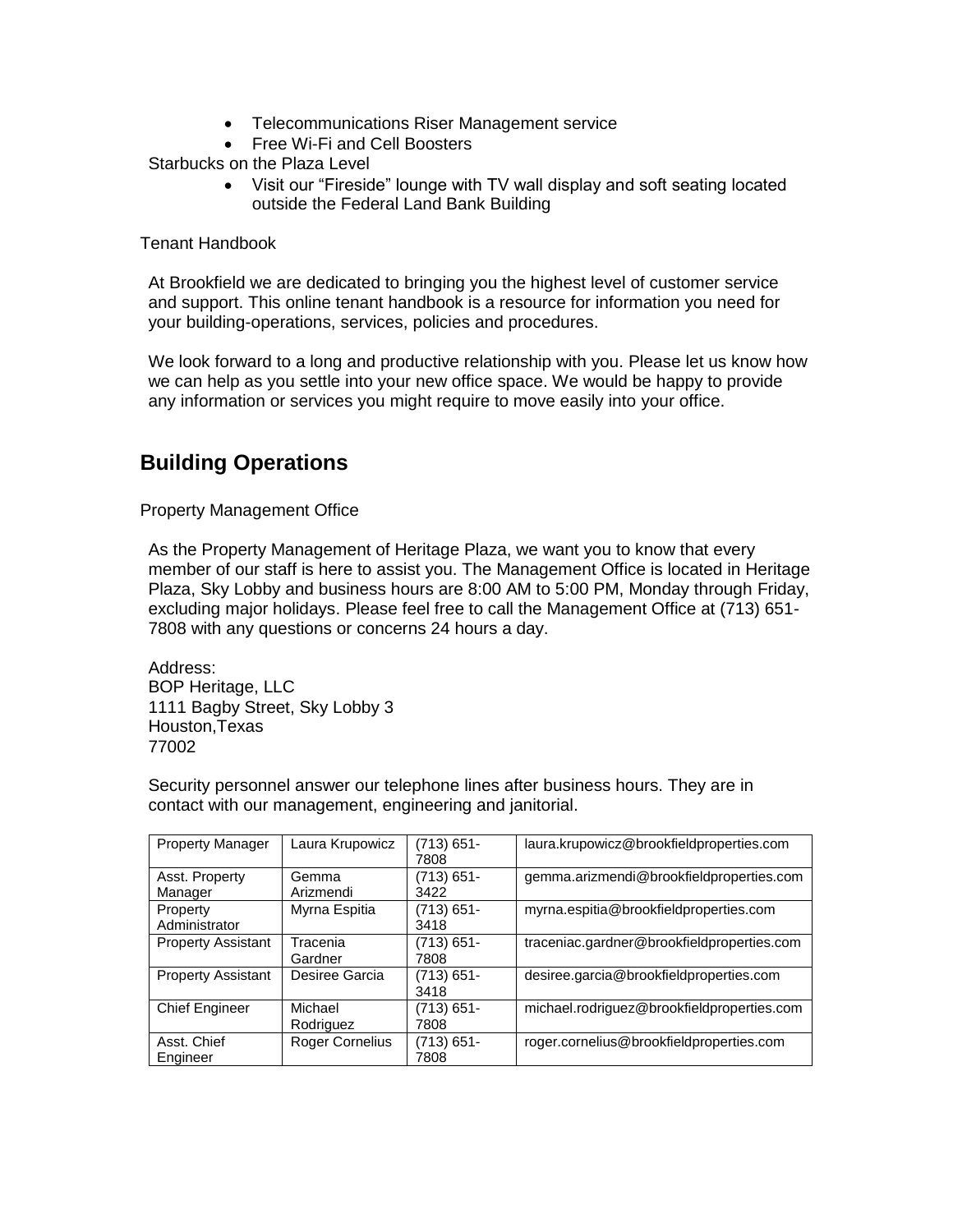6:30am – 11:00am Building Deliveries – UPS, FedEx, USPS, Coffee, Beverage, Catering, Food Takeout Delivery, Office supplies, etc.

11:00am – 1:00pm Catering Deliveries Only

1:00pm – 5:00pm Building Deliveries – UPS, FedEx, USPS, Coffee, Beverage, Catering, Food Takeout Delivery, Office supplies, etc. Small moves from 3:00pm – 5:00pm pending Building Management approval (i.e., 2 desks, 1 file cabinet, 2 chairs)

3:00pm – 3:30pm First Scheduled Package Pickup – Ground boxes (small and large), air express letters and packages. Notify Breakpoint at 713.651.3450 when your outbound package(s) are ready for pickup.

5:00pm – 5:30pm Janitorial Crew Only

5:30pm – 8:30pm Small Moves – Reserved through Management Office of first come, first served basis. \$40 per hour for dock officer with a 3 hour minimum charge.

6:00pm – 6:30pm Final Scheduled Package Pickup – Ground boxes (small only), air express letters and packages. Notify Breakpoint at 713.651.3450 when your outbound package is ready for pickup. Boxes larger than  $16" \times 13" \times 3"$  will be picked up the following day.

8:30pm – 10:00pm Janitorial Crew Only

10:00pm – 6:00am Large Moves – Reserved through Management Office on first come, first served basis. \$40 per hour for dock officer and \$40 per hour for freight operator with a 4 hour minimum charge for each service.

Saturday – Sunday

6:00am – 6:00am Large Moves – Reserved through Management Office on first come, first served basis. \$40 per hour for dock officer and \$40 per hour for freight elevator operator (total  $=$  \$80/hr.) with a minimum 4 hour charge.

Deliveries Summary

The loading dock is open from 6:30am to 5:00pm for everyday Tenant deliveries such as UPS, FedEx, coffee, beverage, food takeout delivery and office supplies, etc. The dock and freight is reserved for caterers only between the hours of 11:00am and 1:00pm. Whereas the loading dock is closed, the freight elevator is operational from 5:30pm to 10:00pm. Refer above.

Vendors and Tenants are allowed to use carts or dollies to transport boxes/items/large packages on the loading dock and in the freight elevator during and after business hours. Vendors and Tenants are not allowed to use carts or dollies to transport boxes/items/large packages on the Plaza Level or in the passenger elevator during and after business hours. Vendors and Tenants are to complete their path of travel via the freight elevator to the loading dock.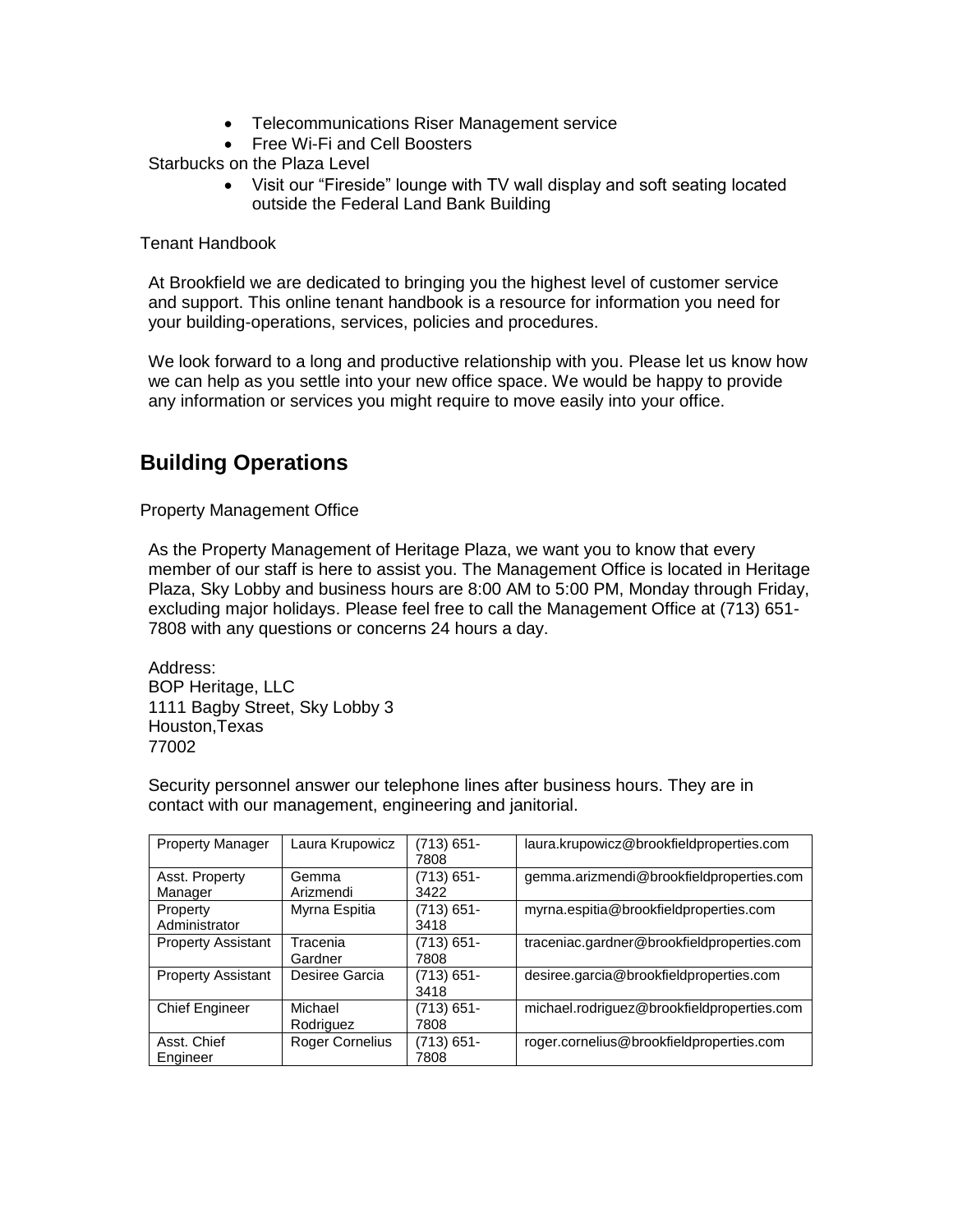Small after-hours food deliveries require a Tenant representative to meet the food vendor at the Plaza Level to either pick up the food or meet the vendor at the Plaza Level and escort the Vendor to the Tenant's suite.

The loading dock is available by appointment only for after-hours (after 5:30pm) and weekend use via the Angus work order system. The charge for this service will be included on your next Tenant statement. Reserving the dock must be scheduled 24 hours in advance for regular deliveries and 5 days in advance for moves. Cancellations are accepted 24 hours in advance of this service, you will be billed for this service if cancelled less than 24 hours in advance.

Large deliveries, move-ins, move-outs and construction MUST be scheduled afterhours and MUST be coordinated through the Building Management Office to avoid conflicts. Passenger elevators are not to be used for moving or deliveries.

- Scheduling is done on a first come, first served basis and the freight elevator/loading dock is exclusively for the requestor (Tenant) who made the reservation
- Pallet Jacks are not allowed on the property including the loading dock or freight elevator.
- Dumpsters are to be scheduled Monday through Friday between the hours of 10:00pm to 5:00am and must be removed the day of the scheduled usage. Dumpsters are to be scheduled Saturday – Sunday between the hours of 5:00am Saturday through 5:00am the following Monday. Dumpsters must be removed by 5:00am Monday.

Procedure for After-Hours Moves, Large Deliveries and Construction:

Please note, any after-hours use of the dock and freight elevator must have an overtime dock officer/overtime freight operator (minimum hours are listed below).

- Monday through Friday 5:30pm to 8:30pm: Minimum 3 hours (no charge for freight operator, charge for dock officer only)
- Monday through Friday 10:00pm to 6:00am: Minimum 4 hours (must have dock officer and freight operator)
- Saturday and Sunday 24 Hours: Minimum 4 hours (must have dock officer and freight operator)
- The cost of each dock officer/freight operator is approximately \$40.00 per hour, per person
- If a loading dock officer and or a freight operator was scheduled on your behalf, cancellation must be done twenty four hours in advance to avoid a four hour each (minimum) charge

Procedure for Reserving the Loading Dock/Freight Elevator:

The requestor (Tenant) will make the reservation for the loading dock/freight elevator through the Angus work order system including:

- Date: For dock and/or freight
- Duration: Start time and end time
- Location: Floor(s) where work is to take place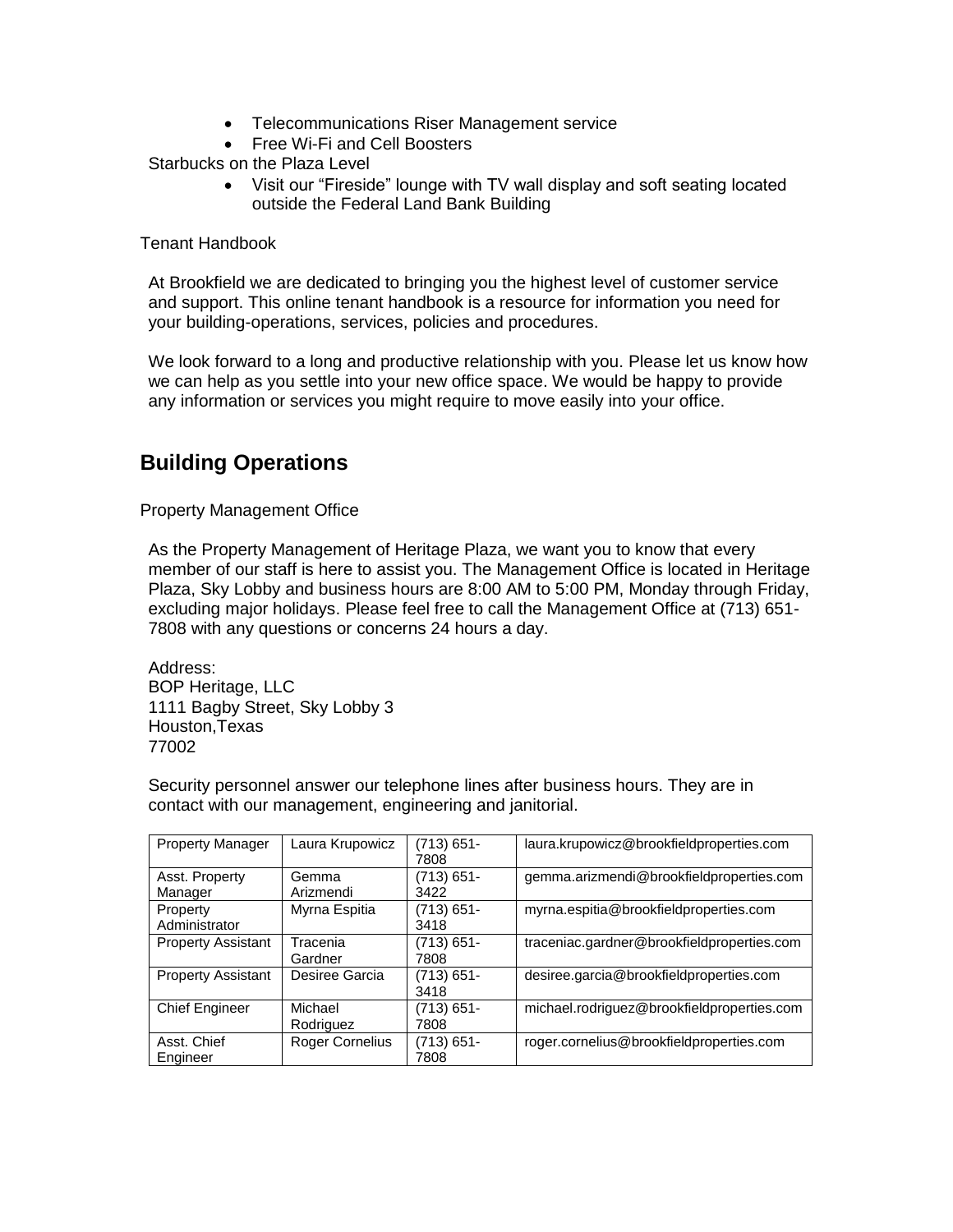- Purpose: Trash hauling, furniture move (approximately how many pieces), bring in/take out equipment on a build out, etc.
- Vendor: Name, contact and phone number
- Vendor: How vendor will access Tenant's space

### **Elevators**

There are twenty-eight (28) passenger elevators in the building. Three (3) elevators from the Parking Garage to the Sky Lobby, four (4) shuttle elevators from ground (Plaza) Level to Sky Lobby, two (2) in FLBB from Plaza to Level 4, one (1) handicapped accessible on the Sky Bridge from Sky Bridge to Plaza Level, six (6) elevators for Levels 14-26, six (6) elevators for Levels 27-39 and six (6) elevators for Levels 40-51 and one (1) Freight Elevator. Moving is not allowed on any passenger elevator, only the freight elevator. The elevator number is located inside each cab. The telephone automatically calls the Security Desk 24 hours a day, 7 days a week. Heritage Plaza has an onsite elevator technician Monday through Friday during business hours.

# Elevator Malfunction

Remember to remain calm if you are in the elevator and it stops. Pressing the emergency button within the cab will alert the Security Desk that the elevator is malfunctioning. The cab number will be identified along with the specific floor on which the elevator is stuck. The Security Officer will establish and continue two-way communication with the elevator occupants until help arrives.

In the event of a power outage, elevators will continue to operate in a limited fashion using our emergency power generator at the Tower. Should an outage occur, elevator lights will remain on, but the car itself will temporarily cease moving. Each elevator will automatically return to the Sky Lobby, their doors will open, and they will remain inoperable until the power has been restored.

# ELEVATORS MUST NOT BE USED FOR EVACUATION IN THE EVENT OF A FIRE ON YOUR FLOOR OR THE FLOOR DIRECTLY ABOVE OR BELOW. USE THE STAIRWELLS.

#### Riser Management

Heritage Plaza has partnered with Montgomery Technologies to manage the building telecommunications infrastructure, spaces and pathways. This service provides our Tenants with a program that ensures the security and integrity of the building communications system. When a telecom provider or vendor needs access to the riser for any data, telephone service or IT room demarc, Tenant is to schedule through Montgomery Technologies. Tenant is to contact Lunet Kelly at 1-844-824-0100 and 415-872-0810 or email lkelly@montgomerytech.net.

#### Engineering Services

Tenants may need special engineering services, including locks, replacement of nonstandard ceiling tiles, installation of additional thermostats, etc. The tenant is billed at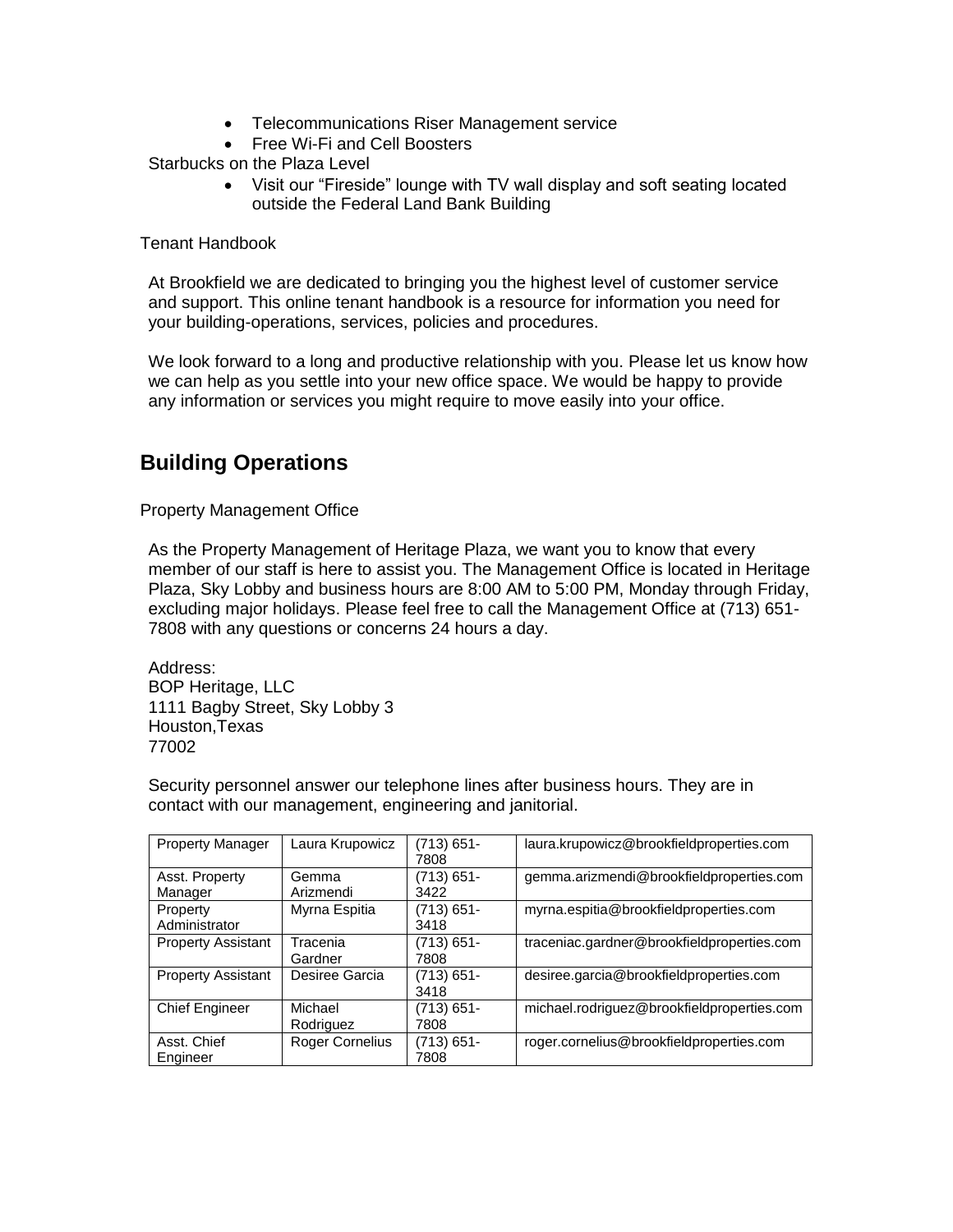established rates for engineering services. Please enter all requests for services via the Angus work order system.

Engineering requests are processed and billed as follows:

- A member of the engineering department staff investigates the situation
- If possible, the problem is resolved immediately
- If materials must be purchased or completing the repair requires further planning or other assistance, the engineer consults the Property Manager. They then plan the work and prepare a time-and-materials estimate for tenant approval

Prior to work commencing, the tenant will be required to approve the estimate of work in the Angus work order system, for which the tenant is responsible.

# **HVAC**

# HVAC Services

If the temperature in your office needs adjustment, please initiate a request through the Angus work order system. Your request will be referred immediately to engineering personnel.

# After Hours HVAC

The standard hours of HVAC (heating, venting and air conditioning) operation in the building are from 7:00 a.m. to 6:00 p.m. Monday through Friday and 8:00 a.m. to 1:00 p.m. on Saturday except for holidays which must be programmed. Overtime HVAC is charged at the rate stipulated in the lease; if the rate is not shown in the lease, the tenant is charged at the building standard rate, plus administrative fee (if applicable). Upon move-in, each Tenant is assigned a unit number and password to program OT HVAC. Call the number below and enter the following information for immediate afterhours HVAC needs.

| Call: 713-652-5845 |
|--------------------|
| Floor              |
| Unit No.           |
| Password           |

Enter the number of hours of after-hours HVAC that you need (1 to 6 hours are available). Call the phone number above and select "7" when prompted if you want to cancel or shut off the air conditioning.

Tenants who have "re-occurring" after-hours air conditioning can enter a work request in the Angus work order system. Choose the "HVAC-After Hours" and it will be programmed by one of the engineers.

# Keys and Locks

Upon moving into the building tenants must request keys or access cards for their entrance doors. Additional keys/cards and locks can be purchased by entering a work order through the Angus work order system. All locks and keys must be building standard. All locks, keys and lock changes must be installed by our building locksmith.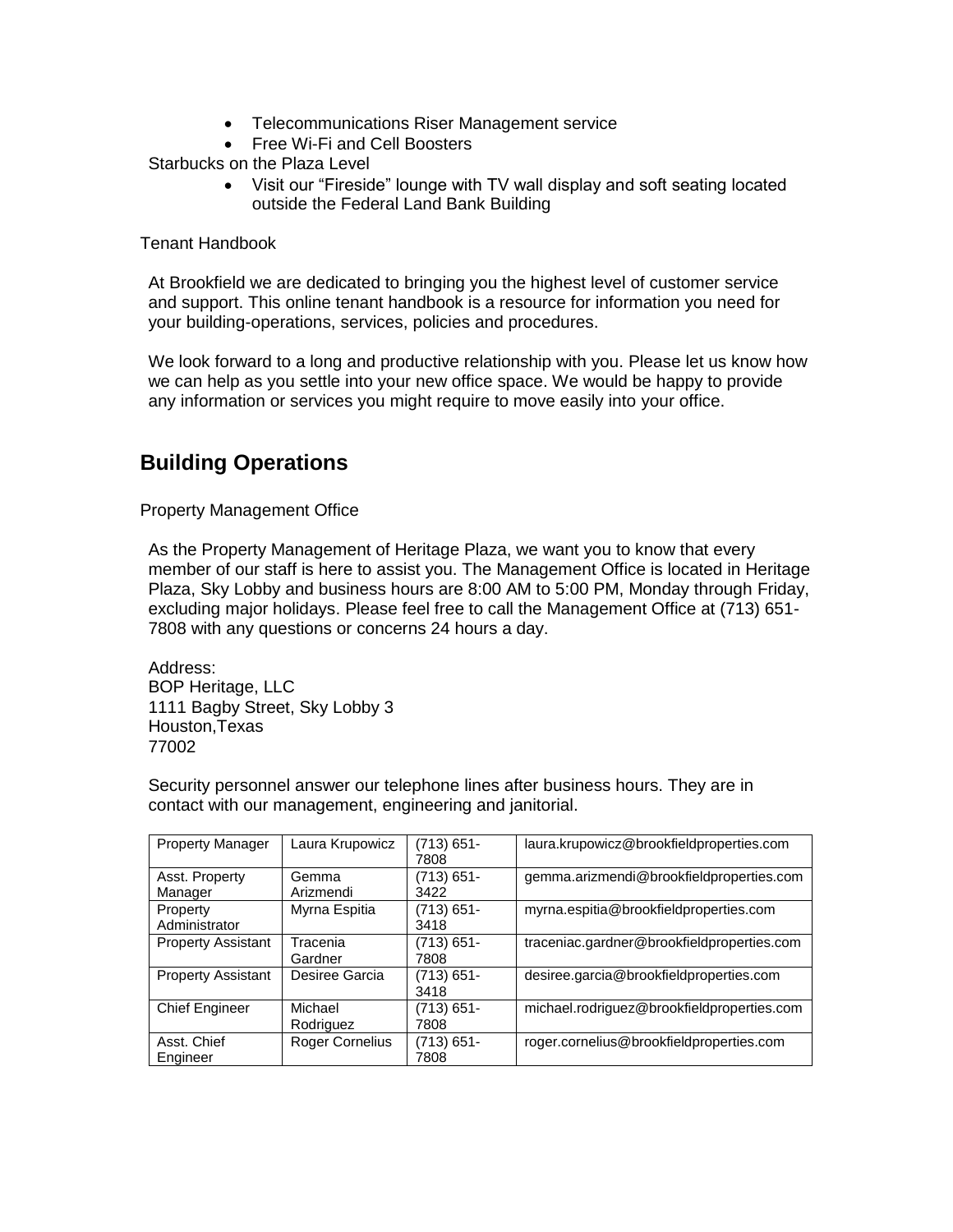A fee is charged for this service and is billed on your monthly statement for extra services. All key and lock requests should be submitted using the Angus work order system. There is a \$25.00 charge for access cards.

All keys and access cards remain the property of the landlord. No additional locks will be allowed on any door without written permission of landlord.

### Lost and Found

The Management Office maintains a lost and found for items that have been brought to us. If you have lost an item in the building or parking garage please call 713-651-7808 or come to the Management Office. If an item found in the building or parking garage please bring it to the front desk in the Management Office on the Sky Lobby floor or you may call 713-651-7808 for instructions.

### Mail Service

The mailroom is located on the Plaza Level and is operated by the U.S. Postal Service. Upon move-in, Tenants are assigned a postal box and issued a set of keys through the Management Office. However; the Management Office does not have access to the U.S. Postal Service boxes.

Outgoing mail can be deposited in the collection boxes located in the mailroom on the Plaza Level.

### Parking

There are two parking garages that service the property. Parking for a number of tenants is provided in the Tower garage, accessed from Lamar Avenue, on floors 2 - 12 providing 808 parking spaces. This garage has gate access and roll down gates. The Lamar parking entrance closes at 7:00 pm Monday through Friday and all day Saturday and Sunday. Each exit has an intercom system connected to Central Parking which is monitored 24/7. The Clay Street Garage also provides 1,151 parking spaces for building tenants and a tunnel that connects to the Heritage Plaza Mall Level. Heritage Plaza visitor parking is located at the Clay Garage, 1200 Bagby, surface lot only. There are no visitor parking spaces in the Tower garage.

All parking spaces marked "Reserved" are 24 hours a day, 7 days a week, for the person leasing that space. Please call the management office at 713-651-7808 for all routine matters including the issuance of monthly passes and tickets.

sp+ operates the parking facilities. If you have questions related to parking, please call Charlotte Howard at 713-651-7808. For parking specifics and pricing please refer to your lease.

If your company has individual parkers seeking a parking contract that is not billed through your company, go to www.spplus.com and register with your credit card. Please see the attached map for location of the garage and visitor parking information.

Pedestrian traffic on the garage entrance ramp is prohibited for the safety of all concerned.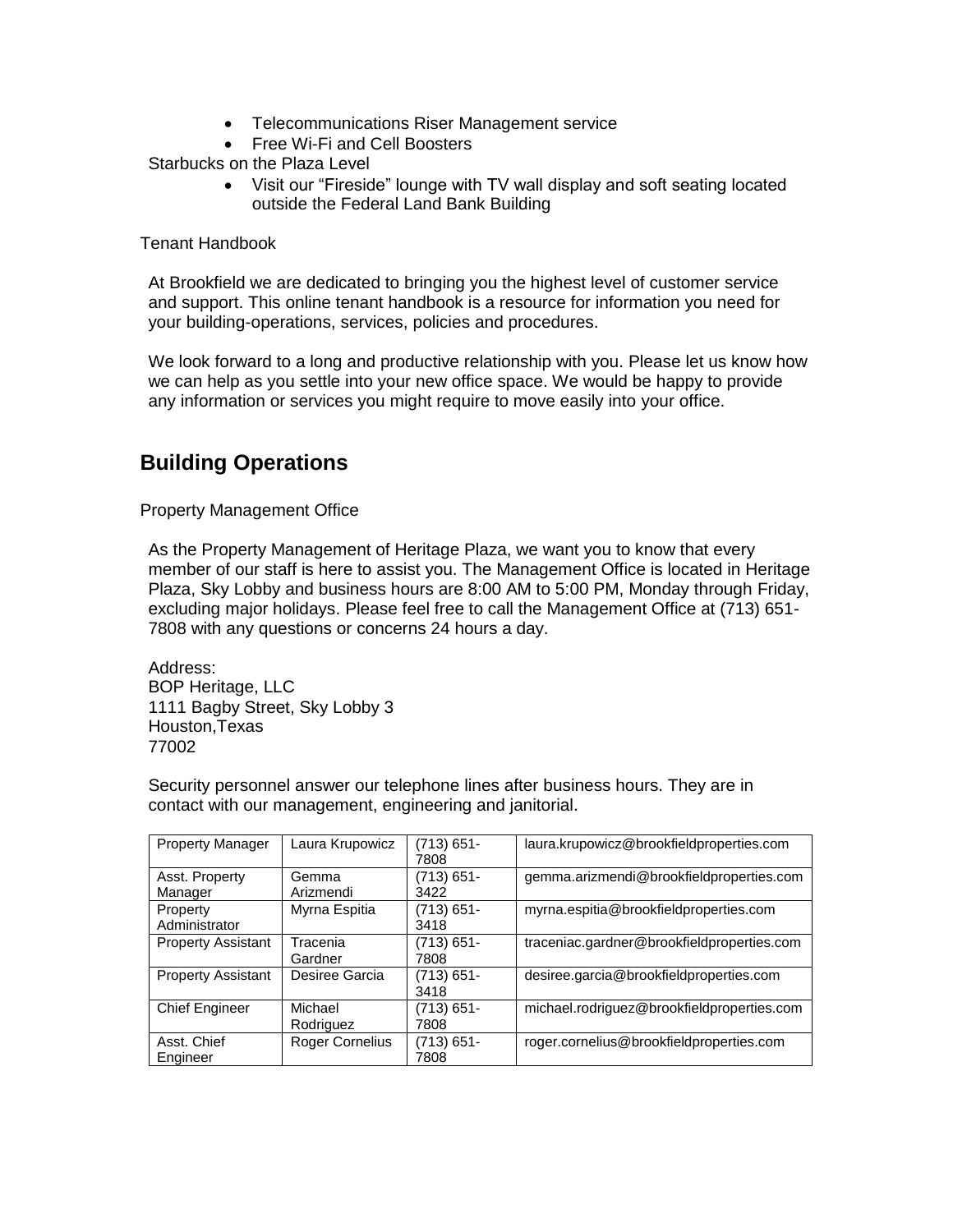Posted speed limit within the garage is 5 MPH.

# Recycling

Brookfield is committed to both preserving our environment and reducing operating costs.

Heritage Plaza participates in a single stream recycling program. Blue liners are used as indication of designated Tenant recycling containers that accept paper, aluminum, cardboard and clean plastic. Recycled materials from the building are hauled to a designated "MERF" to sort and separate the materials. Heritage Plaza currently averages close to 50% of all building waste to be diverted from landfills.

In addition, Heritage Plaza participates in the following efforts to increase our landfill diversion rates and reduce our carbon footprint:

- E-Waste Host a bi-annual electronic waste drive.
- Construction & Debris Maintains our policy to use waste haulers that will divert construction and debris from landfills as a first option.
- Toner Our Management Office recycles all toners.
- Light Bulbs All light bulbs are recycled through a third party vendor.
- Batteries Our Management office will accept batteries from Tenants and recycle on an as needed basis.
- Consultant Heritage Plaza has a consultant to assist Tenants in improving their diversion rates, help increase sustainability efforts and develop creative new methods to recycle material.

The following products cannot be recycled and should be discarded into the regular trash receptacles: glass, paper towels, carbon paper, waxed paper, blueprints, food plates and Styrofoam. Please contact the Management Office for information on recycling and ordering trash receptacles.

# Repairs

If a need for repairs is noticed throughout the building, please notify the Management Office by calling or by submitting a Service Request. Our staff welcomes your information and assistance in maintaining Heritage Plaza as a first-class office environment.

If electrical, plumbing or other above standard repairs are requested within your premises, please log on to the Tenant Service Request System. The work will be completed by property maintenance personnel or outside contractors who are familiar with the building.

For more information about Service Requests please call the Management Office.

Tenant Parties, Receptions and Open Houses

If a tenant has plans for a party, reception, open house, etc., please contact the Management Office at least seven days in advance via the Angus work order system.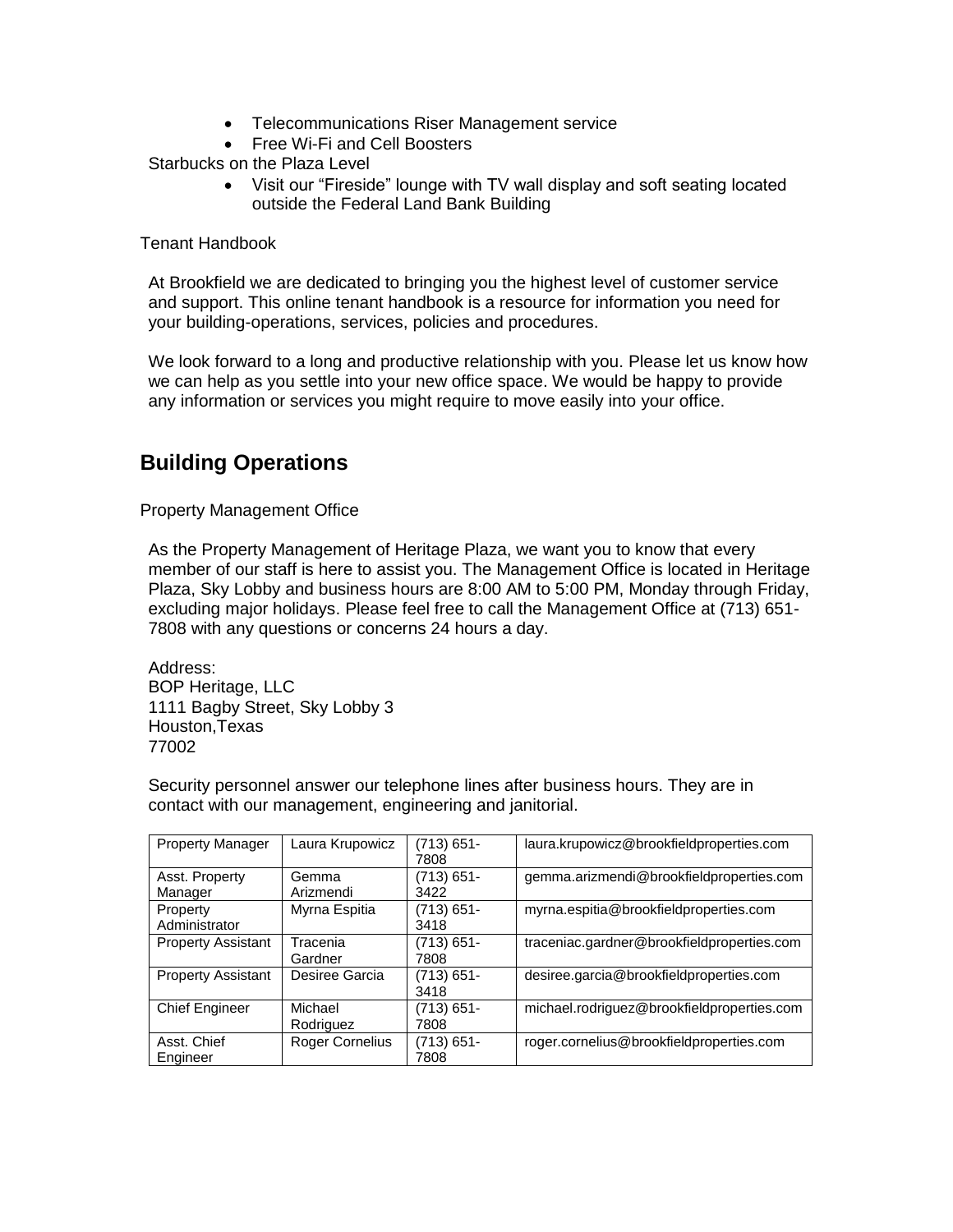Provide date, time, freight elevator access, catering and location of event. This will allow us to make security, cleaning staff and the HVAC departments aware of your gathering and to offer our help so that you and your guests have an enjoyable time. Some of the services provided have costs associated with them and it will appear on your monthly invoice.

If your plans include serving alcoholic beverages, you must have a uniformed police officer, with a required three hour minimum fee. Please contact Building Management office for scheduling.

### Tenant Security Services

Tenants may require security services in addition to those typically provided on a dayto-day basis by the property's security personnel. If extra security measures are required, the tenant should call the Property Manager to discuss these needs and the best way to fulfill them.

### TENANT AMENITIES

### Conference Rooms

Heritage Plaza offers two conference rooms free of charge for all Tenants to use. The Plaza Conference Room located on the Plaza Level is the largest and seats classroom style only up to 132 people. The fee is \$500.00 if you would like the Plaza Conference Room reconfigured. Note: Police officer required when alcohol is present. Management Office will provide contact information. With each reservation tenant may place one of the following immediately outside the Plaza Conference Room glass doors: (A) Foam board mounted sign on an easel. (B) Self-standing upright banner. The Mall Conference Room is located on the Mall level and seats up to 14 people with a large conference table, chairs, 40" Plasma Monitor and Polycom. All food vendors require insurance, refer to "Certificate of Insurance" in this Tenant Manual.

Reservations must be made through your Tenant Contact via the Angus Work Order System for your event and are booked on a first come, first served basis.

Conference room reservation and cancellation policy:

The Plaza Conference Room and Mall Level Conference Room will only be scheduled 60 days in advance and the rooms will only be available for two (2) consecutive days. There will be a charge of \$500.00 for tenants who fail to honor their reservation or fail to cancel within 48 hours of their scheduled reservation.

All conference room reservations must be made by the Tenant through the Angus system. If you do not have an account to access the Angus system, please contact your tenant coordinator.

Tenants are welcome to use our conference rooms during business hours, 7:00AM to 6:00PM, Monday through Friday.

All cancellation notices must be sent to Tracenia Gardner [\(traceniac.gardner@brookfieldproperties.com\)](mailto:traceniac.gardner@brookfieldproperties.com)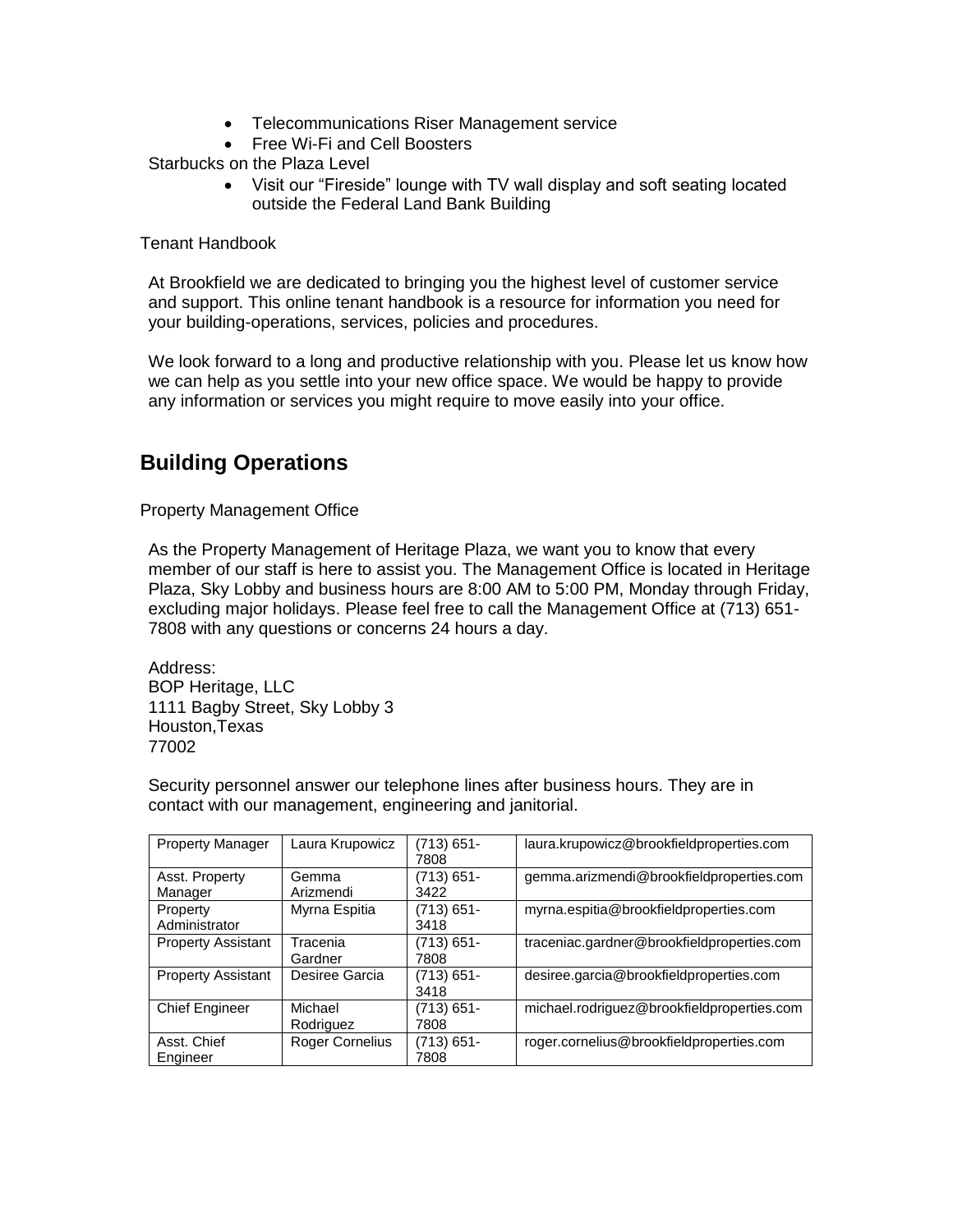### Fitness Center

The Heritage Plaza Fitness Center is located on the Mall Level. It is an 8,500 sq. ft. state-of-the-art facility with premier fitness equipment, locker room amenities and a full staff of fitness professionals. The fitness center is open to all Heritage Plaza Tenants. Optum Health is the management company for H-Fitness. Prior to using the Fitness Center, a Membership Information Packet must be completed. Your building access card will be activated for the card reader upon completion of the necessary paperwork. There will be a \$25 fee for a card upon registration if you do not have a building access card. The hours of operation are Monday through Thursday 5:30am. to 8:00pm and Friday 5:30am to 7:00pm. For more information please call 713.651.0075

### Food Service

Citrus Kitchen provides breakfast, salads, soups, hot entrees, burgers and sandwiches. Ice cream and specialty coffees are also available. Citrus Kitchen provides catering services for Tenant luncheons and events. is located on the Mall Level down the escalators from the main Plaza building lobby. The hours are 7:00am – 4:00pm.

### Heritage Coffee

Heritage Coffee is a "We Proudly Serve" Starbucks and is located on the Plaza Level. Hours of operation Mon.-Thurs. 6:00am – 5:00pm, Friday 6:00am – 4:00pm. To join the rewards program or order online please visit [www.heritagecoffeeweb.com.](http://www.heritagecoffeeweb.com/)

#### In-House Movers/Special Services

Services includes, hanging of framed art/certificates/photos and dry erase boards. Small in-house move like a desk and credenza. Rate is \$69.00 per hour/per man and a two-hour minimum is required.

#### Car Butler

Car Butler offers on-site professional auto detailing Monday through Friday. A representative is available every Tuesday and Friday from 7:00am - 9:30am at the Sky Lobby Concierge Desk. For more information please visit [https://carbutler.com](https://carbutler.com/) or by calling 713-223-0224.

Deliveries to Heritage Plaza are made through Heritage Plaza Courier Service (Breakpoint) located on the Plaza Level of the building next to the loading dock on Dallas Street. All packages are brought to the mailroom, scanned and uploaded in to the tracking system. This includes all floral and food deliveries. Letters and/or small packages are delivered within 30 minutes and bulk shipments within an hour. All deliveries must go through the courier room and badged in by a courier. Delivery personnel are required to enter the building at the loading dock located on Dallas Street. The Courier Service also provides outbound services. Notify the mailroom at 713-651-3450 when your outbound is ready for pickup. Operating hours are 6:30 am to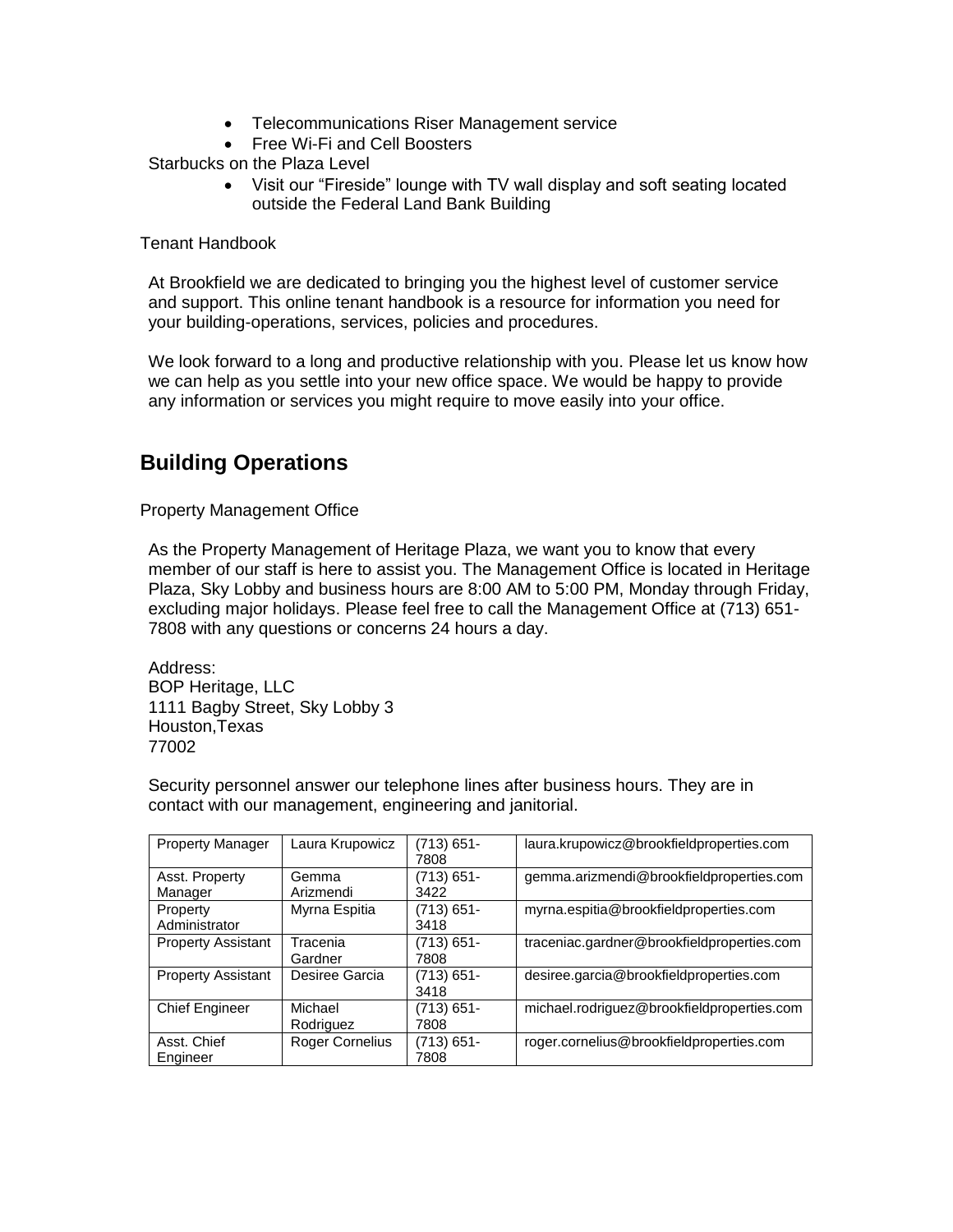7:00 pm Monday through Friday. Please direct your questions to Heritage Plaza Couriers at 713-651-3450. The courier service website is: www.breakpoint.co.

Courier Service (Breakpoint) does not have any affiliation with the U.S Postal Service or access to the U.S. Postal Service boxes located in the building.

# **Policies and Procedures**

# **Contractors**

Any Tenant planning for construction in their space must notify the Building Management Office and have their plans and drawings approved and coordinated through the Building Management Office. This includes any jobs (i.e. plumbing, electrical or mechanical). Building approved contractors must be used.

Construction, Remodels or Modifications to Your Suite

Tenants must have the Landlord's approval for any construction, remodeling and/or modifications to your suite (per your lease). After drawings have been approved, Tenants can contact the Building Management Office for the approved vendor list. These vendors should already have a current Certificate of Insurance on file. Please do not hire any vendor before checking via email with the Building Management Office. Please note some services provided may incur a management fee and is outlined in your lease agreement.

The following regulations establish the minimum criteria for all construction activities on the property. The regulations are subject to change and Contractors will be notified of changes that affect their work. Brookfield Property Partners requires strict compliance with these regulations.

# Access

a. Security Badges

All construction personnel shall wear company shirts or uniforms at all times while they are present on the property.

- b. Security Clearance Forms may be obtained from Property Management and shall be submitted to Property Management for the following:
	- o General Construction: Form may be submitted for approval prior to
	- o commencement of each project.
	- o Adjacent Space: Form shall be submitted for approval 24 hrs. prior to any work that will require access to adjacent lease spaces.
	- o Building Systems: Form shall be submitted for approval 24 hrs. in advance of any work which shall require the impairment or alteration of any building system.
	- o Freight Elevator: Form shall be submitted for approval 24 hours in advance of any extensive use requirements for the freight elevators (i.e. stocking material, removing trash).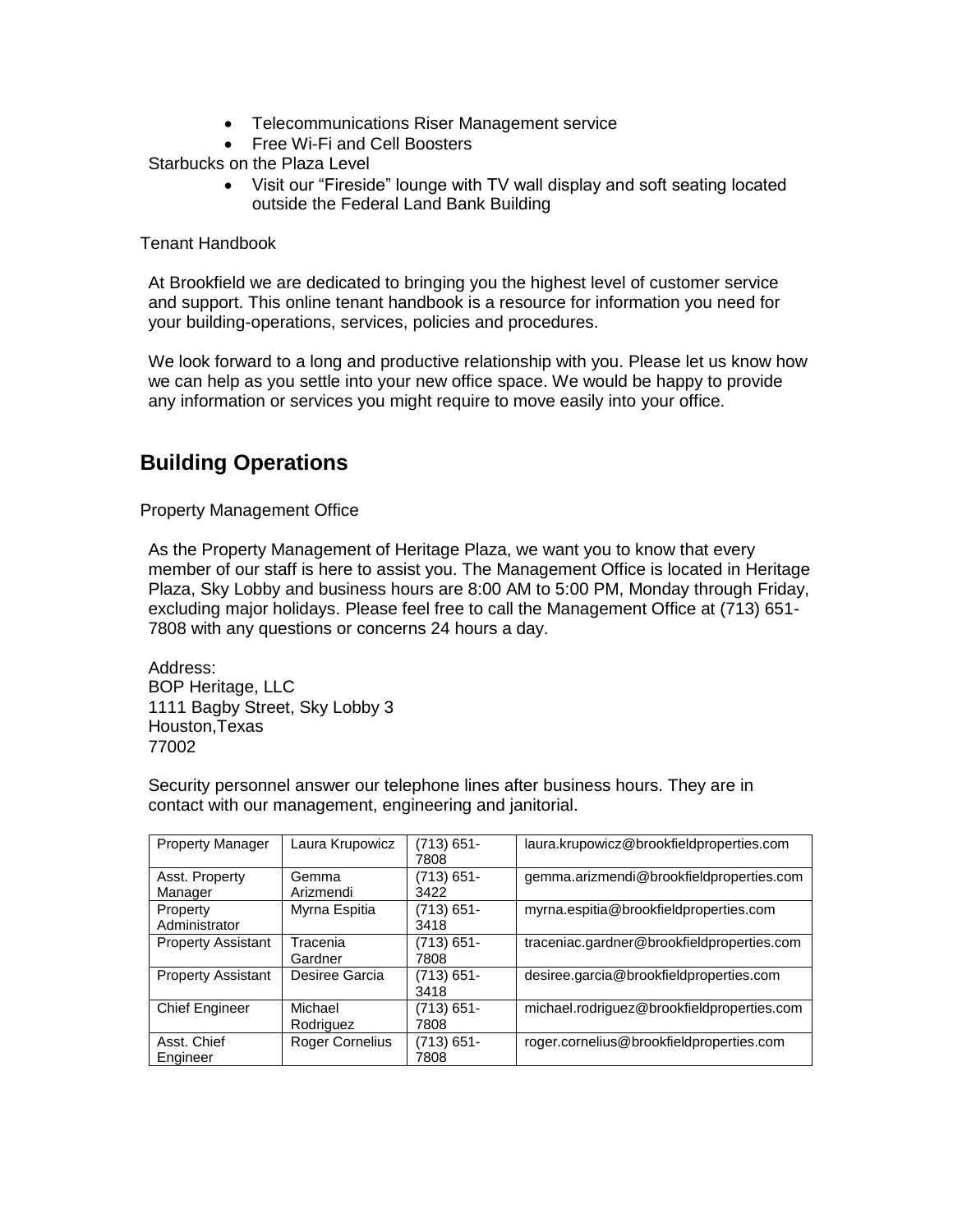# Personnel

- 1. Construction personnel shall use the freight elevators at all times.
- 2. Alcohol and drugs are not permitted on the property or within the building.
- 3. Construction Personnel found to be in the possession of or under the influence of drugs or alcohol are subject to immediate removal from the property and banned from further work on the property.
- 4. All electronic devices are prohibited at worksite.
- 5. Contractor personnel are not permitted to use vending machines inside the tenant spaces, or table and chairs in common areas provided for the use of the building tenants.
- 6. Only Mall level restrooms are available for contractors.

# Subcontractors

Only Heritage Plaza approved general contractors and subcontractors such as Mechanical, Electrical, Plumbing, Sprinkler and Fire Alarm subcontractors may perform work on the project. A copy of approved subcontractors list is available from the Property Manager.

# Housekeeping

- a. All common areas shall be kept clean at all times. These areas include but are not limited to common corridors, restrooms, stairwells, lobbies, elevators, loading dock, and the grounds.
- b. Construction debris and trash shall be removed from the jobsite as soon as
- c. practicable. Property Management reserves the right to require trash removal on demand.
- d. Construction debris and trash shall not be stored in Mechanical rooms, Electrical closets, Service Elevator lobbies, adjacent spaces or any other location outside of the jobsite.
- e. All trash removal shall be scheduled for weekends.
- f. Contractor shall provide walk off mats at each exit from the jobsite. Mats shall be maintained or replaced as necessary to prevent construction dust from being tracked throughout the buildings.
- g. Mechanical and Electrical rooms shall be broom cleaned daily. Panel covers shall be replaced on all active electrical panels daily. No construction materials or supplies are to be stored in the mechanical or electrical rooms.
- h. The Contractor is to install a construction pre- filter on all air handling units serving the jobsite before starting job and remove once the job is complete. The filters needs to be monitored weekly during construction.

# Sprinkler System

a. Contractor shall notify Property Management 24 hours in advance of any work affecting the sprinkler system.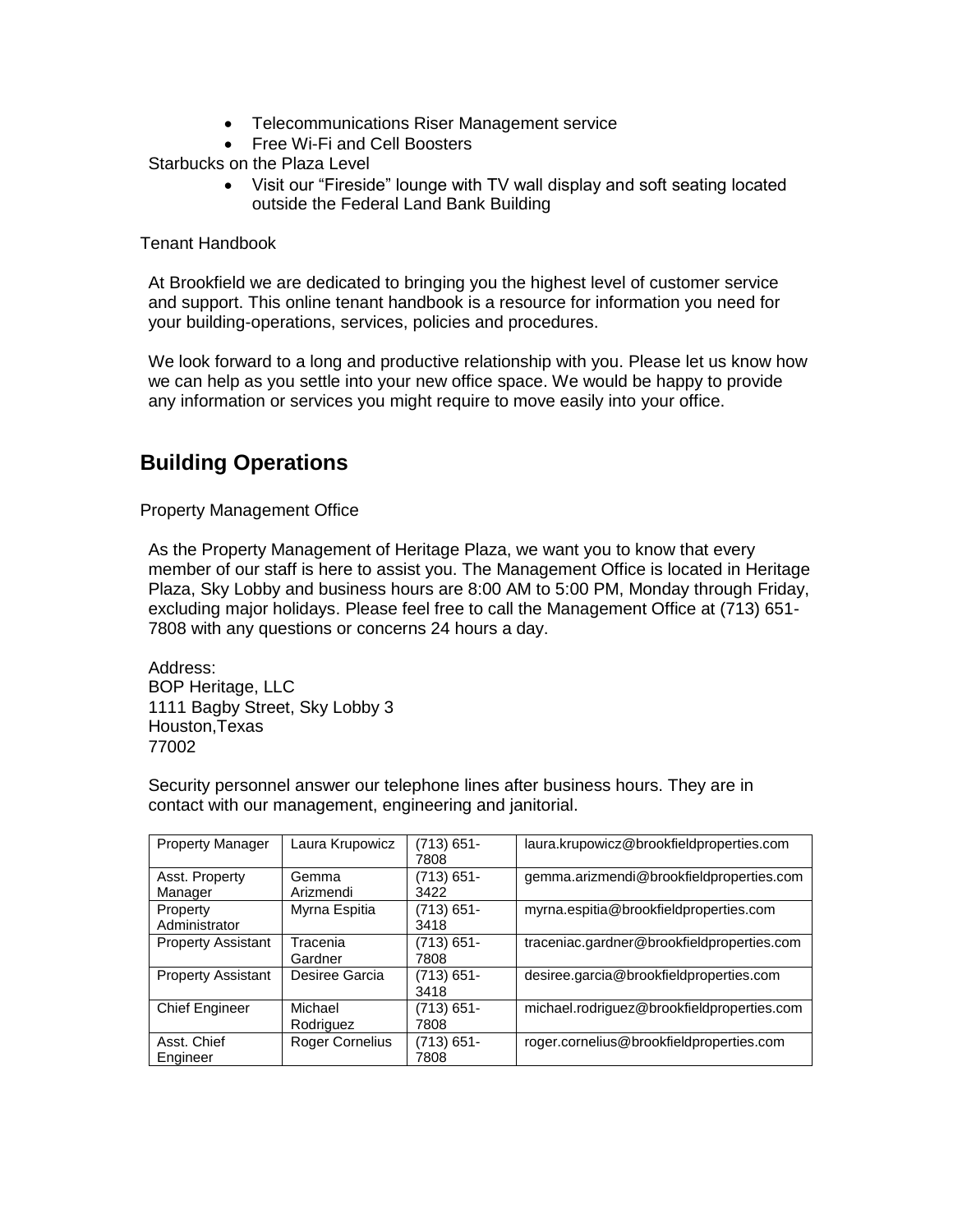- b. Contractor shall check in at the Security Console prior to commencement of the sprinkler work.
- c. Chief Engineer/Assistant Chief Engineer shall accompany Contractor and tag impaired devices.
- d. Sprinkler system drain down and refill are the responsibility of the Contractor.
- e. When notified by the Contractor, Chief Engineer/Assistant Chief Engineer shall remove impaired device tags after the work is complete and the system is operational.
- f. The Contractor shall remain on site at all times when the sprinkler system is impaired and shall not leave until the system is refilled and all alarm or trouble conditions related to the work are cleared.
- g. Sprinkler Standpipes or risers may not be drained or remain empty between the hours of 7:30 a.m. and 6:00 p.m.
- h. Sprinkler feed mains, cross-mains and branch lines shall be drained after 7:30 a.m. on regular business days only and must be refilled by 5:00 p.m. each day. Exceptions require approval of Property Management. The Contractor may incur additional cost for Property Management personnel when these steps are not followed.

# Fire Alarm System

- a. Contractor shall not conduct any activities that will activate the building fire alarm system prior to the implementation of precautionary measures to prevent false alarms.
- b. Contractor shall be charged \$250.00 per occurrence in the event of false fire alarms caused by smoke detectors that have not been taken out of service prior to the work in accordance with the following procedures:
- a. Contractor shall notify Property Management/Security in advance of any activities that will require impairment of any smoke detectors.
- b. The Contractor will take smoke detectors out of service.
- c. Contractor personnel must be present at all times on each floor or specific work area where the smoke detectors are disabled.
- d. Contractor shall notify Management Security when the work is finished and shall not leave the project until all smoke detectors are back in service.

# Building Systems

Restrooms, toilets, maid's closet, wash bowls and other apparatus shall not be used for any purpose other than that for which they were designed. Any expenses for repair of damage to the above shall be borne by the Contractor.

# **Thermostats**

Existing thermostats shall be protected during demolition and construction to prevent malfunction of the HVAC operating systems. BAS System control wires to the BAS shall be identified and protected during demolition or construction to prevent wires from damage or being cut. Contractor is responsible if cut or damaged.

The Work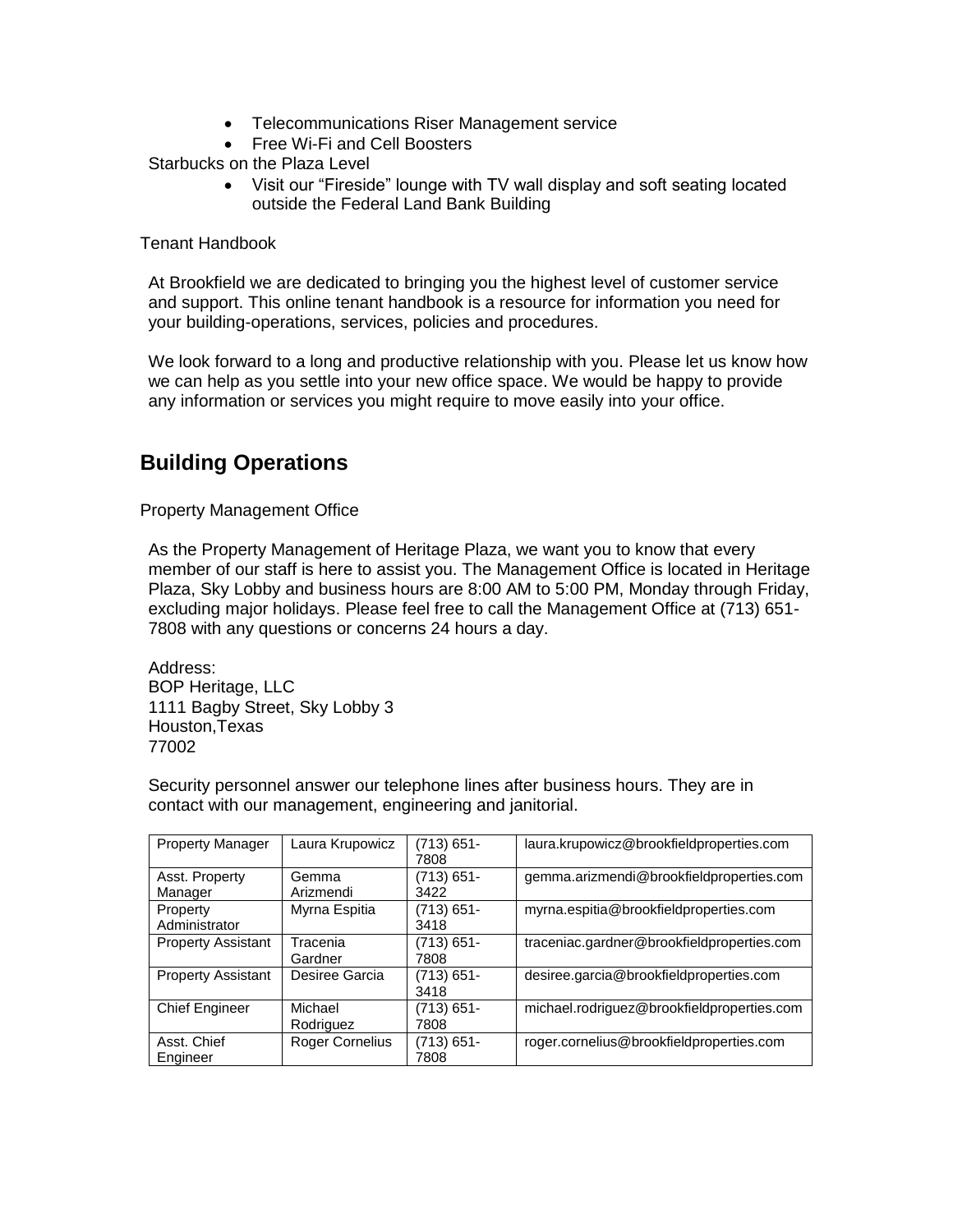- a. Work shall not begin prior to authorization by Property Management.
- b. Noisy Work: Noisy work shall be performed between 6:00 p.m. and 7:00 a.m. or on weekends regardless of the location in the building. Noisy work includes but is not limited to drilling, grinding, shooting stud track or ceiling hanger wires, and the use of power saws.
- c. Welding or Soldering: All welding/soldering shall be performed between 6:00 p.m. and 7:00 a.m. and procedures for venting fumes shall be approved by Property Management twenty-four (24) hours prior to commencement of the work. Also a Hot Work Permit is required for all welding work. Contractor is to have an adequate fire extinguisher available at all times. Contractor will be issued a Hot Work Permit at Security Desk. The Hot Work Permit will be signed by and reviewed by Chief Engineer/Assistant Chief Engineer.
- d. Noxious fumes: All work that will produce noxious fumes shall be performed after 6:00 p.m. and shall be finished with ample time to clear the air of the fumes prior to 7:00 a.m. Procedures for venting fumes shall be approved by the Property Manager twenty four- (24) hours prior to commencement of the work. MSDS sheets should be available on site.
- e. Property Management reserves the right to stop any work that is disruptive to the tenants in the building.
- f. Contractor shall work in harmony with other Contractors and Subcontractors performing work in the building on behalf of Property Management or other tenants.
- g. Contractor shall maintain an active and current safety training and record keeping program and require his Subcontractors to do likewise.
- h. Contractor shall notify Property Management twenty-four (24) hours in advance of ceiling cover so that Property Management will have the opportunity to inspect the work.
- i. Signs or logos will not be permitted without prior approval of Property Management.
- j. Demolished materials are property of Property Manager unless noted otherwise.
- k. Stair doors are not to be propped open at any time.
- l. All floor penetrations require x-ray before coring through cement. Approval is to be obtained through the Management Office.

# **Material**

- a. Materials shall be hoisted via the freight elevators. Passenger elevators shall not be used for material transportation. Pallet jacks are not permitted on freight or passenger elevators.
- b. No materials shall be hoisted outside the freight elevator cabs without prior
- c. notification and approval of Property Management. All costs associated with material hoisting shall be borne by the Contractor.
- d. Materials shall not be stored in the freight elevator lobbies, mechanical rooms or any other common space within the building. Materials shall not be stored in adjacent vacant space without prior consent of Property Management.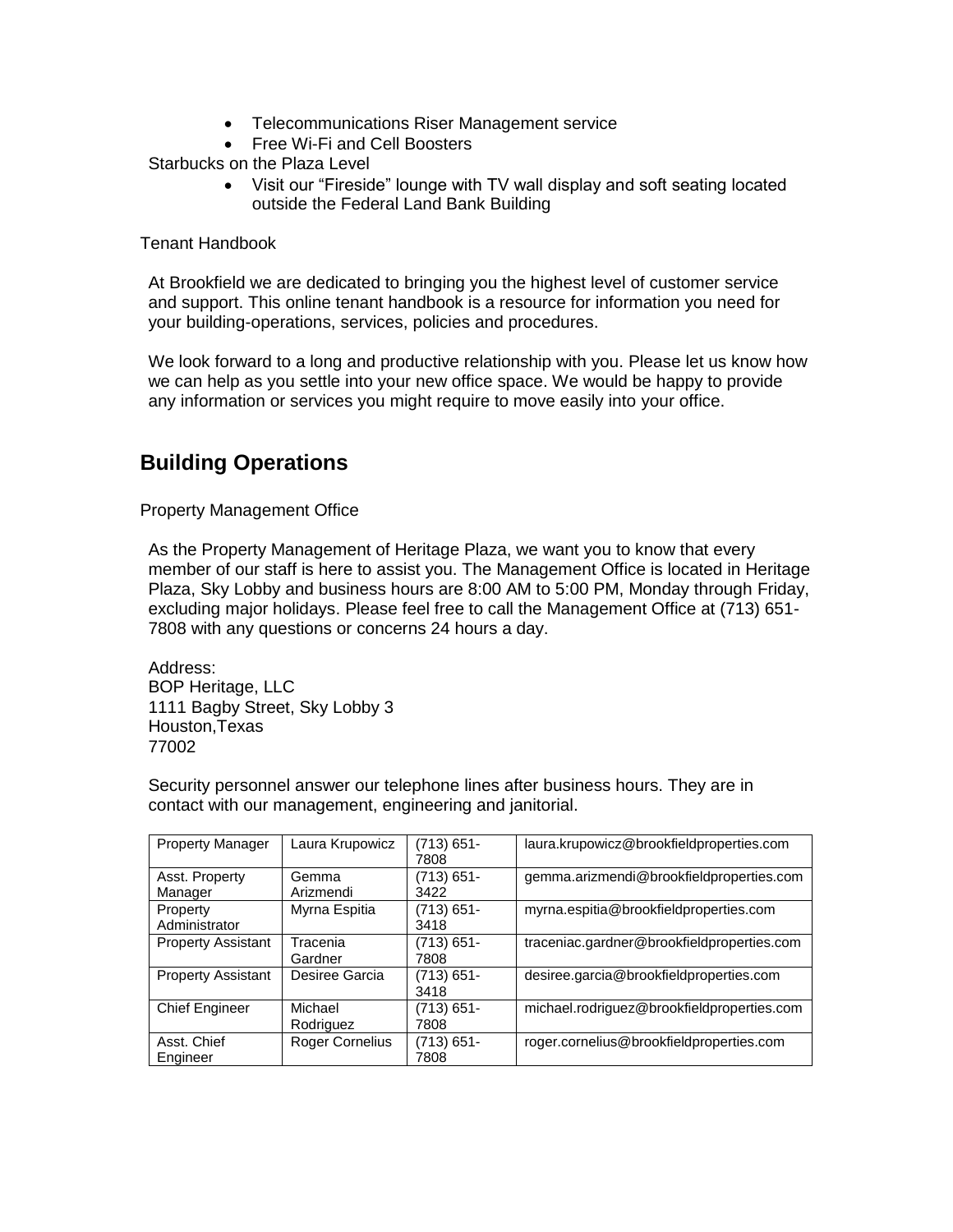- e. Dollies, carts and other moving or loading apparatus shall have rubber tires. The expense of any damage caused to floors/wall, etc., by moving materials shall be borne by the Contractor causing the damage. It is advised that all public areas be sufficiently protected in advance by the Contractor to avoid such damage.
- f. Freight elevators are available on a first come, first serve basis. The Contractor is advised to contact Property Management 24 hrs. in advance of any hoisting operations that will require extensive use of the freight elevators to determine the availability of the elevators.
- g. Property Management reserves the right to inspect all toolboxes, storage bins, trash bins, or other conveyances prior to removal from the property.
- h. The Contractor shall comply with all Federal, State, and Local regulations
- i. pertaining to the use of hazardous materials or potentially hazardous materials. No hazardous materials may be used on the property without prior written approval of Property Management.
- j. All doors, hardware, door frames, light fixtures, HVAC units, air boots, slot
- k. diffuses, millwork and appliances to be removed from demolished leases are the property of the building and may be required to be relocated elsewhere in the building. Please contact the Property Management office for direction.

# **Insurance**

a. Contractors and their Subcontractors shall provide insurance coverage in accordance with the requirements of the Landlord.

b. The Contractor shall submit a Certificate of Insurance evidencing the required coverage prior to the commencement of the work.

Hazardous Materials Spill and Releases

a. If the materials can not be identified, assume they are hazardous. If a hazardous material is released or spilled, there are a few basic responses that must be followed. The following minimum response procedures should be followed regardless of the nature of the incident.

- b. Notify Property Management of the incident immediately. State the location of the accident, the type of material released and any actions taken.
- c. Evacuate everyone in the vicinity immediately. This includes tenants, contractors, and building personnel. If the release of a dangerous vapor or gas occurs, a larger area of evacuation may be necessary.
- d. Once you know the area is cleared, you may take safe and reasonable steps to identify the released materials. If you can identify the materials, small spills of liquids may be limited with sandbags or adsorbents. Isolated fumes or gases may be limited by closing doors or shutting down air handler units in the area.
- e. If the material has not been identified, the Property Manager or Chief Engineer will attempt to use Material Safety Data Sheets to classify the material according to its hazardous properties. If the spill or release is deemed to be a threat to a wide spread area of the property and its occupants, call 911 and ask for the Fire Department HAZMAT Response Unit.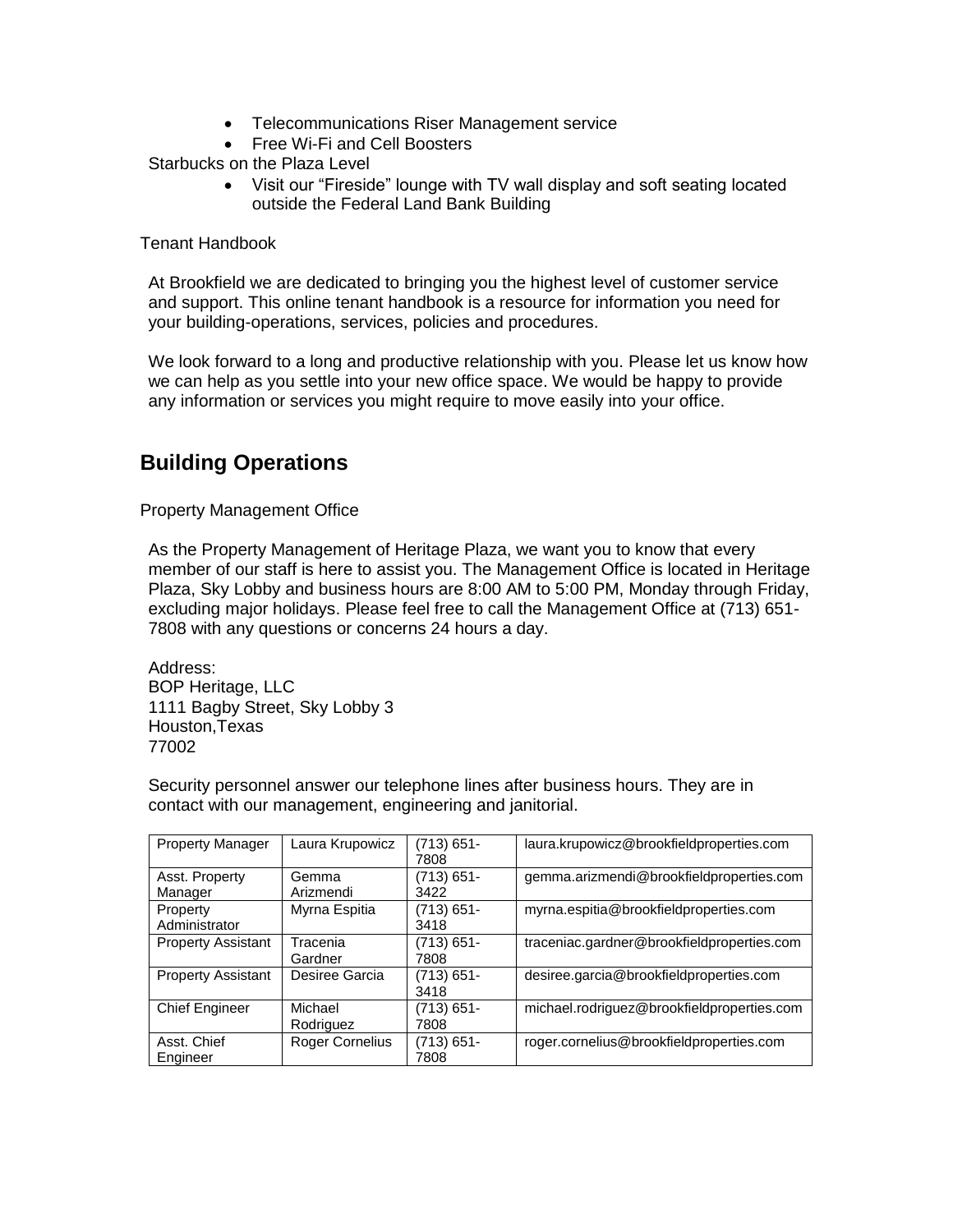- f. Before occupying the completed space, submit the final certificate of occupancy and any other approvals to the Property Manager. We also require an air balancing report signed by a professional engineer and an "as built" set of drawings in AutoCAD format on disk and one (1) hard copy showing all of the work in full detail.
- g. Before occupying the completed space, submit the final certificate of occupancy and any other approvals to the Property Manager. We also require an air balancing report signed by a professional engineer and an "as built" set of drawings in AutoCAD format on disk and one (1) hard copy showing all of the work in full detail.

# Energy Conservation

Below are several tips for helping conserve energy at Heritage Plaza. The single largest expense for the property is building utilities and is reflected in your operating expenses. We need everyone to be diligent in working to keep the building operating costs down.

- Turn off lights and lamps in offices that are not in use
- Turn off all electronic equipment (i.e. computers, printers, copy machines, etc.) when not in use or when you leave the office
- Use blinds to block direct rays from the sun and roll blinds closed each evening
- Avoid overloading duplex outlets
- NO space heaters or fans are allowed per City of Houston Fire Code

# General Rules & Regulations

Heritage Plaza is a premier business address in Houston, and as such we have worked very hard to create the most positive environment possible for you and your employees to conduct business in an orderly, clean and desirable premise. We have endeavored to minimize our formal Rules and Regulations. However, in order to maintain the positive business environment, which initially attracted you as a tenant and minimize the interference by others to your premises, we anticipate your cooperation in observing the following Rules and Regulations prescribed by the Owner.

Please note that the term 'Tenant' as used in these Rules and Regulations includes its officers, agents, servants, employees, licensees and invitees.

After Hours Entry: Owner reserves the right after normal building hours to require that persons entering the Building identify themselves and establish their right to enter or to leave the Building.

Animals & Bicycles: Tenant shall not bring into the Building, or keep in or around the premises any insect or animal, or bicycles without the prior written consent of Owner (wheelchairs, seeing eye dogs, and baby carriages excepted). Bicycle racks are provided on the east plaza outside.

Antennas & Wires: Tenant shall not install any antenna or aerial wires, or radio or television equipment, or any other type of equipment, inside or outside of the Building,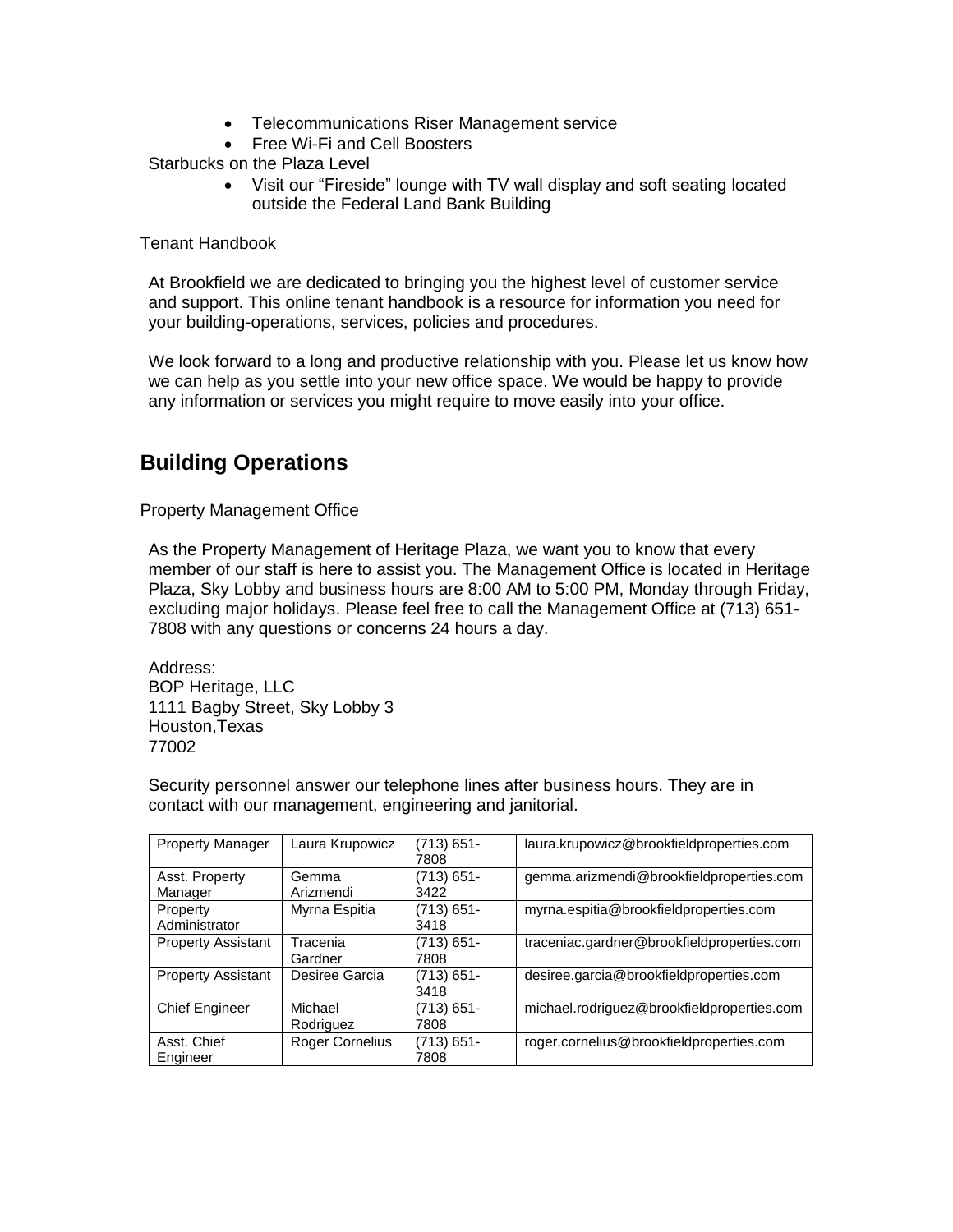without Owner's prior approval in writing. Tenant may operate personal radios and/or televisions inside the premises leased or occupied by it, provided noise from such equipment is not audible outside the premises.

Blind Closing: Each Tenant shall cooperate with Owner in obtaining maximum effectiveness of the cooling system by closing blinds or drapes when the sun's rays fall directly on windows of the premises leased or occupied by Tenant.

Building Image: Tenant shall not advertise the business, profession or activities of Tenant in any manner which violates the letter or spirit of any code of ethics adopted by any recognized association or organization, or use the name of the Building for any purpose other than that of the business address of Tenant, or use any picture or likeness of the Building or the Building name or logo in any letterheads, envelopes, circulars, or notices, without Owner's expressed consent in writing, which consent may be unreasonably withheld.

Entrance Obstruction: Tenant shall not block or obstruct any of the public sidewalk entries, parking areas or courtyards adjacent to the Building, passageways, doors, corridors, elevators, elevator doors, freight elevator lobbies, hallways or stairways of the Building.

Tenant shall not place, empty, or throw any rubbish, litter, trash or material of any nature into such areas, or permit such areas to be used at any time except for ingress or egress of Tenant, its licensees and invitees.

Finish Materials: All carpets, fabrics and furniture purchased for premises leased or occupied by Tenant shall conform to local and state fire codes.

Flammable Fluids: Tenant shall not bring into the premises or the Building any flammable fluids or explosives without written permission of Owner.

Glass Panel Doors: Glass panel doors that reflect or admit light into the passageways or into any place in the Building shall not be covered or obstructed by Tenant. Tenant shall not permit, erect or place drapes, furniture, fixtures, shelving, display cases or tables, lights, signs or advertising devices in front of or in proximity of interior or exterior windows, glass panels, or glass unless the same shall have first been approved by Owner.

Hand Trucks: Any hand trucks used in any space or public halls of the Building, either by Tenant or by jobbers or others, in the delivery or receipt of merchandise, shall be equipped with rubber tires and safeguards.

Large Item Disposal: Tenant shall have the responsibility of disposing of crates, boxes, etc., which will not fit into office wastepaper baskets and other unusual waste. In no event shall Tenant set such items in public hallways or other areas of the Building, except within the premises leased or occupied by Tenant, for disposal. If Tenant wishes to dispose of such items prior to 6:00 pm., it may do so by calling the Management Office to arrange for porter service. A fee may or may not be assessed,

Locks: No additional locks shall be placed on any door in the Building, which are incompatible with the master keying system. Owner may at all times keep a passkey to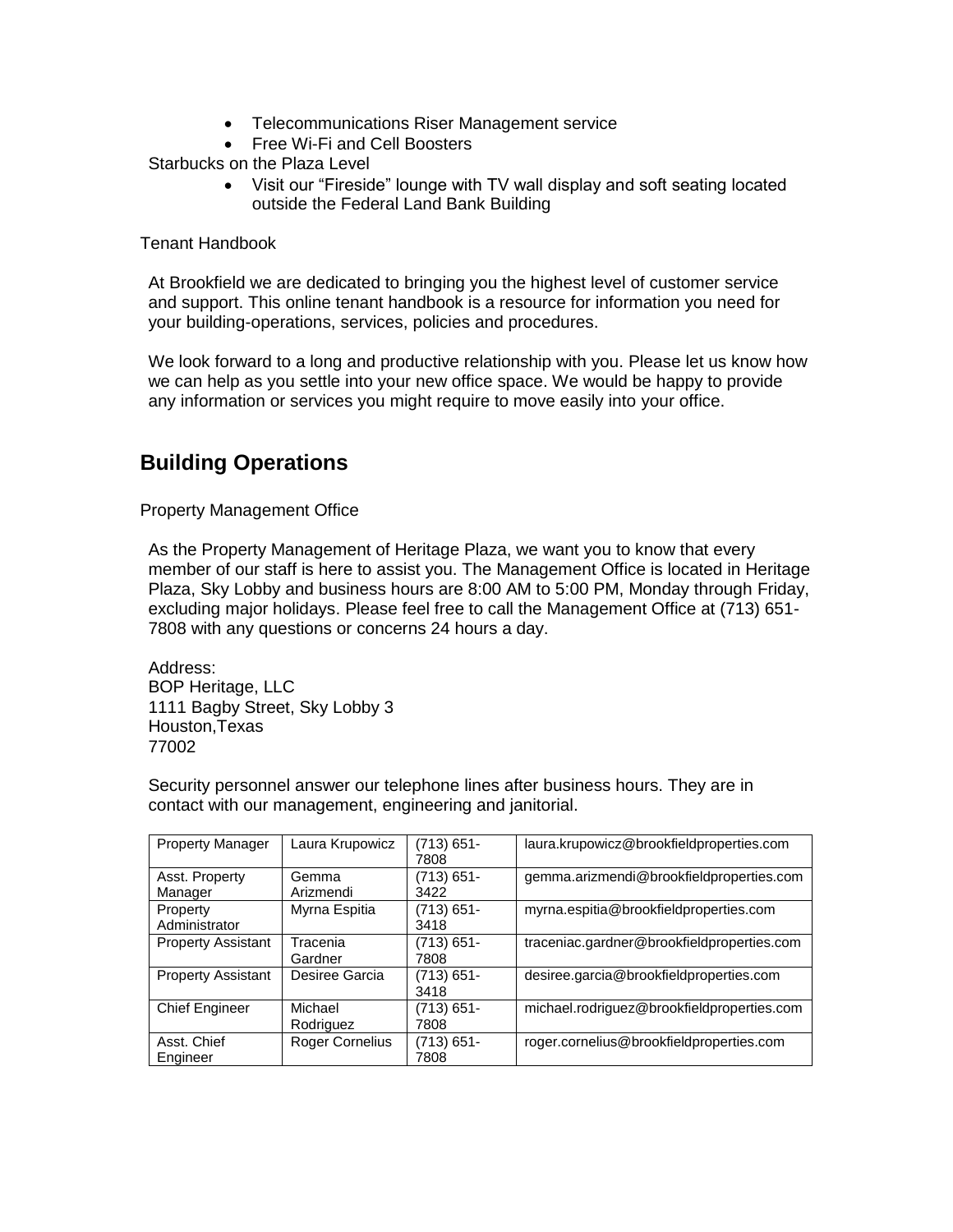all leased or occupied premises. All keys shall be returned to Owner promptly upon termination of each lease.

Material Movement: The movement of furniture, equipment, machines, merchandise or material within, into or out of the leased premises and the Building shall be restricted to time, method and routing as determined by Owner upon request from Tenant, and Tenant shall assume all liability and risk to property, the premises leased or occupied by it, and the Building in such move.

Owner's Reservation of Rights: Owner reserves the right to rescind, alter or waive any rule or regulation at any time prescribed for the Building when, in its judgment, in the interests of all Tenants, and no alteration or waiver of any rule or regulation in favor of one Tenant shall operate as an alteration or waiver in favor of any other Tenant. Owner shall not be responsible to any Tenant for the non-observance or violation by any other Tenant or any of the rules of regulations at any time prescribed for the Building.

Plumbing Systems: The plumbing facilities, lavatories and janitor closets shall not be used for any other purposes than for which they are constructed, respectively, and no rubbish, rags, sweepings, and/or any other harmful damaging or foreign substance of any kind shall be thrown in them, and the expense or any breakage, stoppage, or damage resulting from a violation of this provision shall be borne by Tenant.

Premises Infestation: If the premises become infested with vermin due to Tenant deliveries or acts or omissions of Tenant, Tenant at its sole cost and expense, shall cause such premises to be exterminated from time to time, to the satisfaction of Owner and shall employ such exterminators as shall be approved by Owner.

Quiet Enjoyment: Tenant shall not permit the operation of any musical or soundproducing instruments or devices which may be heard outside the leased premises or the Building, or which may emanate electrical waves which will impair radio or television reception from or in the Building.

Roof Access: Admittance to the roof of the Building is done only upon the written consent of Owner.

Sales or Auctions: No space in the Building shall be used for manufacturing, public sales or auctions.

Signal Communication: If Tenant desires signal communication, alarm or other utility or service connections installed or changed, such work shall be done at the expense of Tenant, with the prior written approval and under the direction of Owner.

Signs & Advertising: No sign, door plaque, advertisement or notice shall be displayed, painted or affixed by Tenant in or on any part of the outside or inside of the Building or parking facilities without prior written consent of Owner.

Smoke Free: This property is a smoke free building; smoking is prohibited in the lobby and other common areas, all elevators, rest rooms, the elevator lobby on each floor (even if such floor is occupied by only one Tenant) and the parking garage.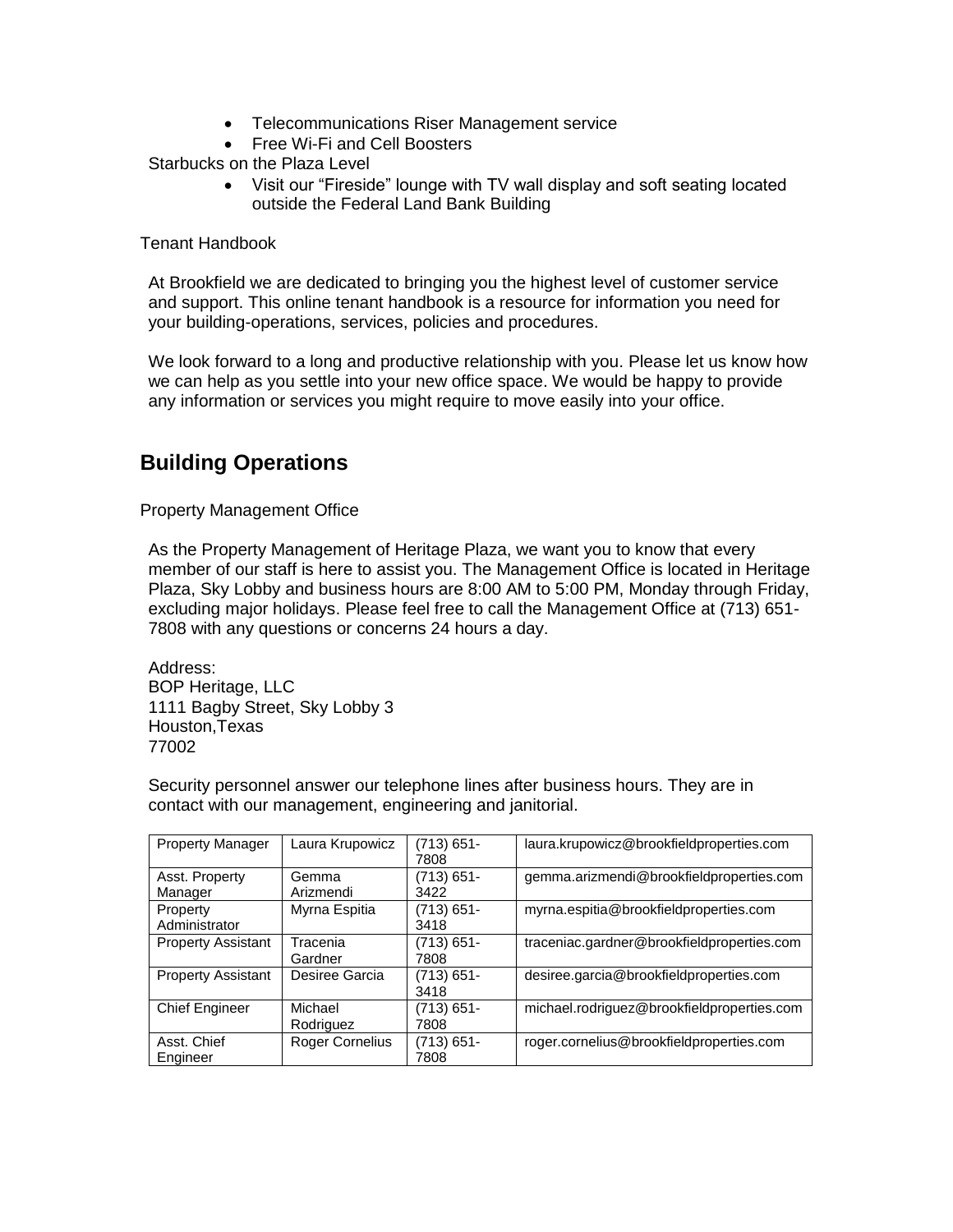Soliciting & Peddling: Canvassing, soliciting, peddling, and distribution of handbills and other advertising material in the Building is prohibited. Tenant shall cooperate to prevent the same and shall promptly report such activities to the Management Office.

Weapons: Owner has the right, but not the obligation, to restrict Tenant from bringing into the Building, or keeping on the premises, any weapon including but not limited to firearms, knives, shotguns and similar items.

#### Insurance Protection

Tenants are required to keep on file with the Property Management Office a current Certificate of Insurance evidencing sufficient coverage to satisfy the terms of their lease. The insurer must be admitted and licensed in Texas and the Certificate must contain a provision that coverage will not be canceled or non-renewed without a thirty (30) days prior written notice to the Owner.

When tenant work is to be done by contractors in the building, the tenant authorizing such work shall be responsible for including in the contract for such work the following insurance and indemnity requirements to the extent that they are applicable. Insurance certificates must be received prior to construction/service.

All certificates shall name the Landlord as the certificate holder as follows:

BOP Heritage LLC 1111 Bagby Street, Sky Lobby Houston, TX 77002

And as an additional insured party as follows:

Brookfield Properties Investor Corporation, Metropolitan Life Insurance company, BOP Heritage LLC, Brookfield Properties Management LLC, Brookfield Properties Management LLC, Brookfield Properties Corporation, and their respective affiliates, shareholders, partners (including partners of partners). subsidiaries and related entities, and any successors and assigns of such entities.

#### Certificates of Insurance

Please review your lease to determine the exact requirements for insurance. Evidence of compliance with this portion of the Lease, in the form of Certificates of Insurance, should be submitted prior to move-in.

It is required that a current certificate of insurance be on file for the term of your lease. Most insurance renews annually, therefore each year the certificate needs to be updated. Additionally, any vendor or contractor employed by a tenant and performing labor at the property must submit a certificate of insurance prior to the commencement of work. Usually the vendor or contractor will be required to have insurance coverage limits equal to the Brookfield Properties minimum limits, but large, significant work projects may require higher insurance coverage limits to be provided (example: major construction). Please contact the Property Management Office with any questions and/or concerns. This includes movers, telephone vendors, computer cable installers, cleaners, furniture assemblers, etc.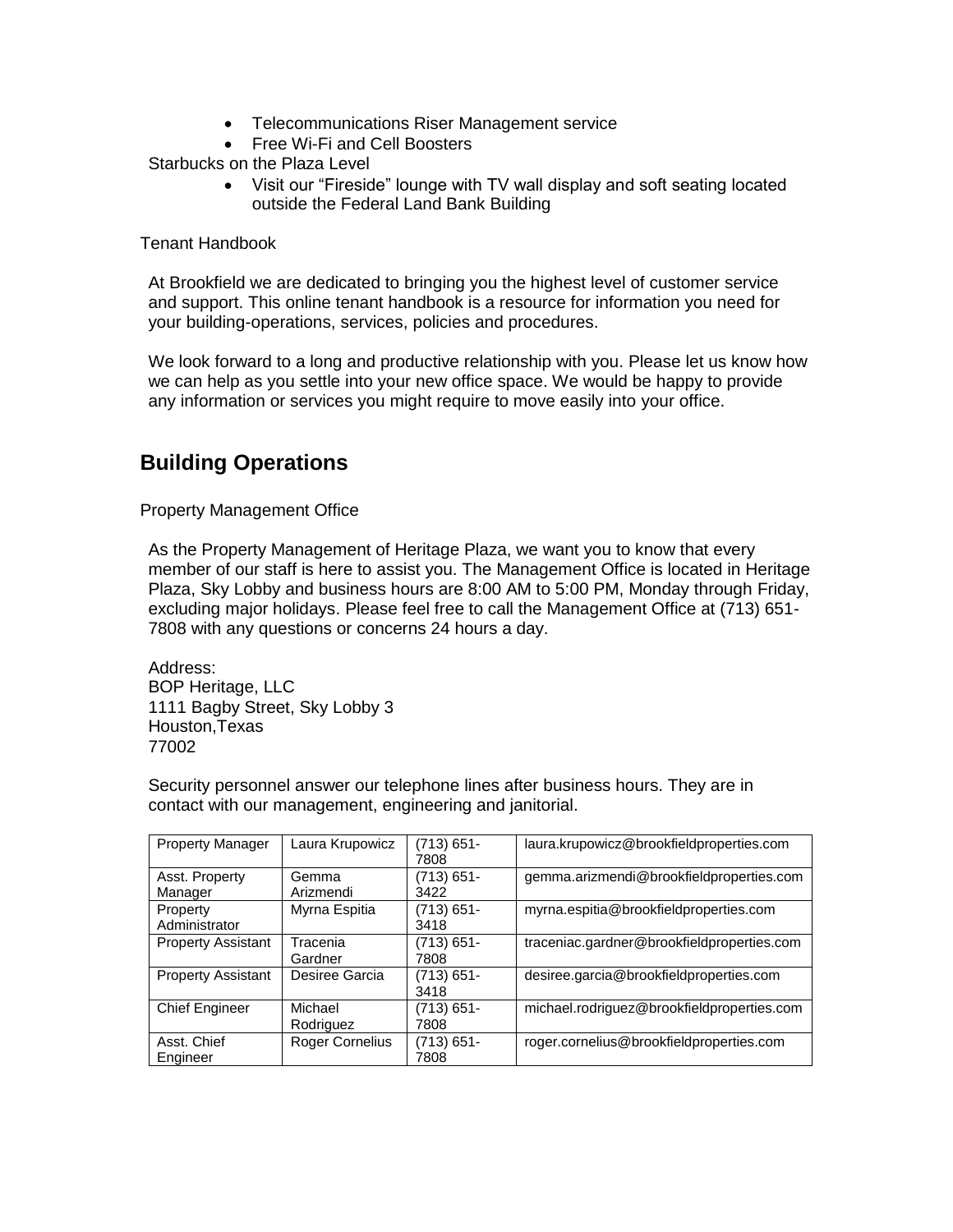Insurance Requirements for Tenants

(Click here for a printable version of the Insurance Requirements for Tenants - Coming Soon!)

The certificate must name the following as the certificate holder:

BOP Heritage LLC c/o Brookfield Three World Financial Center 200 Vesey Street New York, NY 10281

The certificate must name the following as Additional Insured with respect to general liability coverage:

Brookfield Properties Investor Corporation, Metropolitan Life Insurance company, BOP Heritage LLC, Brookfield Properties Management LLC, Brookfield Properties Management LLC, Brookfield Properties Corporation, and their respective affiliates, shareholders, partners (including partners of partners). subsidiaries and related entities, and any successors and assigns of such entities.

If you are going to issue the additional insured on an attachment, please make sure that you note this on the certificate of insurance in the description/other area. You also need to include the insured, Policy #, Issue Date of Certificate of Insurance, project #, and project name (if applicable) on the certificate of insurance attachment.

Please mail the certificate of insurance to the Management Office at:

BOP Heritage LLC 1111 Bagby Street, Sky Lobby 3 Houston, TX 77002

Please refer to your lease document for the required limits of coverage:

Worker's Compensation

• Statutory Worker's Compensation

Employers Liability

- Each Accident:
- Disease-Policy Limit:
- Disease-EA Employee:

General Commercial Liability (Occurrence Policy)

- General Aggregate:
- Each Occurrence: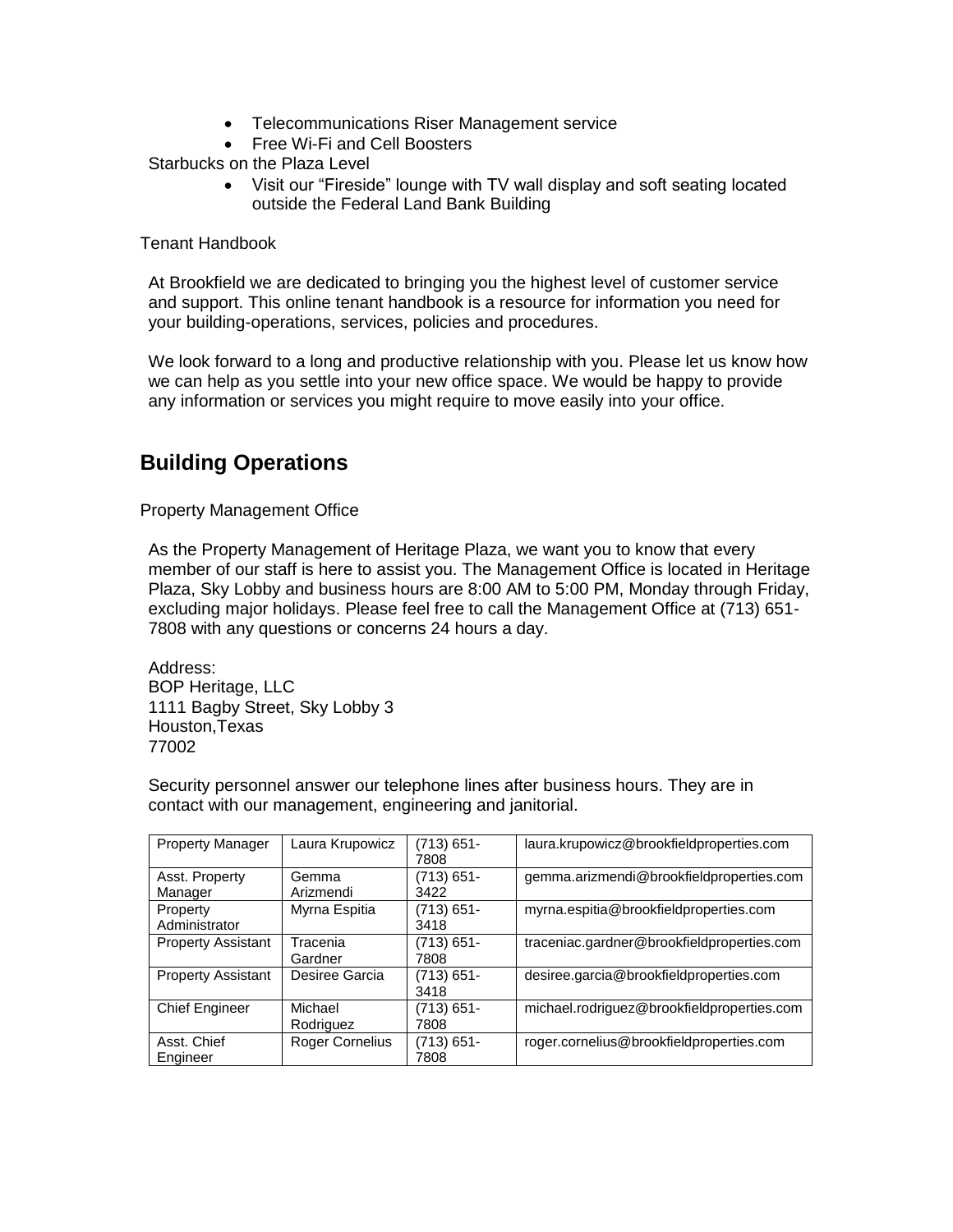• Products/Completed Operations:

Automobile (Any Auto)

- Combined Single Limit:
- Bodily Injury (per person):
- Bodily Injury (per accident):
- Property Damage:

Property Insurance

All risk or special form covering not less than 100% of the full replacement cost of tenant improvements, alterations and personal property.

AM Best Rating

• AM Best Rating must be a minimum of A-VIII

Additional Insured - Must be listed exactly as outlined below:

Brookfield Properties Investor Corporation, Metropolitan Life Insurance company, BOP Heritage LLC, Brookfield Properties Management LLC, Brookfield Properties Management LLC, Brookfield Properties Corporation, and their respective affiliates, shareholders, partners (including partners of partners). subsidiaries and related entities, and any successors and assigns of such entities. Total Per Occurrence/Accident Limits for Commercial General Liability, Auto Liability, and Employer's Liability Insurance may be comprised of any combination of primary and/or umbrella liability policies to total the minimum insurance limits required by Brookfield Properties.

The limits specified above are minimums. Any greater limits carried by a tenant are certainly acceptable.

Insurance Requirements for Vendors

(Click here for a printable version of the Insurance Requirements for Vendors - Coming Soon!)

The certificate must name the following as the certificate holder:

BOP Heritage LLC 1111 Bagby Street, Sky Lobby 3 Houston, TX 77002

The certificate must name the following as Additional Insured with respect to general liability coverage:

Brookfield Properties Investor Corporation, Metropolitan Life Insurance company, BOP Heritage LLC, Brookfield Properties Management LLC, Brookfield Properties Management LLC, Brookfield Properties Corporation, and their respective affiliates,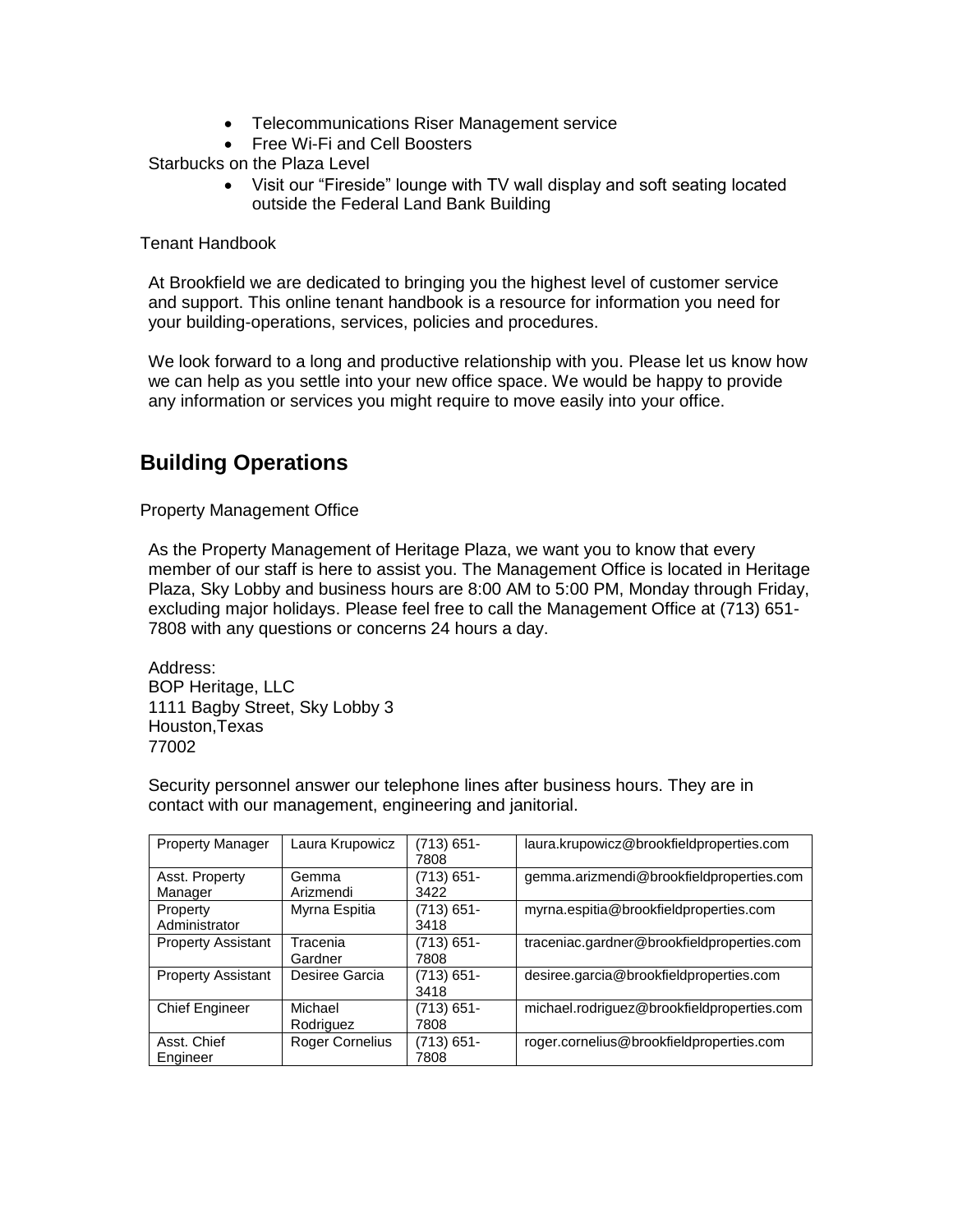shareholders, partners (including partners of partners). subsidiaries and related entities, and any successors and assigns of such entities.

If you are going to issue the additional insured on an attachment, please make sure that you note this on the certificate of insurance in the description/other area. You also need to include the insured, Policy #, Issue Date of Certificate of Insurance, project #, and project name (if applicable) on the certificate of insurance attachment.

Please fax certificates of insurance to the Property Management Office at (713) 651- 9517, or mail the originals to:

BOP Heritage LLC 1111 Bagby Street, Sky Lobby 3 Houston, TX 77002

Certificates should state the following limits of coverage:

Worker's Compensation

• Statutory Worker's Compensation

Employers Liability

- Each Accident:
- Disease-Policy Limit:
- Disease-EA Employee:

General Commercial Liability (Occurrence Policy)

- General Aggregate:
- Each Occurrence:
- Products/Completed Operations:

Automobile (Any Auto)

- Combined Single Limit:
- Bodily Injury (per person):
- Bodily Injury (per accident):
- Property Damage:

AM Best Rating

• AM Best Rating must be a minimum of A-VIII

# Moving Procedures

Tenants are requested to contact the Management Office as far in advance of the move date as possible, but no less than two (2) weeks prior to any move in to or out of the Building, to coordinate the move and reserve the freight elevator. All move-ins/outs must take place after 5:30 pm, Monday through Friday, or on weekends and are scheduled on a first come, first served basis. Additional Charges for loading dock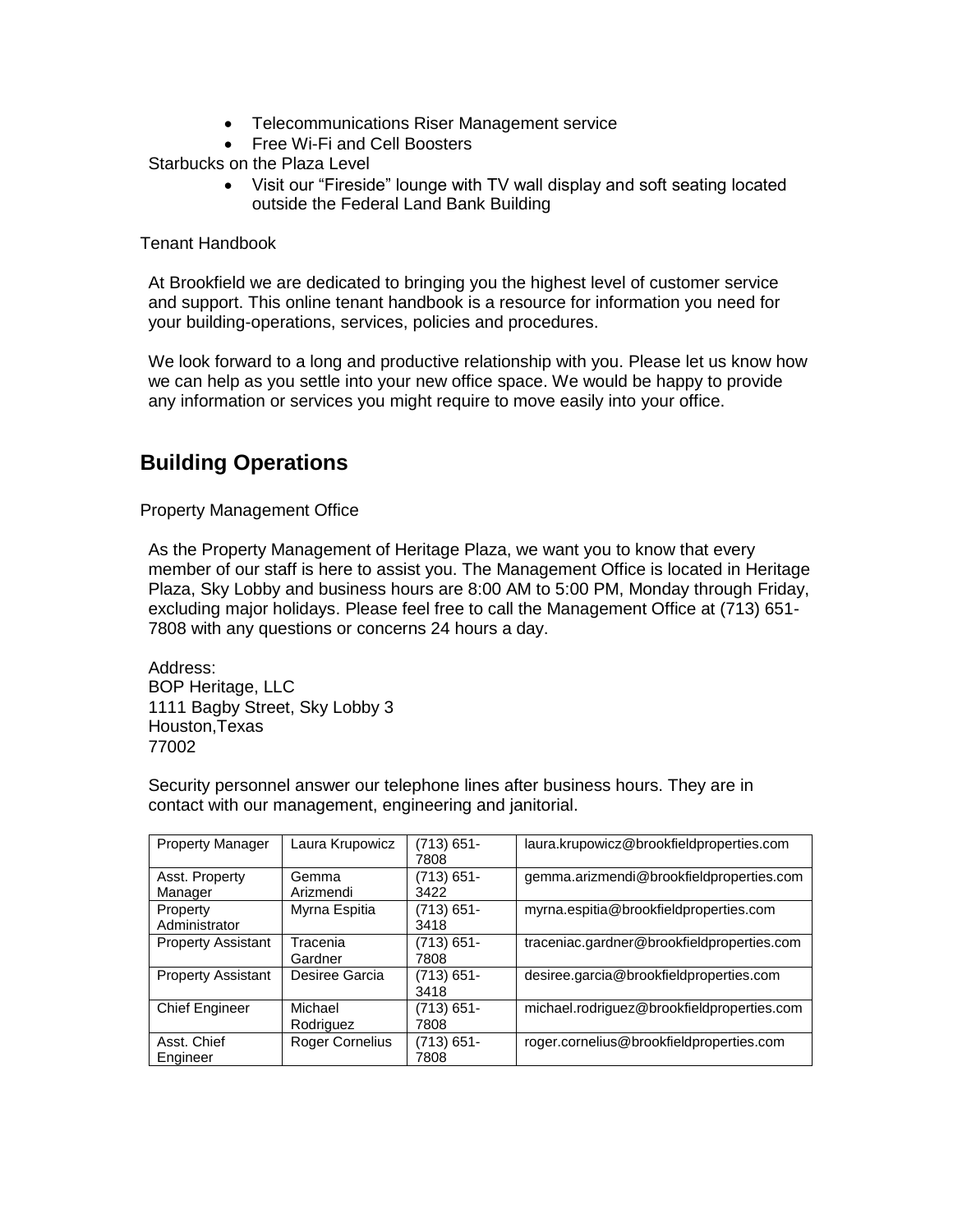personnel, elevator operators, and security guards to accomplish the move will be charged to you at prevailing rates.

As a brief checklist, please provide the following to the Management Office prior to your move in date:

- Certificate of Insurance
- Tenant business telephone and fax numbers. At least two (2) after-hours emergency contacts (home telephone numbers)
- Directory designation (both corporate name and personnel)
- Four (4) Fire Warden designates and alternates per full floor occupancy
- Tenant contact/emergency sheet

You should receive from the Management Office the following information:

- Emergency Information booklets for employees
- Current list of building service charges

Arrangements should also be made with the Management Office for:

- Access control cards
- Evacuation training for Floor Wardens and employees
- Keys for offices

A list of Building approved movers is available in the Management Office The following rules pertain to moving furniture, equipment and supplies in and out:

- The loading dock is the only building entrance permitted to be used for moves
- Movers must carry insurance in accordance with the specifications in the Insurance Requirements section and provide a Certificate prior to the move
- Clean masonite sections must be used as runners on all finished floor areas where furniture or equipment is being moved with wheel or skidtype dollies. The masonite must be at least one-fourth inch thick, 4' x 8' wide sheets in elevator lobbies and corridors, and 32" wide sheets through doors in Tenant Space. All sections of masonite must be taped to prohibit sliding
- The mover must provide and install protective coverings on all walls, door facings, elevator cabs and other areas along the route to be a protective barrier. These areas are inspected for damage after the move
- Restoring any damage to the building or fixtures in connection with the move is the financial responsibility of the Tenant
- The freight elevator is the only elevator used for the movement of furniture, equipment and supplies unless prior written approval to use additional elevators is obtained from the Management Office
- Movers must make arrangements with the Management Office for use of the elevators for each move. A firm arrival time should be established for each day of a move